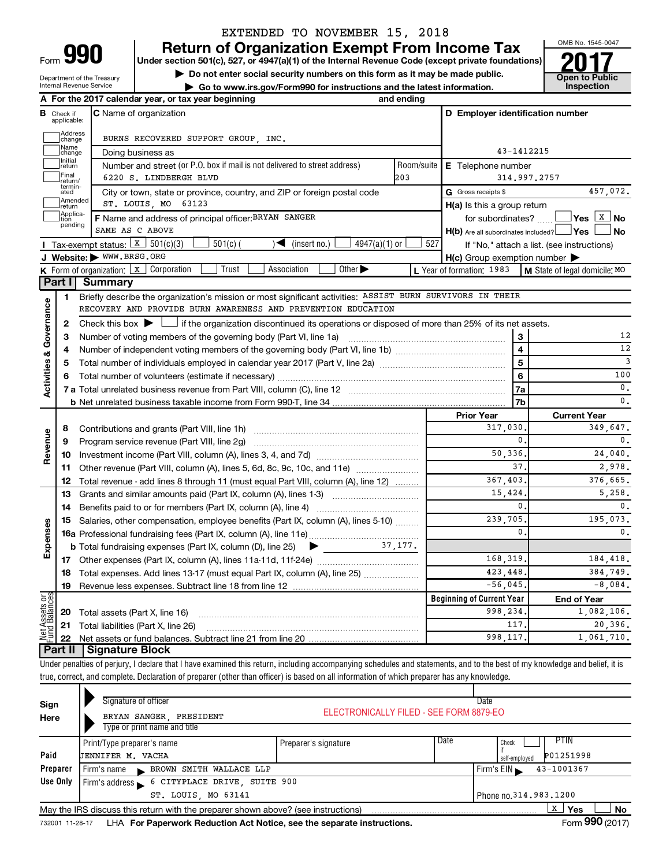# EXTENDED TO NOVEMBER 15, 2018

**990 Return of Organization Exempt From Income Tax 1990 2017 Divide the section 501(c)**, 527, or 4947(a)(1) of the Internal Revenue Code (except private foundations) **2017** 

**Under section 501(c), 527, or 4947(a)(1) of the Internal Revenue Code (except private foundations) Example 19 Set on the U.S. Section SU1(c), S27, or 4947(a)(1) or the internal Revenue Gode (except private foundations)<br>
in Do not enter social security numbers on this form as it may be made public.<br>
<b>Co** to www.irs.gov/

**| Go to www.irs.gov/Form990 for instructions and the latest information. Inspection**



Department of the Treasury Internal Revenue Service

|                                       |                                  | A For the 2017 calendar year, or tax year beginning                                                                                                                        | and ending |                                                     |                                            |
|---------------------------------------|----------------------------------|----------------------------------------------------------------------------------------------------------------------------------------------------------------------------|------------|-----------------------------------------------------|--------------------------------------------|
|                                       | <b>B</b> Check if<br>applicable: | <b>C</b> Name of organization                                                                                                                                              |            | D Employer identification number                    |                                            |
|                                       | Address<br> change               | BURNS RECOVERED SUPPORT GROUP, INC.                                                                                                                                        |            |                                                     |                                            |
|                                       | Name<br>change                   | Doing business as                                                                                                                                                          |            | 43-1412215                                          |                                            |
|                                       | Initial<br>return                | Number and street (or P.O. box if mail is not delivered to street address)                                                                                                 | Room/suite | E Telephone number                                  |                                            |
|                                       | Final<br>return/                 | 6220 S. LINDBERGH BLVD                                                                                                                                                     | 203        | 314,997,2757                                        |                                            |
|                                       | termin-<br>ated                  | City or town, state or province, country, and ZIP or foreign postal code                                                                                                   |            | G Gross receipts \$                                 | 457,072.                                   |
|                                       | Amended<br>return                | ST. LOUIS, MO 63123                                                                                                                                                        |            | H(a) Is this a group return                         |                                            |
|                                       | Applica-                         | F Name and address of principal officer: BRYAN SANGER                                                                                                                      |            | for subordinates?                                   |                                            |
|                                       | pending                          | SAME AS C ABOVE                                                                                                                                                            |            | $H(b)$ Are all subordinates included? $\Box$ Yes    | No                                         |
|                                       |                                  | Tax-exempt status: $\boxed{x}$ 501(c)(3)<br>$4947(a)(1)$ or<br>$501(c)$ (<br>(insert no.)<br>$\blacktriangleright$                                                         | 527        |                                                     | If "No," attach a list. (see instructions) |
|                                       |                                  | J Website: WWW.BRSG.ORG                                                                                                                                                    |            | $H(c)$ Group exemption number $\blacktriangleright$ |                                            |
|                                       |                                  | Trust<br>Association<br>Other $\blacktriangleright$<br><b>K</b> Form of organization: $\boxed{x}$ Corporation                                                              |            | L Year of formation: 1983                           | M State of legal domicile: MO              |
|                                       |                                  | Part I Summary                                                                                                                                                             |            |                                                     |                                            |
|                                       | 1                                | Briefly describe the organization's mission or most significant activities: ASSIST BURN SURVIVORS IN THEIR                                                                 |            |                                                     |                                            |
|                                       |                                  | RECOVERY AND PROVIDE BURN AWARENESS AND PREVENTION EDUCATION                                                                                                               |            |                                                     |                                            |
| Governance                            | 2                                | Check this box $\blacktriangleright$ $\Box$ if the organization discontinued its operations or disposed of more than 25% of its net assets.                                |            |                                                     |                                            |
|                                       | З                                |                                                                                                                                                                            |            | 3                                                   | 12                                         |
|                                       | 4                                |                                                                                                                                                                            |            | $\overline{4}$                                      | 12                                         |
|                                       | 5                                |                                                                                                                                                                            |            | 5                                                   | 3                                          |
|                                       | 6                                |                                                                                                                                                                            | 6          | 100                                                 |                                            |
| <b>Activities &amp;</b>               |                                  |                                                                                                                                                                            |            | 7a                                                  | $\mathbf{0}$ .                             |
|                                       |                                  |                                                                                                                                                                            |            | 7b                                                  | $\mathbf{0}$ .                             |
|                                       |                                  |                                                                                                                                                                            |            | <b>Prior Year</b>                                   | <b>Current Year</b>                        |
|                                       | 8                                |                                                                                                                                                                            |            | 317,030                                             | 349,647.                                   |
|                                       | 9                                | Program service revenue (Part VIII, line 2g)                                                                                                                               |            | 0.                                                  | $\mathbf{0}$ .                             |
| Revenue                               | 10                               |                                                                                                                                                                            |            | 50,336                                              | 24,040.                                    |
|                                       | 11                               | Other revenue (Part VIII, column (A), lines 5, 6d, 8c, 9c, 10c, and 11e)                                                                                                   |            | 37                                                  | 2.978.                                     |
|                                       | 12                               | Total revenue - add lines 8 through 11 (must equal Part VIII, column (A), line 12)                                                                                         |            | 367,403.                                            | 376,665.                                   |
|                                       | 13                               | Grants and similar amounts paid (Part IX, column (A), lines 1-3)                                                                                                           |            | 15,424                                              | 5,258.                                     |
|                                       | 14                               |                                                                                                                                                                            |            | 0.                                                  | 0.                                         |
|                                       | 15                               | Salaries, other compensation, employee benefits (Part IX, column (A), lines 5-10)                                                                                          |            | 239,705.                                            | 195,073.                                   |
| Expenses                              |                                  |                                                                                                                                                                            |            | $\mathbf{0}$ .                                      | 0.                                         |
|                                       |                                  |                                                                                                                                                                            |            |                                                     |                                            |
|                                       |                                  |                                                                                                                                                                            |            | 168,319.                                            | 184,418.                                   |
|                                       | 18                               | Total expenses. Add lines 13-17 (must equal Part IX, column (A), line 25)                                                                                                  |            | 423, 448.                                           | 384,749.                                   |
|                                       | 19                               | Revenue less expenses. Subtract line 18 from line 12                                                                                                                       |            | $-56045.$                                           | $-8,084.$                                  |
|                                       |                                  |                                                                                                                                                                            |            | <b>Beginning of Current Year</b>                    | <b>End of Year</b>                         |
|                                       | 20                               | Total assets (Part X, line 16)                                                                                                                                             |            | 998,234                                             | 1,082,106.                                 |
| <b>Net Assets or</b><br>Fund Balances | 21                               | Total liabilities (Part X, line 26)                                                                                                                                        |            | 117                                                 | 20,396.                                    |
|                                       | 22                               |                                                                                                                                                                            |            | 998,117                                             | 1.061.710.                                 |
|                                       | ∣ Part II                        | <b>Signature Block</b>                                                                                                                                                     |            |                                                     |                                            |
|                                       |                                  | Under penalties of perjury, I declare that I have examined this return, including accompanying schedules and statements, and to the best of my knowledge and belief, it is |            |                                                     |                                            |
|                                       |                                  | true, correct, and complete. Declaration of preparer (other than officer) is based on all information of which preparer has any knowledge.                                 |            |                                                     |                                            |
|                                       |                                  |                                                                                                                                                                            |            |                                                     |                                            |

| Sign<br>Here | Signature of officer<br>BRYAN SANGER, PRESIDENT<br>Type or print name and title                     | Date<br>ELECTRONICALLY FILED - SEE FORM 8879-EO |                                                     |  |  |  |  |
|--------------|-----------------------------------------------------------------------------------------------------|-------------------------------------------------|-----------------------------------------------------|--|--|--|--|
| Paid         | Print/Type preparer's name<br>JENNIFER M. VACHA                                                     | Preparer's signature                            | PTIN<br>Date<br>Check<br>P01251998<br>self-employed |  |  |  |  |
| Preparer     | BROWN SMITH WALLACE LLP<br>Firm's name                                                              |                                                 | 43-1001367<br>Firm's $EIN \rightharpoonup$          |  |  |  |  |
| Use Only     | Firm's address 6 CITYPLACE DRIVE, SUITE 900                                                         |                                                 |                                                     |  |  |  |  |
|              | ST. LOUIS, MO 63141                                                                                 |                                                 | Phone no. 314, 983, 1200                            |  |  |  |  |
|              | X<br>Yes<br>No<br>May the IRS discuss this return with the preparer shown above? (see instructions) |                                                 |                                                     |  |  |  |  |

732001 11-28-17 **For Paperwork Reduction Act Notice, see the separate instructions.** LHA Form (2017)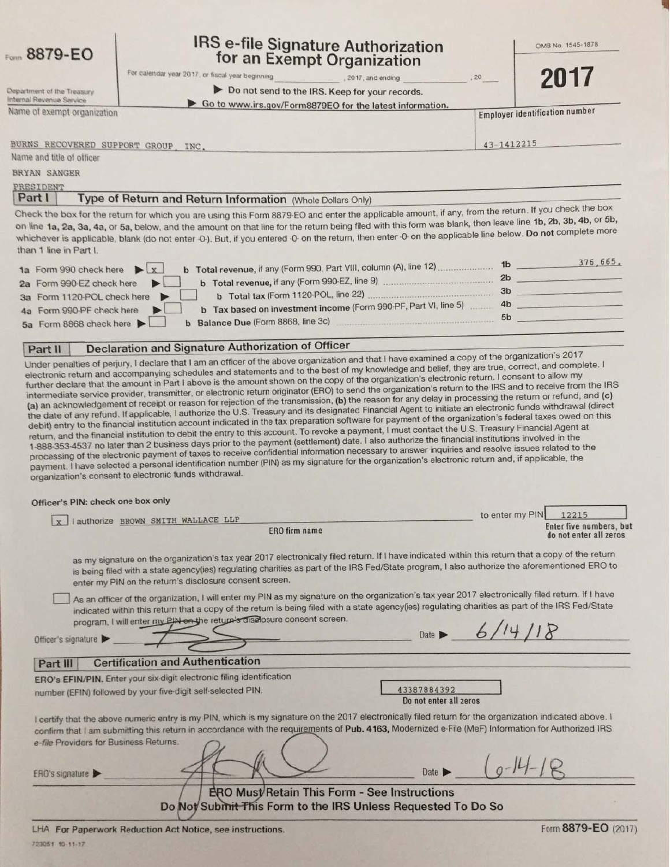|  | <b>B879-EO</b> |  |
|--|----------------|--|
|  |                |  |

Department of the Treasury Internal Revenue Service

# **IRS e-file Signature Authorization** for an Exempt Organization

OMB No. 1545-1878

For calendar year 2017, or fiscal year beginning

2017, and ending

Do not send to the IRS. Keep for your records.

Go to www.irs.gov/Form8879EO for the latest information.

**Employer identification number** 

Name of exempt organization

43-1412215

20

BURNS RECOVERED SUPPORT GROUP, INC.

Name and title of officer **BRYAN SANGER** 

PRESIDENT

Part I Type of Return and Return Information (Whole Dollars Only)

Check the box for the return for which you are using this Form 8879-EO and enter the applicable amount, if any, from the return. If you check the box on line 1a, 2a, 3a, 4a, or 5a, below, and the amount on that line for the return being filed with this form was blank, then leave line 1b, 2b, 3b, 4b, or 5b, whichever is applicable, blank (do not enter -0-). But, if you entered -0- on the return, then enter -0- on the applicable line below. Do not complete more than 1 line in Part I.

| b Total revenue, if any (Form 990, Part VIII, column (A), line 12)<br>1a Form 990 check here $\blacktriangleright \boxed{x}$ | 1 <sub>b</sub> | 376, 665. |
|------------------------------------------------------------------------------------------------------------------------------|----------------|-----------|
|                                                                                                                              | 2 <sub>b</sub> |           |
| b Total revenue, if any (Form 990-EZ, line 9)<br>2a Form 990-EZ check here                                                   |                |           |
| b Total tax (Form 1120-POL, line 22)<br>3a Form 1120-POL check here                                                          | 3 <sub>b</sub> |           |
| b Tax based on investment income (Form 990-PF, Part VI, line 5)<br>4a Form 990-PF check here                                 | 4 <sub>b</sub> |           |
| b Balance Due (Form 8868, line 3c)                                                                                           | 5 <sub>b</sub> |           |
| 5a Form 8868 check here                                                                                                      |                |           |

#### Declaration and Signature Authorization of Officer Part II

Under penalties of perjury, I declare that I am an officer of the above organization and that I have examined a copy of the organization's 2017 electronic return and accompanying schedules and statements and to the best of my knowledge and belief, they are true, correct, and complete. I further declare that the amount in Part I above is the amount shown on the copy of the organization's electronic return. I consent to allow my intermediate service provider, transmitter, or electronic return originator (ERO) to send the organization's return to the IRS and to receive from the IRS (a) an acknowledgement of receipt or reason for rejection of the transmission, (b) the reason for any delay in processing the return or refund, and (c) the date of any refund. If applicable, I authorize the U.S. Treasury and its designated Financial Agent to initiate an electronic funds withdrawal (direct debit) entry to the financial institution account indicated in the tax preparation software for payment of the organization's federal taxes owed on this return, and the financial institution to debit the entry to this account. To revoke a payment, I must contact the U.S. Treasury Financial Agent at 1-888-353-4537 no later than 2 business days prior to the payment (settlement) date. I also authorize the financial institutions involved in the processing of the electronic payment of taxes to receive confidential information necessary to answer inquiries and resolve issues related to the payment. I have selected a personal identification number (PIN) as my signature for the organization's electronic return and, if applicable, the organization's consent to electronic funds withdrawal.

Officer's PIN: check one box only

| I authorize BROWN SMITH WALLACE LLP<br>x <sub>1</sub>                                                                                                                                                                                                                                                                                                                                                   | IQ GILGI III) LIM $1641$                          |
|---------------------------------------------------------------------------------------------------------------------------------------------------------------------------------------------------------------------------------------------------------------------------------------------------------------------------------------------------------------------------------------------------------|---------------------------------------------------|
| <b>ERO</b> firm name                                                                                                                                                                                                                                                                                                                                                                                    | Enter five numbers, but<br>do not enter all zeros |
| as my signature on the organization's tax year 2017 electronically filed return. If I have indicated within this return that a copy of the return<br>is being filed with a state agency(ies) regulating charities as part of the IRS Fed/State program, I also authorize the aforementioned ERO to<br>enter my PIN on the return's disclosure consent screen.                                           |                                                   |
| As an officer of the organization, I will enter my PIN as my signature on the organization's tax year 2017 electronically filed return. If I have<br>indicated within this return that a copy of the return is being filed with a state agency(ies) regulating charities as part of the IRS Fed/State<br>program, I will enter my PIN on the return's disclosure consent screen.<br>Officer's signature | Date $\triangleright$ 6/14/18                     |
| <b>Certification and Authentication</b><br>Part III                                                                                                                                                                                                                                                                                                                                                     |                                                   |
| ERO's EFIN/PIN. Enter your six-digit electronic filing identification<br>number (EFIN) followed by your five-digit self-selected PIN.                                                                                                                                                                                                                                                                   | 43387884392<br>Do not enter all zeros             |
| I certify that the above numeric entry is my PIN, which is my signature on the 2017 electronically filed return for the organization indicated above. I<br>confirm that I am submitting this return in accordance with the requirements of Pub. 4163, Modernized e-File (MeF) Information for Authorized IRS<br>e-file Providers for Business Returns.<br>ERO's signature                               | Date $\blacktriangleright$                        |
| ERO Must Retain This Form - See Instructions<br>Do Not Submit This Form to the IRS Unless Requested To Do So                                                                                                                                                                                                                                                                                            | A A B A F A                                       |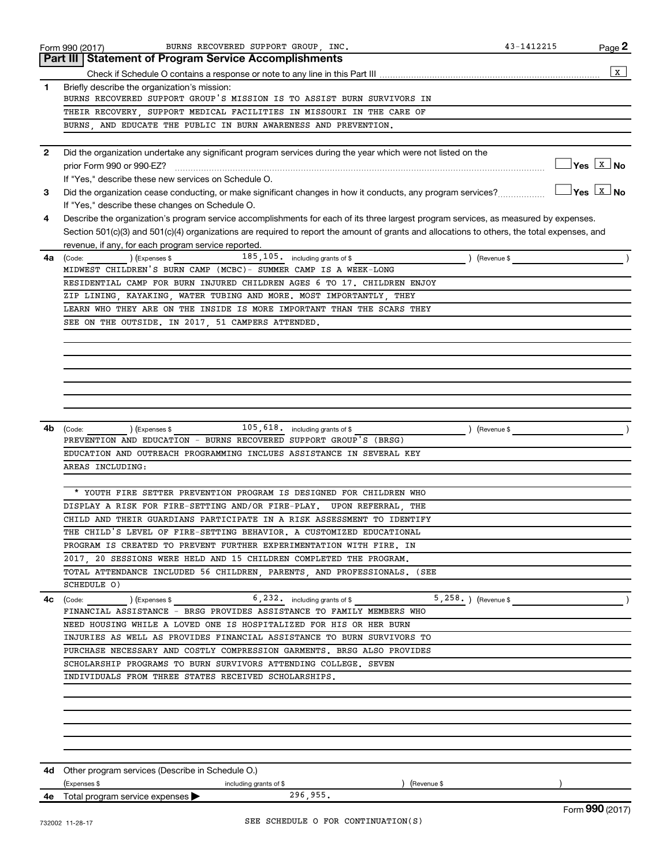|              | BURNS RECOVERED SUPPORT GROUP INC.<br>Form 990 (2017)                                                                                        | 43-1412215 | Page 2                                     |
|--------------|----------------------------------------------------------------------------------------------------------------------------------------------|------------|--------------------------------------------|
|              | <b>Part III Statement of Program Service Accomplishments</b>                                                                                 |            |                                            |
|              |                                                                                                                                              |            | X                                          |
| 1            | Briefly describe the organization's mission:                                                                                                 |            |                                            |
|              | BURNS RECOVERED SUPPORT GROUP'S MISSION IS TO ASSIST BURN SURVIVORS IN                                                                       |            |                                            |
|              | THEIR RECOVERY, SUPPORT MEDICAL FACILITIES IN MISSOURI IN THE CARE OF                                                                        |            |                                            |
|              | BURNS, AND EDUCATE THE PUBLIC IN BURN AWARENESS AND PREVENTION.                                                                              |            |                                            |
|              |                                                                                                                                              |            |                                            |
| $\mathbf{2}$ | Did the organization undertake any significant program services during the year which were not listed on the                                 |            |                                            |
|              | prior Form 990 or 990-EZ?                                                                                                                    |            | $\blacksquare$ Yes $\boxed{\texttt{x}}$ No |
|              | If "Yes," describe these new services on Schedule O.                                                                                         |            |                                            |
| 3            | Did the organization cease conducting, or make significant changes in how it conducts, any program services?                                 |            | $\sqrt{}$ Yes $\boxed{\text{x}}$ No        |
|              | If "Yes," describe these changes on Schedule O.                                                                                              |            |                                            |
| 4            | Describe the organization's program service accomplishments for each of its three largest program services, as measured by expenses.         |            |                                            |
|              | Section 501(c)(3) and 501(c)(4) organizations are required to report the amount of grants and allocations to others, the total expenses, and |            |                                            |
|              | revenue, if any, for each program service reported.                                                                                          |            |                                            |
| 4a           | 185, 105. including grants of \$<br>(Code: ) (Expenses \$<br>) (Revenue \$                                                                   |            |                                            |
|              | MIDWEST CHILDREN'S BURN CAMP (MCBC)- SUMMER CAMP IS A WEEK-LONG                                                                              |            |                                            |
|              | RESIDENTIAL CAMP FOR BURN INJURED CHILDREN AGES 6 TO 17. CHILDREN ENJOY                                                                      |            |                                            |
|              | ZIP LINING, KAYAKING, WATER TUBING AND MORE. MOST IMPORTANTLY, THEY                                                                          |            |                                            |
|              | LEARN WHO THEY ARE ON THE INSIDE IS MORE IMPORTANT THAN THE SCARS THEY                                                                       |            |                                            |
|              | SEE ON THE OUTSIDE. IN 2017, 51 CAMPERS ATTENDED.                                                                                            |            |                                            |
|              |                                                                                                                                              |            |                                            |
|              |                                                                                                                                              |            |                                            |
|              |                                                                                                                                              |            |                                            |
|              |                                                                                                                                              |            |                                            |
|              |                                                                                                                                              |            |                                            |
|              |                                                                                                                                              |            |                                            |
|              |                                                                                                                                              |            |                                            |
| 4b           | 105,618. including grants of \$<br>(Code: ) (Expenses \$<br>Revenue \$                                                                       |            |                                            |
|              | PREVENTION AND EDUCATION - BURNS RECOVERED SUPPORT GROUP'S (BRSG)                                                                            |            |                                            |
|              | EDUCATION AND OUTREACH PROGRAMMING INCLUES ASSISTANCE IN SEVERAL KEY                                                                         |            |                                            |
|              | AREAS INCLUDING:                                                                                                                             |            |                                            |
|              |                                                                                                                                              |            |                                            |
|              | * YOUTH FIRE SETTER PREVENTION PROGRAM IS DESIGNED FOR CHILDREN WHO                                                                          |            |                                            |
|              | DISPLAY A RISK FOR FIRE-SETTING AND/OR FIRE-PLAY. UPON REFERRAL, THE                                                                         |            |                                            |
|              | CHILD AND THEIR GUARDIANS PARTICIPATE IN A RISK ASSESSMENT TO IDENTIFY                                                                       |            |                                            |
|              | THE CHILD'S LEVEL OF FIRE-SETTING BEHAVIOR. A CUSTOMIZED EDUCATIONAL                                                                         |            |                                            |
|              | PROGRAM IS CREATED TO PREVENT FURTHER EXPERIMENTATION WITH FIRE. IN                                                                          |            |                                            |
|              | 2017, 20 SESSIONS WERE HELD AND 15 CHILDREN COMPLETED THE PROGRAM.                                                                           |            |                                            |
|              | TOTAL ATTENDANCE INCLUDED 56 CHILDREN, PARENTS, AND PROFESSIONALS. (SEE                                                                      |            |                                            |
|              | SCHEDULE O)                                                                                                                                  |            |                                            |
| 4с           | $6, 232$ and $6$ including grants of \$<br>$5,258.$ ) (Revenue $\frac{1}{2}$<br>) (Expenses \$<br>(Code:                                     |            |                                            |
|              | FINANCIAL ASSISTANCE - BRSG PROVIDES ASSISTANCE TO FAMILY MEMBERS WHO                                                                        |            |                                            |
|              | NEED HOUSING WHILE A LOVED ONE IS HOSPITALIZED FOR HIS OR HER BURN                                                                           |            |                                            |
|              | INJURIES AS WELL AS PROVIDES FINANCIAL ASSISTANCE TO BURN SURVIVORS TO                                                                       |            |                                            |
|              | PURCHASE NECESSARY AND COSTLY COMPRESSION GARMENTS. BRSG ALSO PROVIDES                                                                       |            |                                            |
|              | SCHOLARSHIP PROGRAMS TO BURN SURVIVORS ATTENDING COLLEGE. SEVEN                                                                              |            |                                            |
|              | INDIVIDUALS FROM THREE STATES RECEIVED SCHOLARSHIPS.                                                                                         |            |                                            |
|              |                                                                                                                                              |            |                                            |
|              |                                                                                                                                              |            |                                            |
|              |                                                                                                                                              |            |                                            |
|              |                                                                                                                                              |            |                                            |
|              |                                                                                                                                              |            |                                            |
|              |                                                                                                                                              |            |                                            |
|              |                                                                                                                                              |            |                                            |
|              | 4d Other program services (Describe in Schedule O.)                                                                                          |            |                                            |
|              | (Expenses \$<br>(Revenue \$<br>including grants of \$                                                                                        |            |                                            |
|              | 296,955.<br>4e Total program service expenses                                                                                                |            |                                            |
|              |                                                                                                                                              |            | Form 990 (2017)                            |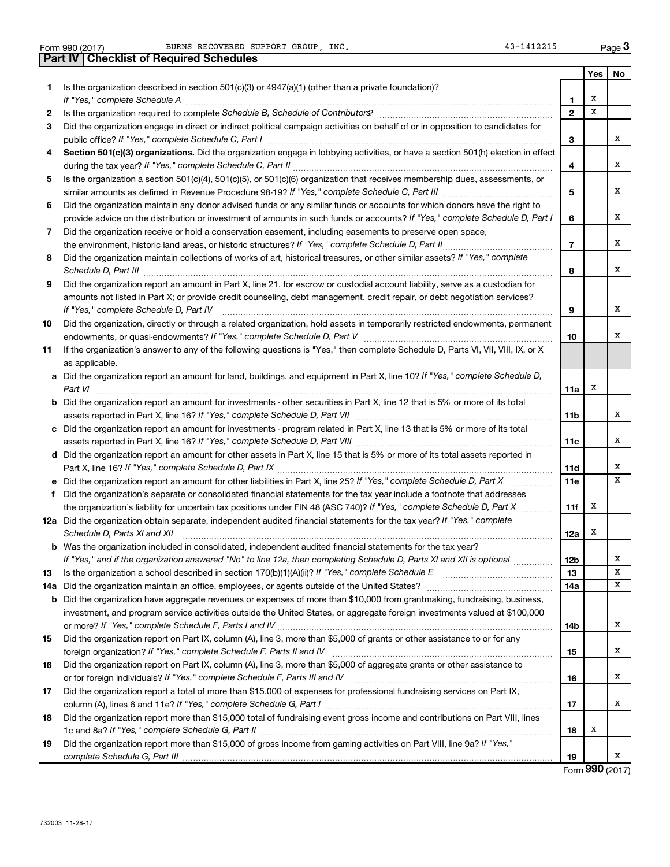|          | 43-1412215<br>BURNS RECOVERED SUPPORT GROUP INC.<br>Form 990 (2017)                                                                                                                                                                                                                                                                                                  |                |     | Page 3 |
|----------|----------------------------------------------------------------------------------------------------------------------------------------------------------------------------------------------------------------------------------------------------------------------------------------------------------------------------------------------------------------------|----------------|-----|--------|
|          | <b>Part IV   Checklist of Required Schedules</b>                                                                                                                                                                                                                                                                                                                     |                |     |        |
|          |                                                                                                                                                                                                                                                                                                                                                                      |                | Yes | No     |
| 1        | Is the organization described in section $501(c)(3)$ or $4947(a)(1)$ (other than a private foundation)?                                                                                                                                                                                                                                                              |                |     |        |
|          |                                                                                                                                                                                                                                                                                                                                                                      | $\mathbf{1}$   | х   |        |
| 2        |                                                                                                                                                                                                                                                                                                                                                                      | $\overline{2}$ | X   |        |
| З        | Did the organization engage in direct or indirect political campaign activities on behalf of or in opposition to candidates for                                                                                                                                                                                                                                      |                |     |        |
|          |                                                                                                                                                                                                                                                                                                                                                                      | 3              |     | x      |
| 4        | Section 501(c)(3) organizations. Did the organization engage in lobbying activities, or have a section 501(h) election in effect                                                                                                                                                                                                                                     |                |     |        |
|          |                                                                                                                                                                                                                                                                                                                                                                      | 4              |     | x      |
| 5        | Is the organization a section 501(c)(4), 501(c)(5), or 501(c)(6) organization that receives membership dues, assessments, or                                                                                                                                                                                                                                         |                |     |        |
|          |                                                                                                                                                                                                                                                                                                                                                                      | 5              |     | x      |
| 6        | Did the organization maintain any donor advised funds or any similar funds or accounts for which donors have the right to                                                                                                                                                                                                                                            |                |     | x      |
|          | provide advice on the distribution or investment of amounts in such funds or accounts? If "Yes," complete Schedule D, Part I                                                                                                                                                                                                                                         | 6              |     |        |
| 7        | Did the organization receive or hold a conservation easement, including easements to preserve open space,                                                                                                                                                                                                                                                            | $\overline{7}$ |     | x      |
| 8        | Did the organization maintain collections of works of art, historical treasures, or other similar assets? If "Yes," complete                                                                                                                                                                                                                                         |                |     |        |
|          |                                                                                                                                                                                                                                                                                                                                                                      | 8              |     | x      |
| 9        | Schedule D, Part III <b>Marting Community</b> Construction of the Construction of the Construction of the Construction of the Construction of the Construction of the Construction of the Construction of the Construction of the C<br>Did the organization report an amount in Part X, line 21, for escrow or custodial account liability, serve as a custodian for |                |     |        |
|          | amounts not listed in Part X; or provide credit counseling, debt management, credit repair, or debt negotiation services?                                                                                                                                                                                                                                            |                |     |        |
|          | If "Yes." complete Schedule D, Part IV                                                                                                                                                                                                                                                                                                                               | 9              |     | х      |
| 10       | Did the organization, directly or through a related organization, hold assets in temporarily restricted endowments, permanent                                                                                                                                                                                                                                        |                |     |        |
|          |                                                                                                                                                                                                                                                                                                                                                                      | 10             |     | х      |
| 11       | If the organization's answer to any of the following questions is "Yes," then complete Schedule D, Parts VI, VII, VIII, IX, or X                                                                                                                                                                                                                                     |                |     |        |
|          | as applicable.                                                                                                                                                                                                                                                                                                                                                       |                |     |        |
|          | a Did the organization report an amount for land, buildings, and equipment in Part X, line 10? If "Yes," complete Schedule D,                                                                                                                                                                                                                                        |                |     |        |
|          |                                                                                                                                                                                                                                                                                                                                                                      | 11a            | х   |        |
|          | <b>b</b> Did the organization report an amount for investments - other securities in Part X, line 12 that is 5% or more of its total                                                                                                                                                                                                                                 |                |     |        |
|          |                                                                                                                                                                                                                                                                                                                                                                      | 11b            |     | x      |
|          | c Did the organization report an amount for investments - program related in Part X, line 13 that is 5% or more of its total                                                                                                                                                                                                                                         |                |     |        |
|          |                                                                                                                                                                                                                                                                                                                                                                      | 11c            |     | х      |
|          | d Did the organization report an amount for other assets in Part X, line 15 that is 5% or more of its total assets reported in                                                                                                                                                                                                                                       |                |     |        |
|          |                                                                                                                                                                                                                                                                                                                                                                      | 11d            |     | х      |
|          |                                                                                                                                                                                                                                                                                                                                                                      | 11e            |     | x      |
|          | f Did the organization's separate or consolidated financial statements for the tax year include a footnote that addresses                                                                                                                                                                                                                                            |                |     |        |
|          | the organization's liability for uncertain tax positions under FIN 48 (ASC 740)? If "Yes," complete Schedule D, Part X                                                                                                                                                                                                                                               | 11f            | x   |        |
|          | 12a Did the organization obtain separate, independent audited financial statements for the tax year? If "Yes," complete                                                                                                                                                                                                                                              |                |     |        |
|          | Schedule D, Parts XI and XII                                                                                                                                                                                                                                                                                                                                         | 12a            | X   |        |
|          | <b>b</b> Was the organization included in consolidated, independent audited financial statements for the tax year?                                                                                                                                                                                                                                                   |                |     |        |
|          | If "Yes," and if the organization answered "No" to line 12a, then completing Schedule D, Parts XI and XII is optional                                                                                                                                                                                                                                                | 12b<br>13      |     | х<br>х |
| 13       |                                                                                                                                                                                                                                                                                                                                                                      | 14a            |     | х      |
| 14a<br>b | Did the organization have aggregate revenues or expenses of more than \$10,000 from grantmaking, fundraising, business,                                                                                                                                                                                                                                              |                |     |        |
|          | investment, and program service activities outside the United States, or aggregate foreign investments valued at \$100,000                                                                                                                                                                                                                                           |                |     |        |
|          |                                                                                                                                                                                                                                                                                                                                                                      | 14b            |     | х      |
| 15       | Did the organization report on Part IX, column (A), line 3, more than \$5,000 of grants or other assistance to or for any                                                                                                                                                                                                                                            |                |     |        |
|          |                                                                                                                                                                                                                                                                                                                                                                      | 15             |     | х      |
| 16       | Did the organization report on Part IX, column (A), line 3, more than \$5,000 of aggregate grants or other assistance to                                                                                                                                                                                                                                             |                |     |        |
|          |                                                                                                                                                                                                                                                                                                                                                                      | 16             |     | х      |
| 17       | Did the organization report a total of more than \$15,000 of expenses for professional fundraising services on Part IX,                                                                                                                                                                                                                                              |                |     |        |
|          |                                                                                                                                                                                                                                                                                                                                                                      | 17             |     | x      |
| 18       | Did the organization report more than \$15,000 total of fundraising event gross income and contributions on Part VIII, lines                                                                                                                                                                                                                                         |                |     |        |
|          |                                                                                                                                                                                                                                                                                                                                                                      | 18             | х   |        |
| 19       | Did the organization report more than \$15,000 of gross income from gaming activities on Part VIII, line 9a? If "Yes,"                                                                                                                                                                                                                                               |                |     |        |
|          |                                                                                                                                                                                                                                                                                                                                                                      | 19             |     | x      |

Form (2017) **990**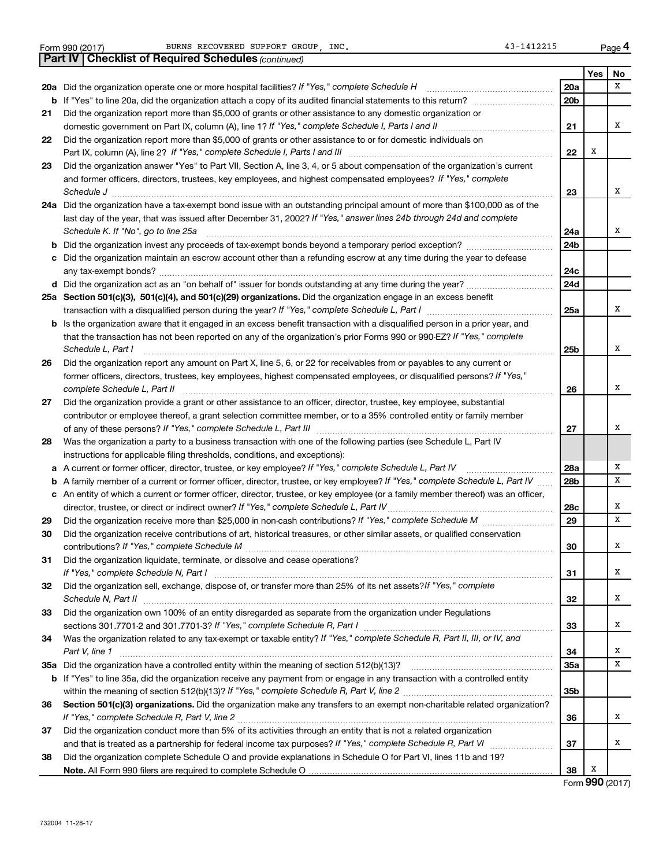|  | Form 990 (2017) |
|--|-----------------|
|  |                 |

|     | <b>Part IV   Checklist of Required Schedules (continued)</b>                                                                      |                 |     |    |
|-----|-----------------------------------------------------------------------------------------------------------------------------------|-----------------|-----|----|
|     |                                                                                                                                   |                 | Yes | No |
|     | 20a Did the organization operate one or more hospital facilities? If "Yes," complete Schedule H                                   | 20a             |     | x  |
|     |                                                                                                                                   | 20 <sub>b</sub> |     |    |
| 21  | Did the organization report more than \$5,000 of grants or other assistance to any domestic organization or                       |                 |     |    |
|     |                                                                                                                                   | 21              |     | x  |
| 22  | Did the organization report more than \$5,000 of grants or other assistance to or for domestic individuals on                     |                 |     |    |
|     |                                                                                                                                   | 22              | X   |    |
| 23  | Did the organization answer "Yes" to Part VII, Section A, line 3, 4, or 5 about compensation of the organization's current        |                 |     |    |
|     | and former officers, directors, trustees, key employees, and highest compensated employees? If "Yes," complete                    |                 |     |    |
|     | Schedule J <b>Execute Schedule J Execute Schedule J</b>                                                                           | 23              |     | х  |
|     | 24a Did the organization have a tax-exempt bond issue with an outstanding principal amount of more than \$100,000 as of the       |                 |     |    |
|     | last day of the year, that was issued after December 31, 2002? If "Yes," answer lines 24b through 24d and complete                |                 |     |    |
|     | Schedule K. If "No", go to line 25a                                                                                               | 24a             |     | x  |
| b   |                                                                                                                                   | 24 <sub>b</sub> |     |    |
|     | Did the organization maintain an escrow account other than a refunding escrow at any time during the year to defease              |                 |     |    |
|     |                                                                                                                                   | 24c             |     |    |
|     | d Did the organization act as an "on behalf of" issuer for bonds outstanding at any time during the year?                         | 24d             |     |    |
|     | 25a Section 501(c)(3), 501(c)(4), and 501(c)(29) organizations. Did the organization engage in an excess benefit                  |                 |     |    |
|     |                                                                                                                                   | 25a             |     | x  |
| b   | Is the organization aware that it engaged in an excess benefit transaction with a disqualified person in a prior year, and        |                 |     |    |
|     | that the transaction has not been reported on any of the organization's prior Forms 990 or 990-EZ? If "Yes," complete             |                 |     |    |
|     | Schedule L, Part I                                                                                                                | 25b             |     | x  |
| 26  | Did the organization report any amount on Part X, line 5, 6, or 22 for receivables from or payables to any current or             |                 |     |    |
|     | former officers, directors, trustees, key employees, highest compensated employees, or disqualified persons? If "Yes,"            |                 |     |    |
|     | complete Schedule L, Part II                                                                                                      | 26              |     | x  |
| 27  | Did the organization provide a grant or other assistance to an officer, director, trustee, key employee, substantial              |                 |     |    |
|     | contributor or employee thereof, a grant selection committee member, or to a 35% controlled entity or family member               |                 |     |    |
|     |                                                                                                                                   | 27              |     | х  |
| 28  | Was the organization a party to a business transaction with one of the following parties (see Schedule L, Part IV                 |                 |     |    |
|     | instructions for applicable filing thresholds, conditions, and exceptions):                                                       |                 |     |    |
| а   | A current or former officer, director, trustee, or key employee? If "Yes," complete Schedule L, Part IV                           | 28a             |     | Х  |
| b   | A family member of a current or former officer, director, trustee, or key employee? If "Yes," complete Schedule L, Part IV        | 28b             |     | x  |
|     | c An entity of which a current or former officer, director, trustee, or key employee (or a family member thereof) was an officer, |                 |     |    |
|     |                                                                                                                                   | 28c             |     | х  |
| 29  |                                                                                                                                   | 29              |     | x  |
| 30  | Did the organization receive contributions of art, historical treasures, or other similar assets, or qualified conservation       |                 |     |    |
|     |                                                                                                                                   | 30              |     | х  |
| 31  | Did the organization liquidate, terminate, or dissolve and cease operations?                                                      |                 |     |    |
|     |                                                                                                                                   | 31              |     | x  |
| 32  | Did the organization sell, exchange, dispose of, or transfer more than 25% of its net assets?/f "Yes," complete                   |                 |     |    |
|     | Schedule N, Part II                                                                                                               | 32              |     | x  |
| 33  | Did the organization own 100% of an entity disregarded as separate from the organization under Regulations                        |                 |     |    |
|     |                                                                                                                                   | 33              |     | x  |
| 34  | Was the organization related to any tax-exempt or taxable entity? If "Yes," complete Schedule R, Part II, III, or IV, and         |                 |     |    |
|     | Part V, line 1                                                                                                                    | 34              |     | x  |
| 35а |                                                                                                                                   | 35a             |     | x  |
|     | b If "Yes" to line 35a, did the organization receive any payment from or engage in any transaction with a controlled entity       |                 |     |    |
|     |                                                                                                                                   | 35b             |     |    |
| 36  | Section 501(c)(3) organizations. Did the organization make any transfers to an exempt non-charitable related organization?        |                 |     |    |
|     |                                                                                                                                   | 36              |     | x  |
| 37  | Did the organization conduct more than 5% of its activities through an entity that is not a related organization                  |                 |     |    |
|     |                                                                                                                                   | 37              |     | x  |
| 38  | Did the organization complete Schedule O and provide explanations in Schedule O for Part VI, lines 11b and 19?                    |                 |     |    |
|     |                                                                                                                                   | 38              | X   |    |

Form (2017) **990**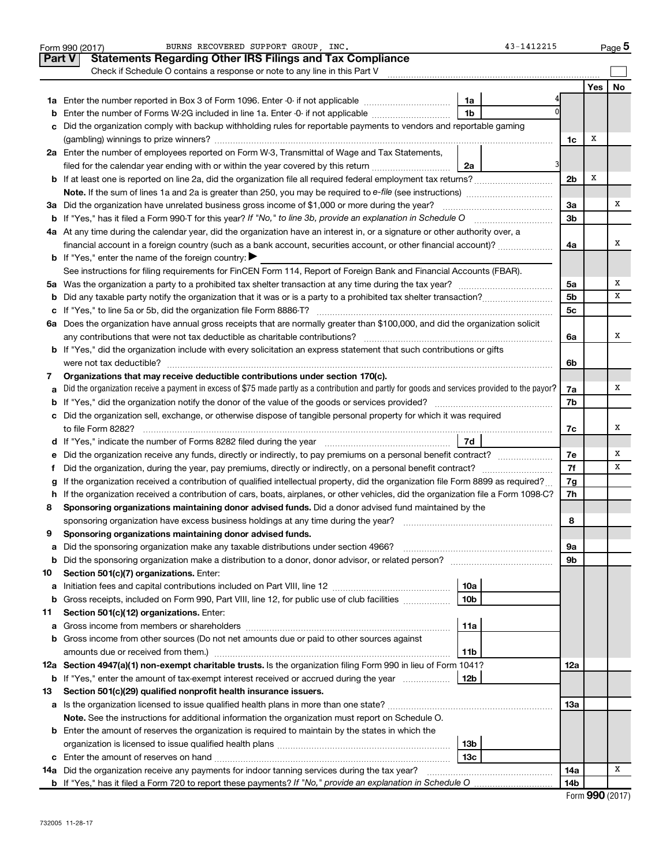|               | BURNS RECOVERED SUPPORT GROUP . INC.<br>43-1412215<br>Form 990 (2017)                                                                                                                                                            |                |     | Page 5 |
|---------------|----------------------------------------------------------------------------------------------------------------------------------------------------------------------------------------------------------------------------------|----------------|-----|--------|
| <b>Part V</b> | <b>Statements Regarding Other IRS Filings and Tax Compliance</b>                                                                                                                                                                 |                |     |        |
|               | Check if Schedule O contains a response or note to any line in this Part V                                                                                                                                                       |                |     |        |
|               |                                                                                                                                                                                                                                  |                | Yes | No     |
|               | 1a                                                                                                                                                                                                                               |                |     |        |
| b             | 1 <sub>b</sub><br>Enter the number of Forms W-2G included in line 1a. Enter -0- if not applicable                                                                                                                                |                |     |        |
| с             | Did the organization comply with backup withholding rules for reportable payments to vendors and reportable gaming                                                                                                               |                |     |        |
|               |                                                                                                                                                                                                                                  | 1c             | x   |        |
|               | 2a Enter the number of employees reported on Form W-3, Transmittal of Wage and Tax Statements,                                                                                                                                   |                |     |        |
|               | filed for the calendar year ending with or within the year covered by this return<br>2a                                                                                                                                          |                |     |        |
|               |                                                                                                                                                                                                                                  | 2 <sub>b</sub> | Х   |        |
|               |                                                                                                                                                                                                                                  |                |     |        |
|               | 3a Did the organization have unrelated business gross income of \$1,000 or more during the year?                                                                                                                                 | За             |     | Χ      |
|               |                                                                                                                                                                                                                                  | 3b             |     |        |
|               | 4a At any time during the calendar year, did the organization have an interest in, or a signature or other authority over, a                                                                                                     |                |     |        |
|               | financial account in a foreign country (such as a bank account, securities account, or other financial account)?                                                                                                                 | 4a             |     | х      |
|               | <b>b</b> If "Yes," enter the name of the foreign country: $\blacktriangleright$                                                                                                                                                  |                |     |        |
|               | See instructions for filing requirements for FinCEN Form 114, Report of Foreign Bank and Financial Accounts (FBAR).                                                                                                              |                |     |        |
|               |                                                                                                                                                                                                                                  | 5a             |     | Χ      |
| b             |                                                                                                                                                                                                                                  | 5b             |     | x      |
|               |                                                                                                                                                                                                                                  | 5c             |     |        |
|               | 6a Does the organization have annual gross receipts that are normally greater than \$100,000, and did the organization solicit                                                                                                   |                |     |        |
|               |                                                                                                                                                                                                                                  | 6a             |     | x      |
|               | <b>b</b> If "Yes," did the organization include with every solicitation an express statement that such contributions or gifts                                                                                                    |                |     |        |
|               |                                                                                                                                                                                                                                  | 6b             |     |        |
| 7             | Organizations that may receive deductible contributions under section 170(c).<br>Did the organization receive a payment in excess of \$75 made partly as a contribution and partly for goods and services provided to the payor? |                |     | Χ      |
| а             |                                                                                                                                                                                                                                  | 7a<br>7b       |     |        |
| b             | c Did the organization sell, exchange, or otherwise dispose of tangible personal property for which it was required                                                                                                              |                |     |        |
|               |                                                                                                                                                                                                                                  | 7c             |     | х      |
|               |                                                                                                                                                                                                                                  |                |     |        |
| е             | Did the organization receive any funds, directly or indirectly, to pay premiums on a personal benefit contract?                                                                                                                  | 7e             |     | Χ      |
| f.            |                                                                                                                                                                                                                                  | 7f             |     | х      |
|               | If the organization received a contribution of qualified intellectual property, did the organization file Form 8899 as required?                                                                                                 | 7g             |     |        |
|               | h If the organization received a contribution of cars, boats, airplanes, or other vehicles, did the organization file a Form 1098-C?                                                                                             | 7h             |     |        |
| 8             | Sponsoring organizations maintaining donor advised funds. Did a donor advised fund maintained by the                                                                                                                             |                |     |        |
|               |                                                                                                                                                                                                                                  | 8              |     |        |
|               | Sponsoring organizations maintaining donor advised funds.                                                                                                                                                                        |                |     |        |
| а             | Did the sponsoring organization make any taxable distributions under section 4966?                                                                                                                                               | 9а             |     |        |
| b             |                                                                                                                                                                                                                                  | 9b             |     |        |
| 10            | Section 501(c)(7) organizations. Enter:                                                                                                                                                                                          |                |     |        |
| а             | 10a                                                                                                                                                                                                                              |                |     |        |
| b             | 10 <sub>b</sub><br>Gross receipts, included on Form 990, Part VIII, line 12, for public use of club facilities                                                                                                                   |                |     |        |
| 11            | Section 501(c)(12) organizations. Enter:                                                                                                                                                                                         |                |     |        |
| а             | 11a                                                                                                                                                                                                                              |                |     |        |
| b             | Gross income from other sources (Do not net amounts due or paid to other sources against                                                                                                                                         |                |     |        |
|               | amounts due or received from them.)<br>11b                                                                                                                                                                                       |                |     |        |
|               | 12a Section 4947(a)(1) non-exempt charitable trusts. Is the organization filing Form 990 in lieu of Form 1041?                                                                                                                   | 12a            |     |        |
|               | <b>b</b> If "Yes," enter the amount of tax-exempt interest received or accrued during the year<br>  12b                                                                                                                          |                |     |        |
| 13            | Section 501(c)(29) qualified nonprofit health insurance issuers.                                                                                                                                                                 |                |     |        |
|               | a Is the organization licensed to issue qualified health plans in more than one state?                                                                                                                                           | 13a            |     |        |
|               | Note. See the instructions for additional information the organization must report on Schedule O.                                                                                                                                |                |     |        |
|               | <b>b</b> Enter the amount of reserves the organization is required to maintain by the states in which the                                                                                                                        |                |     |        |
|               | 13b                                                                                                                                                                                                                              |                |     |        |
|               | 13 <sub>c</sub>                                                                                                                                                                                                                  |                |     |        |
|               | 14a Did the organization receive any payments for indoor tanning services during the tax year?                                                                                                                                   | 14a            |     | x      |
|               |                                                                                                                                                                                                                                  | 14b            |     |        |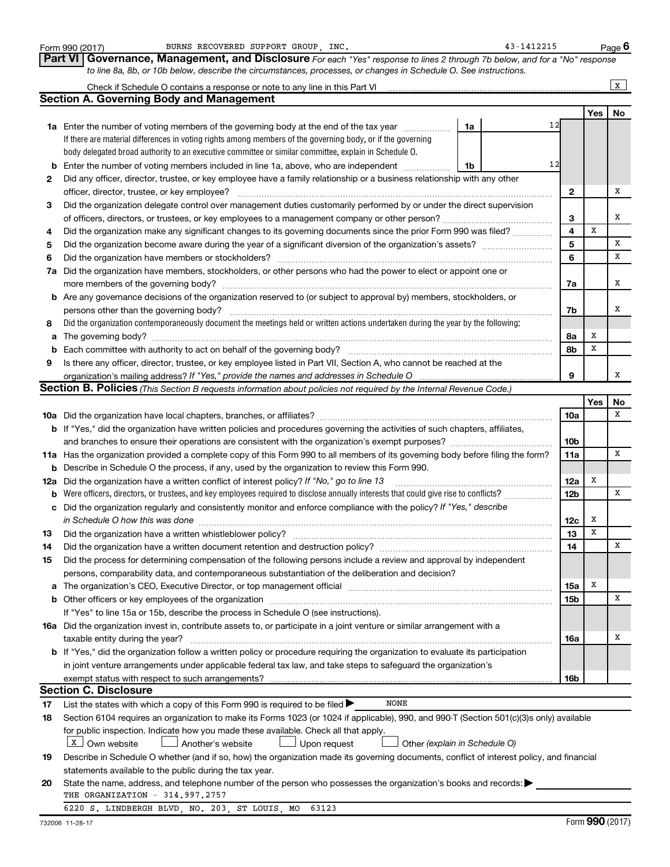|    | BURNS RECOVERED SUPPORT GROUP INC.<br>Form 990 (2017)                                                                                                                                                                          | 43-1412215      |             | Page 6       |
|----|--------------------------------------------------------------------------------------------------------------------------------------------------------------------------------------------------------------------------------|-----------------|-------------|--------------|
|    | <b>Part VI</b><br>Governance, Management, and Disclosure For each "Yes" response to lines 2 through 7b below, and for a "No" response                                                                                          |                 |             |              |
|    | to line 8a, 8b, or 10b below, describe the circumstances, processes, or changes in Schedule O. See instructions.                                                                                                               |                 |             |              |
|    |                                                                                                                                                                                                                                |                 |             | $\mathbf{x}$ |
|    | <b>Section A. Governing Body and Management</b>                                                                                                                                                                                |                 |             |              |
|    |                                                                                                                                                                                                                                |                 | Yes         | No           |
|    | 1a Enter the number of voting members of the governing body at the end of the tax year<br>1a                                                                                                                                   | 12              |             |              |
|    | If there are material differences in voting rights among members of the governing body, or if the governing                                                                                                                    |                 |             |              |
|    | body delegated broad authority to an executive committee or similar committee, explain in Schedule O.                                                                                                                          |                 |             |              |
| b  | Enter the number of voting members included in line 1a, above, who are independent<br>1b                                                                                                                                       | 12              |             |              |
|    | Did any officer, director, trustee, or key employee have a family relationship or a business relationship with any other                                                                                                       |                 |             |              |
| 2  | officer, director, trustee, or key employee?                                                                                                                                                                                   | 2               |             | Х            |
|    |                                                                                                                                                                                                                                |                 |             |              |
| 3  | Did the organization delegate control over management duties customarily performed by or under the direct supervision                                                                                                          |                 |             | х            |
|    |                                                                                                                                                                                                                                | З<br>4          | X           |              |
| 4  | Did the organization make any significant changes to its governing documents since the prior Form 990 was filed?                                                                                                               |                 |             |              |
| 5  |                                                                                                                                                                                                                                | 5               |             | х            |
| 6  | Did the organization have members or stockholders?                                                                                                                                                                             | 6               |             | x            |
| 7a | Did the organization have members, stockholders, or other persons who had the power to elect or appoint one or                                                                                                                 |                 |             |              |
|    | more members of the governing body?                                                                                                                                                                                            | 7a              |             | х            |
|    | <b>b</b> Are any governance decisions of the organization reserved to (or subject to approval by) members, stockholders, or                                                                                                    |                 |             |              |
|    | persons other than the governing body?                                                                                                                                                                                         | 7b              |             | х            |
| 8  | Did the organization contemporaneously document the meetings held or written actions undertaken during the year by the following:                                                                                              |                 |             |              |
| a  |                                                                                                                                                                                                                                | 8a              | х           |              |
| b  |                                                                                                                                                                                                                                | 8b              | X           |              |
| 9  | Is there any officer, director, trustee, or key employee listed in Part VII, Section A, who cannot be reached at the                                                                                                           |                 |             |              |
|    |                                                                                                                                                                                                                                | 9               |             | х            |
|    | <b>Section B. Policies</b> (This Section B requests information about policies not required by the Internal Revenue Code.)                                                                                                     |                 |             |              |
|    |                                                                                                                                                                                                                                |                 | Yes         | No           |
|    |                                                                                                                                                                                                                                | 10a             |             | x            |
|    | <b>b</b> If "Yes," did the organization have written policies and procedures governing the activities of such chapters, affiliates,                                                                                            |                 |             |              |
|    |                                                                                                                                                                                                                                | 10 <sub>b</sub> |             |              |
|    | 11a Has the organization provided a complete copy of this Form 990 to all members of its governing body before filing the form?                                                                                                | 11a             |             | x            |
|    | <b>b</b> Describe in Schedule O the process, if any, used by the organization to review this Form 990.                                                                                                                         |                 |             |              |
|    | 12a Did the organization have a written conflict of interest policy? If "No," go to line 13                                                                                                                                    | 12a             | X           |              |
| b  | Were officers, directors, or trustees, and key employees required to disclose annually interests that could give rise to conflicts?                                                                                            | 12 <sub>b</sub> |             | x            |
| c  | Did the organization regularly and consistently monitor and enforce compliance with the policy? If "Yes," describe                                                                                                             |                 |             |              |
|    |                                                                                                                                                                                                                                | 12c             | x           |              |
| 13 | Did the organization have a written whistleblower policy?                                                                                                                                                                      | 13              | $\mathbf x$ |              |
| 14 | Did the organization have a written document retention and destruction policy? [11] manufaction in the organization have a written document retention and destruction policy?                                                  | 14              |             | X            |
| 15 | Did the process for determining compensation of the following persons include a review and approval by independent                                                                                                             |                 |             |              |
|    | persons, comparability data, and contemporaneous substantiation of the deliberation and decision?                                                                                                                              |                 |             |              |
| а  | The organization's CEO, Executive Director, or top management official manufactured content of the organization's CEO, Executive Director, or top management official manufactured content of the state of the state of the st | 15a             | X           |              |
| b  | Other officers or key employees of the organization                                                                                                                                                                            | <b>15b</b>      |             | X            |
|    | If "Yes" to line 15a or 15b, describe the process in Schedule O (see instructions).                                                                                                                                            |                 |             |              |
|    | 16a Did the organization invest in, contribute assets to, or participate in a joint venture or similar arrangement with a                                                                                                      |                 |             |              |
|    | taxable entity during the year?                                                                                                                                                                                                | 16a             |             | х            |
|    | <b>b</b> If "Yes," did the organization follow a written policy or procedure requiring the organization to evaluate its participation                                                                                          |                 |             |              |
|    | in joint venture arrangements under applicable federal tax law, and take steps to safeguard the organization's                                                                                                                 |                 |             |              |
|    | exempt status with respect to such arrangements?                                                                                                                                                                               | 16b             |             |              |
|    | <b>Section C. Disclosure</b>                                                                                                                                                                                                   |                 |             |              |
| 17 | <b>NONE</b><br>List the states with which a copy of this Form 990 is required to be filed >                                                                                                                                    |                 |             |              |
| 18 | Section 6104 requires an organization to make its Forms 1023 (or 1024 if applicable), 990, and 990-T (Section 501(c)(3)s only) available                                                                                       |                 |             |              |
|    | for public inspection. Indicate how you made these available. Check all that apply.                                                                                                                                            |                 |             |              |
|    | X   Own website<br>Another's website<br>Upon request<br>Other (explain in Schedule O)                                                                                                                                          |                 |             |              |
| 19 | Describe in Schedule O whether (and if so, how) the organization made its governing documents, conflict of interest policy, and financial                                                                                      |                 |             |              |
|    | statements available to the public during the tax year.                                                                                                                                                                        |                 |             |              |
| 20 | State the name, address, and telephone number of the person who possesses the organization's books and records:                                                                                                                |                 |             |              |
|    | THE ORGANIZATION - 314.997.2757                                                                                                                                                                                                |                 |             |              |
|    | 6220 S. LINDBERGH BLVD, NO. 203, ST LOUIS, MO<br>63123                                                                                                                                                                         |                 |             |              |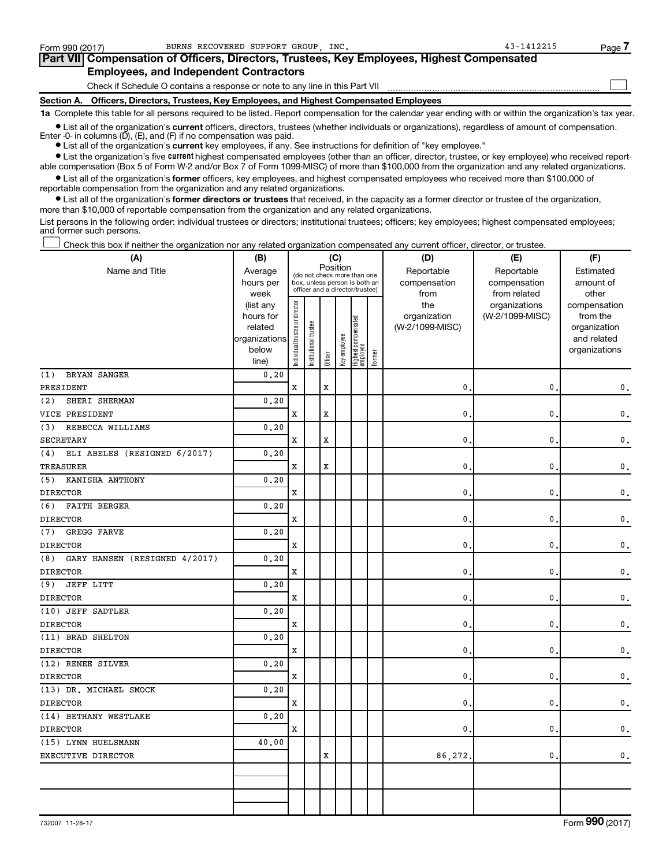| Form 990 (2017) | BURNS RECOVERED SUPPORT GROUP INC.                                                         | 43-1412215 | Page |
|-----------------|--------------------------------------------------------------------------------------------|------------|------|
|                 | Part VII Compensation of Officers, Directors, Trustees, Key Employees, Highest Compensated |            |      |
|                 | <b>Employees, and Independent Contractors</b>                                              |            |      |
|                 | Check if Schedule O contains a response or note to any line in this Part VII               |            |      |
|                 | Section A. Officers, Directors, Trustees, Key Employees, and Highest Compensated Employees |            |      |

**1a**  Complete this table for all persons required to be listed. Report compensation for the calendar year ending with or within the organization's tax year.

**•** List all of the organization's current officers, directors, trustees (whether individuals or organizations), regardless of amount of compensation. Enter -0- in columns (D), (E), and (F) if no compensation was paid.

**•** List all of the organization's **current** key employees, if any. See instructions for definition of "key employee."

**•** List the organization's five current highest compensated employees (other than an officer, director, trustee, or key employee) who received reportable compensation (Box 5 of Form W-2 and/or Box 7 of Form 1099-MISC) of more than \$100,000 from the organization and any related organizations.

**•** List all of the organization's former officers, key employees, and highest compensated employees who received more than \$100,000 of reportable compensation from the organization and any related organizations.

**•** List all of the organization's former directors or trustees that received, in the capacity as a former director or trustee of the organization, more than \$10,000 of reportable compensation from the organization and any related organizations.

List persons in the following order: individual trustees or directors; institutional trustees; officers; key employees; highest compensated employees; and former such persons.

Check this box if neither the organization nor any related organization compensated any current officer, director, or trustee. †

| (A)                                  | (B)                    | (C)                            |                                 |             |              |                                 |        | (D)             | (E)             | (F)                          |
|--------------------------------------|------------------------|--------------------------------|---------------------------------|-------------|--------------|---------------------------------|--------|-----------------|-----------------|------------------------------|
| Name and Title                       | Average                |                                | (do not check more than one     |             | Position     |                                 |        | Reportable      | Reportable      | Estimated                    |
|                                      | hours per              |                                | box, unless person is both an   |             |              |                                 |        | compensation    | compensation    | amount of                    |
|                                      | week                   |                                | officer and a director/trustee) |             |              |                                 |        | from            | from related    | other                        |
|                                      | (list any              |                                |                                 |             |              |                                 |        | the             | organizations   | compensation                 |
|                                      | hours for              |                                |                                 |             |              |                                 |        | organization    | (W-2/1099-MISC) | from the                     |
|                                      | related                |                                |                                 |             |              |                                 |        | (W-2/1099-MISC) |                 | organization                 |
|                                      | organizations<br>below |                                |                                 |             |              |                                 |        |                 |                 | and related<br>organizations |
|                                      | line)                  | Individual trustee or director | Institutional trustee           | Officer     | Key employee | Highest compensated<br>employee | Former |                 |                 |                              |
| BRYAN SANGER<br>(1)                  | 0.20                   |                                |                                 |             |              |                                 |        |                 |                 |                              |
| PRESIDENT                            |                        | X                              |                                 | $\mathbf x$ |              |                                 |        | $\mathbf{0}$ .  | 0               | $\mathbf 0$ .                |
| SHERI SHERMAN<br>(2)                 | 0.20                   |                                |                                 |             |              |                                 |        |                 |                 |                              |
| VICE PRESIDENT                       |                        | X                              |                                 | X           |              |                                 |        | 0.              | 0               | 0.                           |
| (3)<br>REBECCA WILLIAMS              | 0.20                   |                                |                                 |             |              |                                 |        |                 |                 |                              |
| <b>SECRETARY</b>                     |                        | $\mathbf x$                    |                                 | $\mathbf x$ |              |                                 |        | $\mathbf{0}$ .  | 0               | 0.                           |
| ELI ABELES (RESIGNED 6/2017)<br>(4)  | 0.20                   |                                |                                 |             |              |                                 |        |                 |                 |                              |
| <b>TREASURER</b>                     |                        | X                              |                                 | X           |              |                                 |        | 0.              | 0               | 0.                           |
| KANISHA ANTHONY<br>(5)               | 0.20                   |                                |                                 |             |              |                                 |        |                 |                 |                              |
| <b>DIRECTOR</b>                      |                        | X                              |                                 |             |              |                                 |        | $\mathbf{0}$ .  | 0               | 0.                           |
| <b>FAITH BERGER</b><br>(6)           | 0.20                   |                                |                                 |             |              |                                 |        |                 |                 |                              |
| <b>DIRECTOR</b>                      |                        | X                              |                                 |             |              |                                 |        | $\mathbf{0}$ .  | 0               | 0.                           |
| (7)<br>GREGG FARVE                   | 0, 20                  |                                |                                 |             |              |                                 |        |                 |                 |                              |
| <b>DIRECTOR</b>                      |                        | X                              |                                 |             |              |                                 |        | $\mathbf{0}$ .  | 0               | 0.                           |
| GARY HANSEN (RESIGNED 4/2017)<br>(8) | 0.20                   |                                |                                 |             |              |                                 |        |                 |                 |                              |
| <b>DIRECTOR</b>                      |                        | X                              |                                 |             |              |                                 |        | $\mathbf{0}$ .  | 0               | 0.                           |
| <b>JEFF LITT</b><br>(9)              | 0.20                   |                                |                                 |             |              |                                 |        |                 |                 |                              |
| <b>DIRECTOR</b>                      |                        | X                              |                                 |             |              |                                 |        | $\mathbf{0}$ .  | 0               | 0.                           |
| (10) JEFF SADTLER                    | 0.20                   |                                |                                 |             |              |                                 |        |                 |                 |                              |
| <b>DIRECTOR</b>                      |                        | х                              |                                 |             |              |                                 |        | 0.              | 0               | 0.                           |
| (11) BRAD SHELTON                    | 0.20                   |                                |                                 |             |              |                                 |        |                 |                 |                              |
| <b>DIRECTOR</b>                      |                        | $\mathbf x$                    |                                 |             |              |                                 |        | $\mathbf{0}$ .  | 0               | $\mathbf{0}$ .               |
| (12) RENEE SILVER                    | 0.20                   |                                |                                 |             |              |                                 |        |                 |                 |                              |
| <b>DIRECTOR</b>                      |                        | X                              |                                 |             |              |                                 |        | $\mathbf{0}$ .  | 0               | 0.                           |
| (13) DR. MICHAEL SMOCK               | 0.20                   |                                |                                 |             |              |                                 |        |                 |                 |                              |
| <b>DIRECTOR</b>                      |                        | X                              |                                 |             |              |                                 |        | $\mathbf{0}$ .  | 0               | 0.                           |
| (14) BETHANY WESTLAKE                | 0.20                   |                                |                                 |             |              |                                 |        |                 |                 |                              |
| <b>DIRECTOR</b>                      |                        | X                              |                                 |             |              |                                 |        | 0.              | 0               | $\mathbf 0$ .                |
| (15) LYNN HUELSMANN                  | 40.00                  |                                |                                 |             |              |                                 |        |                 |                 |                              |
| EXECUTIVE DIRECTOR                   |                        |                                |                                 | X           |              |                                 |        | 86,272.         | $\mathbf{0}$    | 0.                           |
|                                      |                        |                                |                                 |             |              |                                 |        |                 |                 |                              |
|                                      |                        |                                |                                 |             |              |                                 |        |                 |                 |                              |
|                                      |                        |                                |                                 |             |              |                                 |        |                 |                 |                              |
|                                      |                        |                                |                                 |             |              |                                 |        |                 |                 |                              |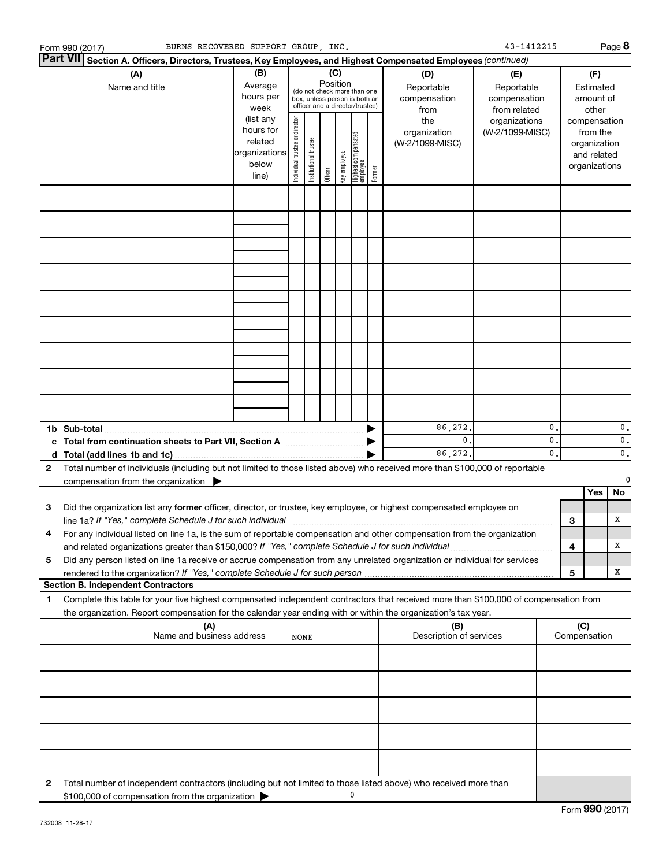|   | BURNS RECOVERED SUPPORT GROUP, INC.<br>Form 990 (2017)                                                                                                                                                                                     |                                                                      |                                |                       |                 |              |                                                                                                 |        |                                           | 43-1412215                                        |                                |     |                                                                          | Page 8   |
|---|--------------------------------------------------------------------------------------------------------------------------------------------------------------------------------------------------------------------------------------------|----------------------------------------------------------------------|--------------------------------|-----------------------|-----------------|--------------|-------------------------------------------------------------------------------------------------|--------|-------------------------------------------|---------------------------------------------------|--------------------------------|-----|--------------------------------------------------------------------------|----------|
|   | <b>Part VII</b><br>Section A. Officers, Directors, Trustees, Key Employees, and Highest Compensated Employees (continued)                                                                                                                  |                                                                      |                                |                       |                 |              |                                                                                                 |        |                                           |                                                   |                                |     |                                                                          |          |
|   | (A)<br>Name and title                                                                                                                                                                                                                      | (B)<br>Average<br>hours per<br>week                                  |                                |                       | (C)<br>Position |              | (do not check more than one<br>box, unless person is both an<br>officer and a director/trustee) |        | (D)<br>Reportable<br>compensation<br>from | (E)<br>Reportable<br>compensation<br>from related |                                |     | (F)<br>Estimated<br>amount of<br>other                                   |          |
|   |                                                                                                                                                                                                                                            | (list any<br>hours for<br>related<br>organizations<br>below<br>line) | Individual trustee or director | Institutional trustee | Officer         | Key employee | Highest compensated<br>employee                                                                 | Former | the<br>organization<br>(W-2/1099-MISC)    | organizations<br>(W-2/1099-MISC)                  |                                |     | compensation<br>from the<br>organization<br>and related<br>organizations |          |
|   |                                                                                                                                                                                                                                            |                                                                      |                                |                       |                 |              |                                                                                                 |        |                                           |                                                   |                                |     |                                                                          |          |
|   |                                                                                                                                                                                                                                            |                                                                      |                                |                       |                 |              |                                                                                                 |        |                                           |                                                   |                                |     |                                                                          |          |
|   |                                                                                                                                                                                                                                            |                                                                      |                                |                       |                 |              |                                                                                                 |        |                                           |                                                   |                                |     |                                                                          |          |
|   |                                                                                                                                                                                                                                            |                                                                      |                                |                       |                 |              |                                                                                                 |        |                                           |                                                   |                                |     |                                                                          |          |
|   |                                                                                                                                                                                                                                            |                                                                      |                                |                       |                 |              |                                                                                                 |        |                                           |                                                   |                                |     |                                                                          |          |
|   |                                                                                                                                                                                                                                            |                                                                      |                                |                       |                 |              |                                                                                                 |        |                                           |                                                   |                                |     |                                                                          |          |
|   |                                                                                                                                                                                                                                            |                                                                      |                                |                       |                 |              |                                                                                                 |        |                                           |                                                   |                                |     |                                                                          |          |
|   |                                                                                                                                                                                                                                            |                                                                      |                                |                       |                 |              |                                                                                                 |        |                                           |                                                   |                                |     |                                                                          |          |
|   |                                                                                                                                                                                                                                            |                                                                      |                                |                       |                 |              |                                                                                                 |        |                                           |                                                   |                                |     |                                                                          |          |
|   |                                                                                                                                                                                                                                            |                                                                      |                                |                       |                 |              |                                                                                                 |        |                                           |                                                   |                                |     |                                                                          |          |
|   |                                                                                                                                                                                                                                            |                                                                      |                                |                       |                 |              |                                                                                                 |        | 86,272.                                   |                                                   | 0                              |     |                                                                          | 0.       |
|   |                                                                                                                                                                                                                                            |                                                                      |                                |                       |                 |              |                                                                                                 |        | $\mathbf{0}$ .<br>86,272.                 |                                                   | $\mathbf{0}$<br>$\mathbf{0}$ . |     |                                                                          | 0.<br>0. |
| 2 | Total number of individuals (including but not limited to those listed above) who received more than \$100,000 of reportable                                                                                                               |                                                                      |                                |                       |                 |              |                                                                                                 |        |                                           |                                                   |                                |     |                                                                          |          |
|   | compensation from the organization                                                                                                                                                                                                         |                                                                      |                                |                       |                 |              |                                                                                                 |        |                                           |                                                   |                                |     | Yes                                                                      | 0<br>No  |
| 3 | Did the organization list any former officer, director, or trustee, key employee, or highest compensated employee on                                                                                                                       |                                                                      |                                |                       |                 |              |                                                                                                 |        |                                           |                                                   |                                |     |                                                                          |          |
|   | line 1a? If "Yes," complete Schedule J for such individual manufactured content to the settlement of the settl<br>For any individual listed on line 1a, is the sum of reportable compensation and other compensation from the organization |                                                                      |                                |                       |                 |              |                                                                                                 |        |                                           |                                                   |                                | 3   |                                                                          | х        |
| 5 | and related organizations greater than \$150,000? If "Yes," complete Schedule J for such individual<br>Did any person listed on line 1a receive or accrue compensation from any unrelated organization or individual for services          |                                                                      |                                |                       |                 |              |                                                                                                 |        |                                           |                                                   |                                | 4   |                                                                          | х        |
|   | rendered to the organization? If "Yes," complete Schedule J for such person<br><b>Section B. Independent Contractors</b>                                                                                                                   |                                                                      |                                |                       |                 |              |                                                                                                 |        |                                           |                                                   |                                | 5   |                                                                          | х        |
| 1 | Complete this table for your five highest compensated independent contractors that received more than \$100,000 of compensation from                                                                                                       |                                                                      |                                |                       |                 |              |                                                                                                 |        |                                           |                                                   |                                |     |                                                                          |          |
|   | the organization. Report compensation for the calendar year ending with or within the organization's tax year.                                                                                                                             |                                                                      |                                |                       |                 |              |                                                                                                 |        |                                           |                                                   |                                |     |                                                                          |          |
|   | (A)<br>Name and business address                                                                                                                                                                                                           |                                                                      | NONE                           |                       |                 |              |                                                                                                 |        | (B)<br>Description of services            |                                                   |                                | (C) | Compensation                                                             |          |
|   |                                                                                                                                                                                                                                            |                                                                      |                                |                       |                 |              |                                                                                                 |        |                                           |                                                   |                                |     |                                                                          |          |
|   |                                                                                                                                                                                                                                            |                                                                      |                                |                       |                 |              |                                                                                                 |        |                                           |                                                   |                                |     |                                                                          |          |
|   |                                                                                                                                                                                                                                            |                                                                      |                                |                       |                 |              |                                                                                                 |        |                                           |                                                   |                                |     |                                                                          |          |
|   |                                                                                                                                                                                                                                            |                                                                      |                                |                       |                 |              |                                                                                                 |        |                                           |                                                   |                                |     |                                                                          |          |
|   |                                                                                                                                                                                                                                            |                                                                      |                                |                       |                 |              |                                                                                                 |        |                                           |                                                   |                                |     |                                                                          |          |
| 2 | Total number of independent contractors (including but not limited to those listed above) who received more than<br>\$100,000 of compensation from the organization                                                                        |                                                                      |                                |                       |                 |              | 0                                                                                               |        |                                           |                                                   |                                |     |                                                                          |          |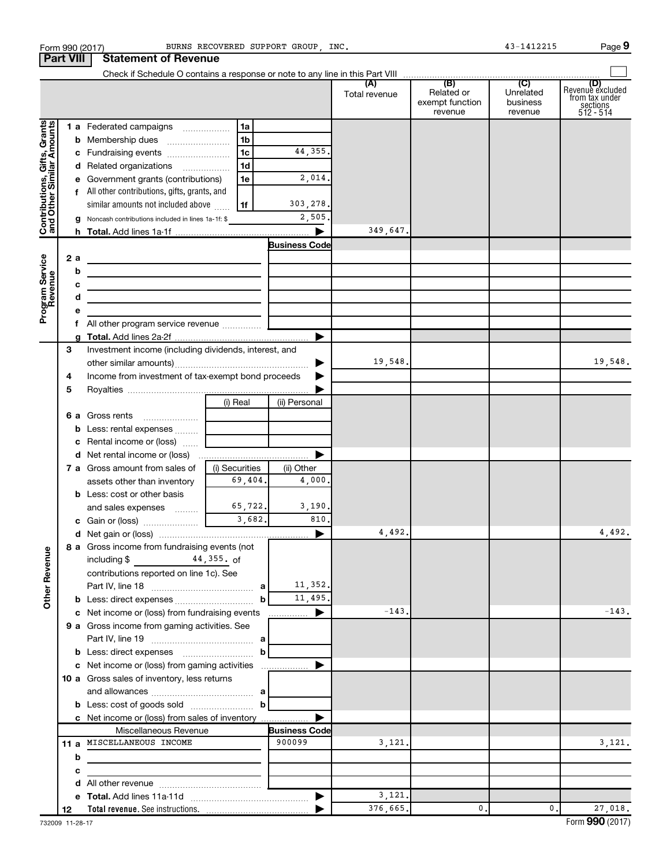|                                                           | Form 990 (2017)  |                                                                                           |                | BURNS RECOVERED SUPPORT GROUP . INC. |                      |                                                 | 43-1412215                                         | Page 9                                                             |
|-----------------------------------------------------------|------------------|-------------------------------------------------------------------------------------------|----------------|--------------------------------------|----------------------|-------------------------------------------------|----------------------------------------------------|--------------------------------------------------------------------|
|                                                           | <b>Part VIII</b> | <b>Statement of Revenue</b>                                                               |                |                                      |                      |                                                 |                                                    |                                                                    |
|                                                           |                  |                                                                                           |                |                                      |                      |                                                 |                                                    |                                                                    |
|                                                           |                  |                                                                                           |                |                                      | (A)<br>Total revenue | (B)<br>Related or<br>exempt function<br>revenue | $\overline{C}$<br>Unrelated<br>business<br>revenue | (D)<br>Revenue excluded<br>from tax under<br>sections<br>512 - 514 |
|                                                           |                  | 1 a Federated campaigns                                                                   | 1a             |                                      |                      |                                                 |                                                    |                                                                    |
| Contributions, Gifts, Grants<br>and Other Similar Amounts |                  |                                                                                           | 1b             |                                      |                      |                                                 |                                                    |                                                                    |
|                                                           |                  | c Fundraising events                                                                      | 1 <sub>c</sub> | 44,355.                              |                      |                                                 |                                                    |                                                                    |
|                                                           |                  | d Related organizations                                                                   | 1 <sub>d</sub> |                                      |                      |                                                 |                                                    |                                                                    |
|                                                           |                  | e Government grants (contributions)                                                       | 1e             | 2,014.                               |                      |                                                 |                                                    |                                                                    |
|                                                           |                  | f All other contributions, gifts, grants, and                                             |                |                                      |                      |                                                 |                                                    |                                                                    |
|                                                           |                  | similar amounts not included above                                                        | 1f             | 303,278.                             |                      |                                                 |                                                    |                                                                    |
|                                                           |                  | g Noncash contributions included in lines 1a-1f: \$                                       |                | 2,505.                               |                      |                                                 |                                                    |                                                                    |
|                                                           |                  |                                                                                           |                |                                      | 349,647.             |                                                 |                                                    |                                                                    |
|                                                           |                  |                                                                                           |                | <b>Business Code</b>                 |                      |                                                 |                                                    |                                                                    |
|                                                           | 2 a              |                                                                                           |                |                                      |                      |                                                 |                                                    |                                                                    |
| Program Service<br>Revenue                                | b                |                                                                                           |                |                                      |                      |                                                 |                                                    |                                                                    |
|                                                           | c                | the control of the control of the control of the control of the control of the control of |                |                                      |                      |                                                 |                                                    |                                                                    |
|                                                           | d                | the contract of the contract of the contract of the contract of the contract of           |                |                                      |                      |                                                 |                                                    |                                                                    |
|                                                           | е                | the control of the control of the control of the control of the control of                |                |                                      |                      |                                                 |                                                    |                                                                    |
|                                                           | f.               | All other program service revenue                                                         |                |                                      |                      |                                                 |                                                    |                                                                    |
|                                                           |                  |                                                                                           |                |                                      |                      |                                                 |                                                    |                                                                    |
|                                                           | З                | Investment income (including dividends, interest, and                                     |                |                                      |                      |                                                 |                                                    |                                                                    |
|                                                           |                  |                                                                                           |                | ▶                                    | 19,548.              |                                                 |                                                    | 19,548.                                                            |
|                                                           |                  | Income from investment of tax-exempt bond proceeds                                        |                |                                      |                      |                                                 |                                                    |                                                                    |
|                                                           | 4                |                                                                                           |                |                                      |                      |                                                 |                                                    |                                                                    |
|                                                           | 5                |                                                                                           |                |                                      |                      |                                                 |                                                    |                                                                    |
|                                                           |                  |                                                                                           | (i) Real       | (ii) Personal                        |                      |                                                 |                                                    |                                                                    |
|                                                           |                  |                                                                                           |                |                                      |                      |                                                 |                                                    |                                                                    |
|                                                           |                  | <b>b</b> Less: rental expenses                                                            |                |                                      |                      |                                                 |                                                    |                                                                    |
|                                                           |                  | <b>c</b> Rental income or (loss) $\ldots$                                                 |                |                                      |                      |                                                 |                                                    |                                                                    |
|                                                           |                  |                                                                                           |                | ▶                                    |                      |                                                 |                                                    |                                                                    |
|                                                           |                  | <b>7 a</b> Gross amount from sales of                                                     | (i) Securities | (ii) Other                           |                      |                                                 |                                                    |                                                                    |
|                                                           |                  | assets other than inventory                                                               | 69,404.        | 4,000.                               |                      |                                                 |                                                    |                                                                    |
|                                                           |                  | <b>b</b> Less: cost or other basis                                                        |                |                                      |                      |                                                 |                                                    |                                                                    |
|                                                           |                  | and sales expenses                                                                        | 65,722.        | 3,190.                               |                      |                                                 |                                                    |                                                                    |
|                                                           |                  |                                                                                           | 3,682.         | 810                                  |                      |                                                 |                                                    |                                                                    |
|                                                           |                  |                                                                                           |                |                                      | 4,492.               |                                                 |                                                    | 4,492.                                                             |
|                                                           |                  | 8 a Gross income from fundraising events (not                                             |                |                                      |                      |                                                 |                                                    |                                                                    |
|                                                           |                  | including \$<br>$44,355.$ of                                                              |                |                                      |                      |                                                 |                                                    |                                                                    |
|                                                           |                  | contributions reported on line 1c). See                                                   |                |                                      |                      |                                                 |                                                    |                                                                    |
|                                                           |                  |                                                                                           |                | 11,352.                              |                      |                                                 |                                                    |                                                                    |
| <b>Other Revenue</b>                                      |                  |                                                                                           | b              | 11,495.                              |                      |                                                 |                                                    |                                                                    |
|                                                           |                  | c Net income or (loss) from fundraising events                                            |                | ▶                                    | $-143.$              |                                                 |                                                    | $-143.$                                                            |
|                                                           |                  | 9 a Gross income from gaming activities. See                                              |                |                                      |                      |                                                 |                                                    |                                                                    |
|                                                           |                  |                                                                                           |                |                                      |                      |                                                 |                                                    |                                                                    |
|                                                           |                  |                                                                                           |                |                                      |                      |                                                 |                                                    |                                                                    |
|                                                           |                  | c Net income or (loss) from gaming activities                                             |                | ▶                                    |                      |                                                 |                                                    |                                                                    |
|                                                           |                  | <b>10 a</b> Gross sales of inventory, less returns                                        |                |                                      |                      |                                                 |                                                    |                                                                    |
|                                                           |                  |                                                                                           |                |                                      |                      |                                                 |                                                    |                                                                    |
|                                                           |                  | <b>b</b> Less: cost of goods sold $\ldots$ <b>b</b>                                       |                |                                      |                      |                                                 |                                                    |                                                                    |
|                                                           |                  | c Net income or (loss) from sales of inventory                                            |                |                                      |                      |                                                 |                                                    |                                                                    |
|                                                           |                  | Miscellaneous Revenue                                                                     |                | <b>Business Code</b>                 |                      |                                                 |                                                    |                                                                    |
|                                                           |                  | 11 a MISCELLANEOUS INCOME                                                                 |                | 900099                               | 3,121.               |                                                 |                                                    | 3,121.                                                             |
|                                                           | b                |                                                                                           |                |                                      |                      |                                                 |                                                    |                                                                    |
|                                                           | с                |                                                                                           |                |                                      |                      |                                                 |                                                    |                                                                    |
|                                                           | d                |                                                                                           |                |                                      |                      |                                                 |                                                    |                                                                    |
|                                                           |                  |                                                                                           |                |                                      | 3,121.               |                                                 |                                                    |                                                                    |
|                                                           | 12               |                                                                                           |                |                                      | 376,665.             | 0.                                              | $\mathbf{0}$ .                                     | 27,018.                                                            |
|                                                           |                  |                                                                                           |                |                                      |                      |                                                 |                                                    |                                                                    |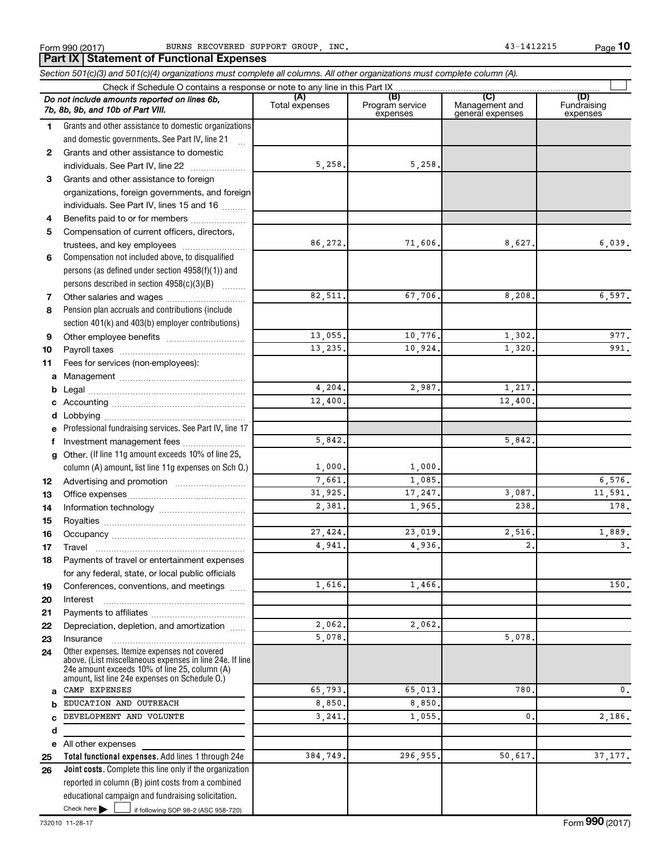**Part IX | Statement of Functional Expenses** 

**10**

|              | Section 501(c)(3) and 501(c)(4) organizations must complete all columns. All other organizations must complete column (A).                                                                                  |                       |                                    |                                           |                                |
|--------------|-------------------------------------------------------------------------------------------------------------------------------------------------------------------------------------------------------------|-----------------------|------------------------------------|-------------------------------------------|--------------------------------|
|              |                                                                                                                                                                                                             |                       |                                    |                                           |                                |
|              | Do not include amounts reported on lines 6b,<br>7b, 8b, 9b, and 10b of Part VIII.                                                                                                                           | (A)<br>Total expenses | (B)<br>Program service<br>expenses | (C)<br>Management and<br>general expenses | (D)<br>Fundraising<br>expenses |
| 1            | Grants and other assistance to domestic organizations                                                                                                                                                       |                       |                                    |                                           |                                |
|              | and domestic governments. See Part IV, line 21                                                                                                                                                              |                       |                                    |                                           |                                |
| $\mathbf{2}$ | Grants and other assistance to domestic                                                                                                                                                                     |                       |                                    |                                           |                                |
|              | individuals. See Part IV, line 22                                                                                                                                                                           | 5,258.                | 5,258.                             |                                           |                                |
| 3            | Grants and other assistance to foreign                                                                                                                                                                      |                       |                                    |                                           |                                |
|              | organizations, foreign governments, and foreign                                                                                                                                                             |                       |                                    |                                           |                                |
|              | individuals. See Part IV, lines 15 and 16                                                                                                                                                                   |                       |                                    |                                           |                                |
| 4            | Benefits paid to or for members                                                                                                                                                                             |                       |                                    |                                           |                                |
| 5            | Compensation of current officers, directors,                                                                                                                                                                |                       |                                    |                                           |                                |
|              | trustees, and key employees                                                                                                                                                                                 | 86,272.               | 71,606.                            | 8,627.                                    | 6,039.                         |
| 6            | Compensation not included above, to disqualified                                                                                                                                                            |                       |                                    |                                           |                                |
|              | persons (as defined under section 4958(f)(1)) and                                                                                                                                                           |                       |                                    |                                           |                                |
|              | persons described in section 4958(c)(3)(B)                                                                                                                                                                  |                       |                                    |                                           |                                |
| 7            |                                                                                                                                                                                                             | 82,511.               | 67,706.                            | 8,208.                                    | 6,597.                         |
| 8            | Pension plan accruals and contributions (include                                                                                                                                                            |                       |                                    |                                           |                                |
|              | section 401(k) and 403(b) employer contributions)                                                                                                                                                           |                       |                                    |                                           |                                |
| 9            |                                                                                                                                                                                                             | 13,055.               | 10,776.                            | 1,302.                                    | 977.                           |
| 10           |                                                                                                                                                                                                             | 13,235.               | 10,924.                            | 1,320.                                    | 991.                           |
| 11           | Fees for services (non-employees):                                                                                                                                                                          |                       |                                    |                                           |                                |
|              |                                                                                                                                                                                                             |                       |                                    |                                           |                                |
|              |                                                                                                                                                                                                             | 4,204.                | 2,987.                             | 1,217.                                    |                                |
|              |                                                                                                                                                                                                             | 12,400.               |                                    | 12,400.                                   |                                |
|              | <b>d</b> Lobbying                                                                                                                                                                                           |                       |                                    |                                           |                                |
|              | Professional fundraising services. See Part IV, line 17                                                                                                                                                     |                       |                                    |                                           |                                |
| f.           | Investment management fees                                                                                                                                                                                  | 5,842.                |                                    | 5,842.                                    |                                |
| g            | Other. (If line 11g amount exceeds 10% of line 25,                                                                                                                                                          |                       |                                    |                                           |                                |
|              | column (A) amount, list line 11g expenses on Sch O.)                                                                                                                                                        | 1,000.                | 1,000.                             |                                           |                                |
| 12           |                                                                                                                                                                                                             | 7,661.                | 1,085.                             |                                           | 6,576.                         |
| 13           |                                                                                                                                                                                                             | 31,925.               | 17,247.                            | 3,087.                                    | 11,591.                        |
| 14           |                                                                                                                                                                                                             | 2,381.                | 1,965.                             | 238.                                      | 178.                           |
| 15           |                                                                                                                                                                                                             |                       |                                    |                                           |                                |
| 16           |                                                                                                                                                                                                             | 27,424.               | 23,019.                            | 2,516.                                    | 1,889.                         |
| 17           |                                                                                                                                                                                                             | 4,941.                | 4,936.                             | 2.                                        | 3.                             |
| 18           | Payments of travel or entertainment expenses                                                                                                                                                                |                       |                                    |                                           |                                |
|              | for any federal, state, or local public officials                                                                                                                                                           |                       |                                    |                                           |                                |
| 19           | Conferences, conventions, and meetings                                                                                                                                                                      | 1,616.                | 1,466.                             |                                           | 150.                           |
| 20           | Interest                                                                                                                                                                                                    |                       |                                    |                                           |                                |
| 21           |                                                                                                                                                                                                             |                       |                                    |                                           |                                |
| 22           | Depreciation, depletion, and amortization                                                                                                                                                                   | 2,062.                | 2,062.                             |                                           |                                |
| 23           | Insurance                                                                                                                                                                                                   | 5,078.                |                                    | 5,078.                                    |                                |
| 24           | Other expenses. Itemize expenses not covered<br>above. (List miscellaneous expenses in line 24e. If line<br>24e amount exceeds 10% of line 25, column (A)<br>amount, list line 24e expenses on Schedule O.) |                       |                                    |                                           |                                |
| a            | CAMP EXPENSES                                                                                                                                                                                               | 65,793.               | 65,013.                            | 780.                                      | 0.                             |
|              | EDUCATION AND OUTREACH                                                                                                                                                                                      | 8,850,                | 8,850.                             |                                           |                                |
| C            | DEVELOPMENT AND VOLUNTE                                                                                                                                                                                     | 3,241                 | 1,055.                             | 0.                                        | 2,186.                         |
| d            |                                                                                                                                                                                                             |                       |                                    |                                           |                                |
|              | e All other expenses                                                                                                                                                                                        |                       |                                    |                                           |                                |
| 25           | Total functional expenses. Add lines 1 through 24e                                                                                                                                                          | 384,749.              | 296,955.                           | 50,617.                                   | 37, 177.                       |
| 26           | Joint costs. Complete this line only if the organization                                                                                                                                                    |                       |                                    |                                           |                                |
|              | reported in column (B) joint costs from a combined                                                                                                                                                          |                       |                                    |                                           |                                |
|              | educational campaign and fundraising solicitation.                                                                                                                                                          |                       |                                    |                                           |                                |

Check here

Check here  $\begin{array}{c} \begin{array}{|c} \hline \end{array} \end{array}$  if following SOP 98-2 (ASC 958-720)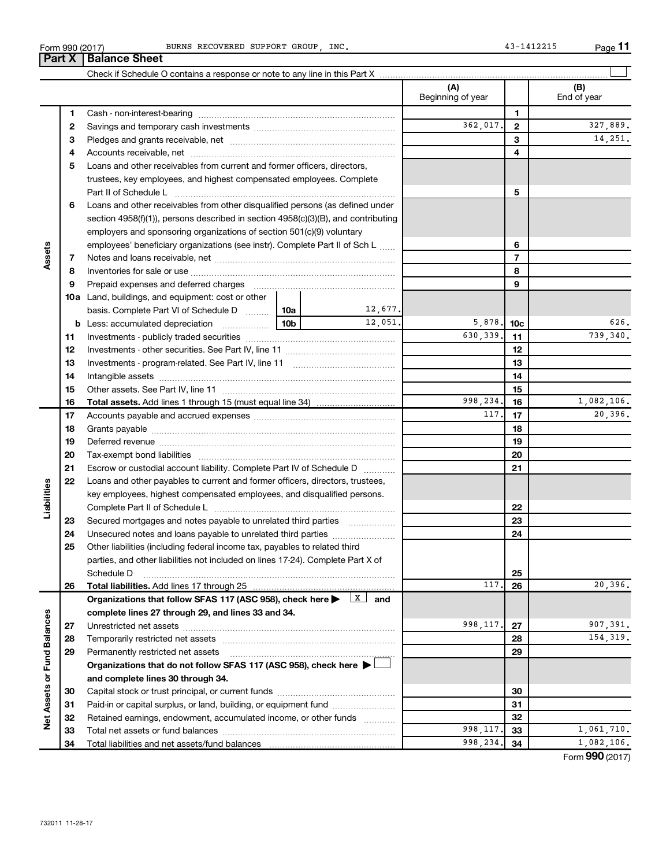| Form 990 (2017) |                               | BURNS RECOVERED SUPPORT GROUP INC |  |  |
|-----------------|-------------------------------|-----------------------------------|--|--|
|                 | <b>Part X   Balance Sheet</b> |                                   |  |  |

| <b>Balance Sheet</b>                   |                   |   |                   |  |  |  |  |  |  |  |
|----------------------------------------|-------------------|---|-------------------|--|--|--|--|--|--|--|
|                                        |                   |   |                   |  |  |  |  |  |  |  |
|                                        | Beginning of year |   | (B<br>End of year |  |  |  |  |  |  |  |
| Cash - non-interest-bearing            |                   |   |                   |  |  |  |  |  |  |  |
| Savings and temporary cash investments | 362.017.          | ົ | 32"               |  |  |  |  |  |  |  |
| Pledges and grants receivable, net     |                   | з |                   |  |  |  |  |  |  |  |
|                                        |                   |   |                   |  |  |  |  |  |  |  |

|                             | 2  |                                                                                                                                                                                                                                |                 |          | 362,017.  | $\mathbf{2}$             | 327,889.        |
|-----------------------------|----|--------------------------------------------------------------------------------------------------------------------------------------------------------------------------------------------------------------------------------|-----------------|----------|-----------|--------------------------|-----------------|
|                             | З  |                                                                                                                                                                                                                                |                 |          |           | 3                        | 14,251.         |
|                             |    |                                                                                                                                                                                                                                |                 |          |           | 4                        |                 |
|                             | 4  |                                                                                                                                                                                                                                |                 |          |           |                          |                 |
|                             | 5  | Loans and other receivables from current and former officers, directors,                                                                                                                                                       |                 |          |           |                          |                 |
|                             |    | trustees, key employees, and highest compensated employees. Complete                                                                                                                                                           |                 |          |           |                          |                 |
|                             |    | Part II of Schedule L                                                                                                                                                                                                          |                 |          |           | 5                        |                 |
|                             | 6  | Loans and other receivables from other disqualified persons (as defined under                                                                                                                                                  |                 |          |           |                          |                 |
|                             |    | section $4958(f)(1)$ , persons described in section $4958(c)(3)(B)$ , and contributing                                                                                                                                         |                 |          |           |                          |                 |
|                             |    | employers and sponsoring organizations of section 501(c)(9) voluntary                                                                                                                                                          |                 |          |           |                          |                 |
|                             |    | employees' beneficiary organizations (see instr). Complete Part II of Sch L                                                                                                                                                    |                 | 6        |           |                          |                 |
| Assets                      | 7  |                                                                                                                                                                                                                                |                 |          |           | $\overline{\phantom{a}}$ |                 |
|                             | 8  |                                                                                                                                                                                                                                |                 |          |           | 8                        |                 |
|                             | 9  | Prepaid expenses and deferred charges [11] matter continuum matter and referred charges [11] matter continuum matter continuum matter and continuum matter continuum matter continuum matter continuum matter continuum matter |                 |          |           | 9                        |                 |
|                             |    | <b>10a</b> Land, buildings, and equipment: cost or other                                                                                                                                                                       |                 |          |           |                          |                 |
|                             |    | basis. Complete Part VI of Schedule D                                                                                                                                                                                          | 10a             | 12,677.  |           |                          |                 |
|                             |    |                                                                                                                                                                                                                                | 10 <sub>b</sub> | 12,051.  | 5,878.    | 10c                      | 626.            |
|                             | 11 |                                                                                                                                                                                                                                |                 |          | 630,339.  | 11                       | 739,340.        |
|                             | 12 |                                                                                                                                                                                                                                |                 |          |           | 12                       |                 |
|                             | 13 |                                                                                                                                                                                                                                |                 |          |           | 13                       |                 |
|                             | 14 |                                                                                                                                                                                                                                |                 |          |           | 14                       |                 |
|                             | 15 |                                                                                                                                                                                                                                |                 |          | 15        |                          |                 |
|                             | 16 |                                                                                                                                                                                                                                |                 | 998,234. | 16        | 1,082,106.               |                 |
|                             | 17 |                                                                                                                                                                                                                                |                 |          | 117.      | 17                       | 20,396.         |
|                             | 18 |                                                                                                                                                                                                                                |                 |          |           | 18                       |                 |
|                             | 19 |                                                                                                                                                                                                                                |                 |          |           | 19                       |                 |
|                             | 20 |                                                                                                                                                                                                                                |                 |          | 20        |                          |                 |
|                             | 21 | Escrow or custodial account liability. Complete Part IV of Schedule D                                                                                                                                                          |                 | 21       |           |                          |                 |
|                             | 22 | Loans and other payables to current and former officers, directors, trustees,                                                                                                                                                  |                 |          |           |                          |                 |
| Liabilities                 |    | key employees, highest compensated employees, and disqualified persons.                                                                                                                                                        |                 |          |           |                          |                 |
|                             |    |                                                                                                                                                                                                                                |                 |          |           | 22                       |                 |
|                             | 23 | Secured mortgages and notes payable to unrelated third parties                                                                                                                                                                 |                 |          |           | 23                       |                 |
|                             | 24 | Unsecured notes and loans payable to unrelated third parties                                                                                                                                                                   |                 |          |           | 24                       |                 |
|                             | 25 | Other liabilities (including federal income tax, payables to related third                                                                                                                                                     |                 |          |           |                          |                 |
|                             |    | parties, and other liabilities not included on lines 17-24). Complete Part X of                                                                                                                                                |                 |          |           |                          |                 |
|                             |    | Schedule D                                                                                                                                                                                                                     |                 |          |           | 25                       |                 |
|                             | 26 | <b>Total liabilities.</b> Add lines 17 through 25                                                                                                                                                                              |                 |          | 117.      | 26                       | 20,396.         |
|                             |    | Organizations that follow SFAS 117 (ASC 958), check here $\blacktriangleright \begin{array}{c} \perp \mathbf{X} \end{array}$ and                                                                                               |                 |          |           |                          |                 |
|                             |    | complete lines 27 through 29, and lines 33 and 34.                                                                                                                                                                             |                 |          |           |                          |                 |
|                             | 27 |                                                                                                                                                                                                                                |                 |          | 998,117.  | 27                       | 907,391.        |
|                             | 28 |                                                                                                                                                                                                                                |                 |          |           | 28                       | 154, 319.       |
|                             | 29 | Permanently restricted net assets                                                                                                                                                                                              |                 |          |           | 29                       |                 |
|                             |    | Organizations that do not follow SFAS 117 (ASC 958), check here ▶                                                                                                                                                              |                 |          |           |                          |                 |
|                             |    | and complete lines 30 through 34.                                                                                                                                                                                              |                 |          |           |                          |                 |
| Net Assets or Fund Balances | 30 |                                                                                                                                                                                                                                |                 |          | 30        |                          |                 |
|                             | 31 | Paid-in or capital surplus, or land, building, or equipment fund                                                                                                                                                               |                 |          | 31        |                          |                 |
|                             | 32 | Retained earnings, endowment, accumulated income, or other funds                                                                                                                                                               |                 |          |           | 32                       |                 |
|                             | 33 |                                                                                                                                                                                                                                |                 |          | 998, 117. | 33                       | 1,061,710.      |
|                             | 34 |                                                                                                                                                                                                                                |                 |          | 998,234.  | 34                       | 1,082,106.      |
|                             |    |                                                                                                                                                                                                                                |                 |          |           |                          | Form 990 (2017) |

**11**

BURNS RECOVERED SUPPORT GROUP, INC. 43-1412215

 $\perp$ 

Form 990 (2017)

**1 2**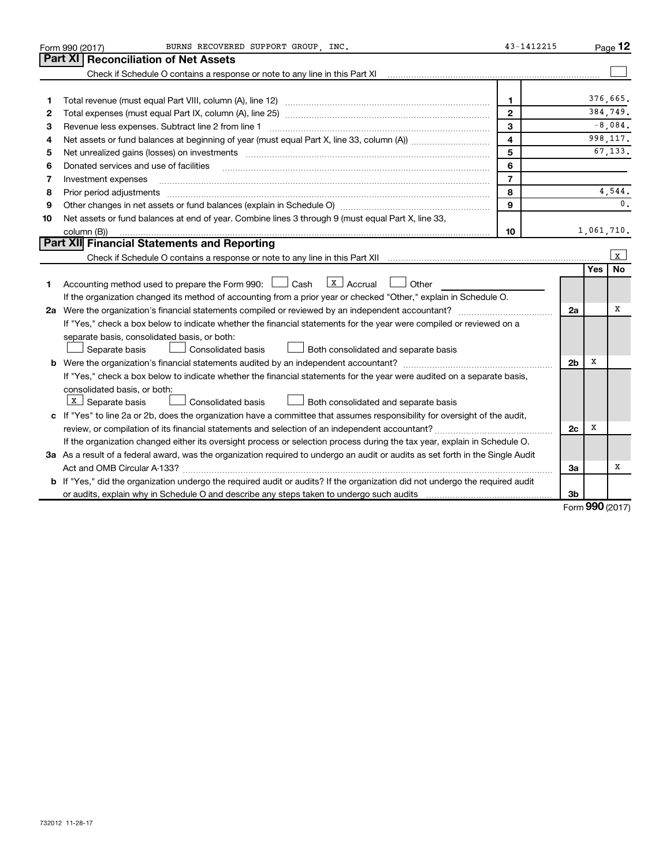|    | BURNS RECOVERED SUPPORT GROUP, INC.<br>Form 990 (2017)                                                                                                                                                                         | 43-1412215              |                |            | Page 12      |
|----|--------------------------------------------------------------------------------------------------------------------------------------------------------------------------------------------------------------------------------|-------------------------|----------------|------------|--------------|
|    | Part XI<br><b>Reconciliation of Net Assets</b>                                                                                                                                                                                 |                         |                |            |              |
|    | Check if Schedule O contains a response or note to any line in this Part XI                                                                                                                                                    |                         |                |            |              |
|    |                                                                                                                                                                                                                                |                         |                |            |              |
| 1  |                                                                                                                                                                                                                                | $\mathbf{1}$            |                |            | 376.665.     |
| 2  |                                                                                                                                                                                                                                | $\overline{2}$          |                |            | 384.749.     |
| З  | Revenue less expenses. Subtract line 2 from line 1                                                                                                                                                                             | 3                       |                |            | $-8,084$ .   |
| 4  |                                                                                                                                                                                                                                | $\overline{\mathbf{4}}$ |                |            | 998, 117.    |
| 5  | Net unrealized gains (losses) on investments [111] www.marting.community.community.community.community.communi                                                                                                                 | 5                       |                |            | 67.133.      |
| 6  | Donated services and use of facilities                                                                                                                                                                                         | 6                       |                |            |              |
| 7  | Investment expenses                                                                                                                                                                                                            | $\overline{7}$          |                |            |              |
| 8  | Prior period adjustments [111] matter contract and adjustments and account and account and adjustments and account and account and account and account and account and account and account and account and account account and | 8                       |                |            | 4,544.       |
| 9  |                                                                                                                                                                                                                                | 9                       |                |            | 0.           |
| 10 | Net assets or fund balances at end of year. Combine lines 3 through 9 (must equal Part X, line 33,                                                                                                                             |                         |                |            |              |
|    | column (B))                                                                                                                                                                                                                    | 10                      |                |            | 1,061,710.   |
|    | Part XII Financial Statements and Reporting                                                                                                                                                                                    |                         |                |            |              |
|    |                                                                                                                                                                                                                                |                         |                |            | $\mathbf{x}$ |
|    |                                                                                                                                                                                                                                |                         |                | Yes        | <b>No</b>    |
| 1. | $\lfloor x \rfloor$ Accrual<br>Accounting method used to prepare the Form 990: $\Box$ Cash<br>Other                                                                                                                            |                         |                |            |              |
|    | If the organization changed its method of accounting from a prior year or checked "Other," explain in Schedule O.                                                                                                              |                         |                |            |              |
|    | 2a Were the organization's financial statements compiled or reviewed by an independent accountant?                                                                                                                             |                         | 2a             |            | x            |
|    | If "Yes," check a box below to indicate whether the financial statements for the year were compiled or reviewed on a                                                                                                           |                         |                |            |              |
|    | separate basis, consolidated basis, or both:                                                                                                                                                                                   |                         |                |            |              |
|    | Separate basis<br><b>Consolidated basis</b><br>Both consolidated and separate basis                                                                                                                                            |                         |                |            |              |
|    | <b>b</b> Were the organization's financial statements audited by an independent accountant?                                                                                                                                    |                         | 2 <sub>b</sub> | х          |              |
|    | If "Yes," check a box below to indicate whether the financial statements for the year were audited on a separate basis,                                                                                                        |                         |                |            |              |
|    | consolidated basis, or both:                                                                                                                                                                                                   |                         |                |            |              |
|    | $X$ Separate basis<br>Consolidated basis<br>Both consolidated and separate basis                                                                                                                                               |                         |                |            |              |
|    | c If "Yes" to line 2a or 2b, does the organization have a committee that assumes responsibility for oversight of the audit,                                                                                                    |                         |                |            |              |
|    |                                                                                                                                                                                                                                |                         | 2 <sub>c</sub> | х          |              |
|    | If the organization changed either its oversight process or selection process during the tax year, explain in Schedule O.                                                                                                      |                         |                |            |              |
|    | 3a As a result of a federal award, was the organization required to undergo an audit or audits as set forth in the Single Audit                                                                                                |                         |                |            |              |
|    |                                                                                                                                                                                                                                |                         | За             |            | х            |
|    | b If "Yes," did the organization undergo the required audit or audits? If the organization did not undergo the required audit                                                                                                  |                         |                |            |              |
|    | or audits, explain why in Schedule O and describe any steps taken to undergo such audits matures and the matur                                                                                                                 |                         | 3b             | <b>000</b> |              |

Form (2017) **990**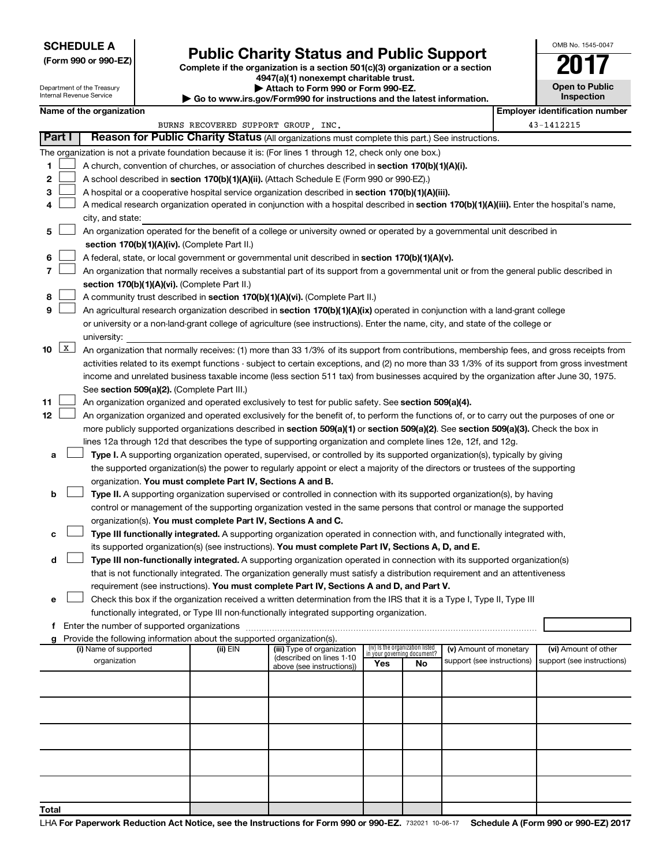# **SCHEDULE A**

Department of the Treasury<br>Internal Revenue Service

# Form 990 or 990-EZ)<br>
Complete if the organization is a section 501(c)(3) organization or a section<br> **Public Charity Status and Public Support**

OMB No. 1545-0047

**Open to Public**

**4947(a)(1) nonexempt charitable trust.**

**| Attach to Form 990 or Form 990-EZ.** 

| Internal Revenue Service | Inspection   |                                                                                                                                |  |                                                                          |                                                                                                                                               |                                                                |           |                            |  |                                       |  |  |  |  |
|--------------------------|--------------|--------------------------------------------------------------------------------------------------------------------------------|--|--------------------------------------------------------------------------|-----------------------------------------------------------------------------------------------------------------------------------------------|----------------------------------------------------------------|-----------|----------------------------|--|---------------------------------------|--|--|--|--|
|                          |              | Name of the organization                                                                                                       |  |                                                                          |                                                                                                                                               |                                                                |           |                            |  | <b>Employer identification number</b> |  |  |  |  |
|                          |              |                                                                                                                                |  |                                                                          | BURNS RECOVERED SUPPORT GROUP, INC.                                                                                                           |                                                                |           |                            |  | 43-1412215                            |  |  |  |  |
|                          | Part I       |                                                                                                                                |  |                                                                          | Reason for Public Charity Status (All organizations must complete this part.) See instructions.                                               |                                                                |           |                            |  |                                       |  |  |  |  |
|                          |              |                                                                                                                                |  |                                                                          | The organization is not a private foundation because it is: (For lines 1 through 12, check only one box.)                                     |                                                                |           |                            |  |                                       |  |  |  |  |
| 1                        |              |                                                                                                                                |  |                                                                          | A church, convention of churches, or association of churches described in section 170(b)(1)(A)(i).                                            |                                                                |           |                            |  |                                       |  |  |  |  |
| 2                        |              |                                                                                                                                |  |                                                                          | A school described in section 170(b)(1)(A)(ii). (Attach Schedule E (Form 990 or 990-EZ).)                                                     |                                                                |           |                            |  |                                       |  |  |  |  |
| 3                        |              |                                                                                                                                |  |                                                                          | A hospital or a cooperative hospital service organization described in section 170(b)(1)(A)(iii).                                             |                                                                |           |                            |  |                                       |  |  |  |  |
| 4                        |              |                                                                                                                                |  |                                                                          | A medical research organization operated in conjunction with a hospital described in section 170(b)(1)(A)(iii). Enter the hospital's name,    |                                                                |           |                            |  |                                       |  |  |  |  |
|                          |              | city, and state:                                                                                                               |  |                                                                          |                                                                                                                                               |                                                                |           |                            |  |                                       |  |  |  |  |
| 5                        |              |                                                                                                                                |  |                                                                          | An organization operated for the benefit of a college or university owned or operated by a governmental unit described in                     |                                                                |           |                            |  |                                       |  |  |  |  |
|                          |              |                                                                                                                                |  | section 170(b)(1)(A)(iv). (Complete Part II.)                            |                                                                                                                                               |                                                                |           |                            |  |                                       |  |  |  |  |
| 6                        |              |                                                                                                                                |  |                                                                          | A federal, state, or local government or governmental unit described in section 170(b)(1)(A)(v).                                              |                                                                |           |                            |  |                                       |  |  |  |  |
| 7                        |              |                                                                                                                                |  |                                                                          | An organization that normally receives a substantial part of its support from a governmental unit or from the general public described in     |                                                                |           |                            |  |                                       |  |  |  |  |
|                          |              |                                                                                                                                |  | section 170(b)(1)(A)(vi). (Complete Part II.)                            |                                                                                                                                               |                                                                |           |                            |  |                                       |  |  |  |  |
| 8                        |              | A community trust described in section 170(b)(1)(A)(vi). (Complete Part II.)                                                   |  |                                                                          |                                                                                                                                               |                                                                |           |                            |  |                                       |  |  |  |  |
| 9                        |              | An agricultural research organization described in section 170(b)(1)(A)(ix) operated in conjunction with a land-grant college  |  |                                                                          |                                                                                                                                               |                                                                |           |                            |  |                                       |  |  |  |  |
|                          |              | or university or a non-land-grant college of agriculture (see instructions). Enter the name, city, and state of the college or |  |                                                                          |                                                                                                                                               |                                                                |           |                            |  |                                       |  |  |  |  |
|                          |              | university:                                                                                                                    |  |                                                                          |                                                                                                                                               |                                                                |           |                            |  |                                       |  |  |  |  |
| 10                       | $\mathbf{x}$ |                                                                                                                                |  |                                                                          | An organization that normally receives: (1) more than 33 1/3% of its support from contributions, membership fees, and gross receipts from     |                                                                |           |                            |  |                                       |  |  |  |  |
|                          |              |                                                                                                                                |  |                                                                          | activities related to its exempt functions - subject to certain exceptions, and (2) no more than 33 1/3% of its support from gross investment |                                                                |           |                            |  |                                       |  |  |  |  |
|                          |              |                                                                                                                                |  |                                                                          | income and unrelated business taxable income (less section 511 tax) from businesses acquired by the organization after June 30, 1975.         |                                                                |           |                            |  |                                       |  |  |  |  |
|                          |              |                                                                                                                                |  | See section 509(a)(2). (Complete Part III.)                              |                                                                                                                                               |                                                                |           |                            |  |                                       |  |  |  |  |
| 11                       |              |                                                                                                                                |  |                                                                          | An organization organized and operated exclusively to test for public safety. See section 509(a)(4).                                          |                                                                |           |                            |  |                                       |  |  |  |  |
| 12                       |              |                                                                                                                                |  |                                                                          | An organization organized and operated exclusively for the benefit of, to perform the functions of, or to carry out the purposes of one or    |                                                                |           |                            |  |                                       |  |  |  |  |
|                          |              |                                                                                                                                |  |                                                                          | more publicly supported organizations described in section 509(a)(1) or section 509(a)(2). See section 509(a)(3). Check the box in            |                                                                |           |                            |  |                                       |  |  |  |  |
|                          |              |                                                                                                                                |  |                                                                          | lines 12a through 12d that describes the type of supporting organization and complete lines 12e, 12f, and 12g.                                |                                                                |           |                            |  |                                       |  |  |  |  |
| а                        |              |                                                                                                                                |  |                                                                          | Type I. A supporting organization operated, supervised, or controlled by its supported organization(s), typically by giving                   |                                                                |           |                            |  |                                       |  |  |  |  |
|                          |              |                                                                                                                                |  |                                                                          | the supported organization(s) the power to regularly appoint or elect a majority of the directors or trustees of the supporting               |                                                                |           |                            |  |                                       |  |  |  |  |
|                          |              |                                                                                                                                |  | organization. You must complete Part IV, Sections A and B.               |                                                                                                                                               |                                                                |           |                            |  |                                       |  |  |  |  |
| b                        |              |                                                                                                                                |  |                                                                          | Type II. A supporting organization supervised or controlled in connection with its supported organization(s), by having                       |                                                                |           |                            |  |                                       |  |  |  |  |
|                          |              |                                                                                                                                |  |                                                                          | control or management of the supporting organization vested in the same persons that control or manage the supported                          |                                                                |           |                            |  |                                       |  |  |  |  |
|                          |              |                                                                                                                                |  |                                                                          | organization(s). You must complete Part IV, Sections A and C.                                                                                 |                                                                |           |                            |  |                                       |  |  |  |  |
| с                        |              |                                                                                                                                |  |                                                                          | Type III functionally integrated. A supporting organization operated in connection with, and functionally integrated with,                    |                                                                |           |                            |  |                                       |  |  |  |  |
|                          |              |                                                                                                                                |  |                                                                          | its supported organization(s) (see instructions). You must complete Part IV, Sections A, D, and E.                                            |                                                                |           |                            |  |                                       |  |  |  |  |
| d                        |              |                                                                                                                                |  |                                                                          | Type III non-functionally integrated. A supporting organization operated in connection with its supported organization(s)                     |                                                                |           |                            |  |                                       |  |  |  |  |
|                          |              |                                                                                                                                |  |                                                                          | that is not functionally integrated. The organization generally must satisfy a distribution requirement and an attentiveness                  |                                                                |           |                            |  |                                       |  |  |  |  |
|                          |              |                                                                                                                                |  |                                                                          | requirement (see instructions). You must complete Part IV, Sections A and D, and Part V.                                                      |                                                                |           |                            |  |                                       |  |  |  |  |
| е                        |              |                                                                                                                                |  |                                                                          | Check this box if the organization received a written determination from the IRS that it is a Type I, Type II, Type III                       |                                                                |           |                            |  |                                       |  |  |  |  |
|                          |              |                                                                                                                                |  |                                                                          | functionally integrated, or Type III non-functionally integrated supporting organization.                                                     |                                                                |           |                            |  |                                       |  |  |  |  |
| f                        |              | Enter the number of supported organizations                                                                                    |  |                                                                          |                                                                                                                                               |                                                                |           |                            |  |                                       |  |  |  |  |
|                          |              |                                                                                                                                |  | g Provide the following information about the supported organization(s). |                                                                                                                                               |                                                                |           |                            |  |                                       |  |  |  |  |
|                          |              | (i) Name of supported                                                                                                          |  | (ii) EIN                                                                 | (iii) Type of organization<br>(described on lines 1-10                                                                                        | (iv) Is the organization listed<br>in your governing document? |           | (v) Amount of monetary     |  | (vi) Amount of other                  |  |  |  |  |
|                          |              | organization                                                                                                                   |  |                                                                          | above (see instructions))                                                                                                                     | Yes                                                            | <b>No</b> | support (see instructions) |  | support (see instructions)            |  |  |  |  |
|                          |              |                                                                                                                                |  |                                                                          |                                                                                                                                               |                                                                |           |                            |  |                                       |  |  |  |  |
|                          |              |                                                                                                                                |  |                                                                          |                                                                                                                                               |                                                                |           |                            |  |                                       |  |  |  |  |
|                          |              |                                                                                                                                |  |                                                                          |                                                                                                                                               |                                                                |           |                            |  |                                       |  |  |  |  |
|                          |              |                                                                                                                                |  |                                                                          |                                                                                                                                               |                                                                |           |                            |  |                                       |  |  |  |  |
|                          |              |                                                                                                                                |  |                                                                          |                                                                                                                                               |                                                                |           |                            |  |                                       |  |  |  |  |
|                          |              |                                                                                                                                |  |                                                                          |                                                                                                                                               |                                                                |           |                            |  |                                       |  |  |  |  |
|                          |              |                                                                                                                                |  |                                                                          |                                                                                                                                               |                                                                |           |                            |  |                                       |  |  |  |  |
|                          |              |                                                                                                                                |  |                                                                          |                                                                                                                                               |                                                                |           |                            |  |                                       |  |  |  |  |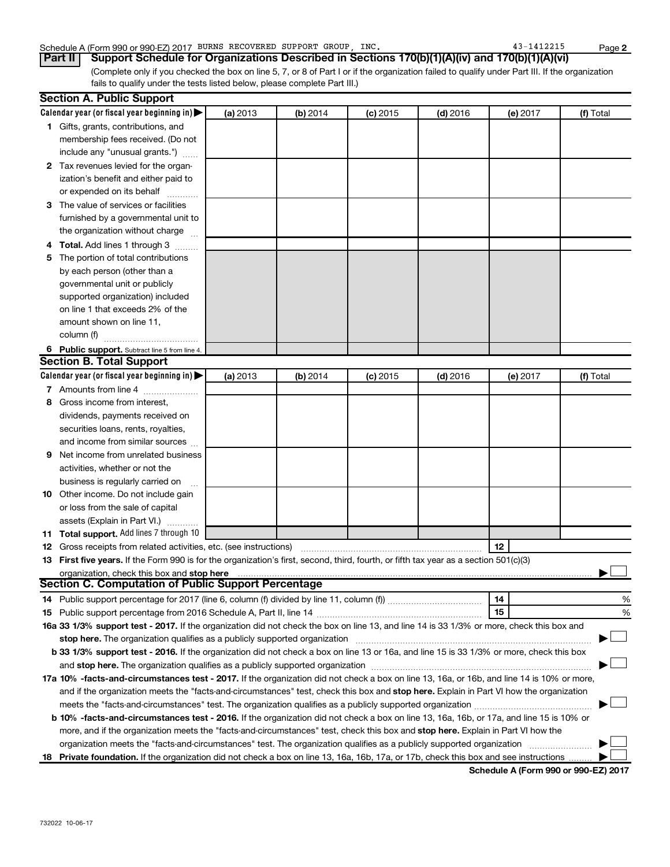### Schedule A (Form 990 or 990-EZ) 2017 BURNS RECOVERED SUPPORT GROUP, INC. 43-1412215 Page

(Complete only if you checked the box on line 5, 7, or 8 of Part I or if the organization failed to qualify under Part III. If the organization fails to qualify under the tests listed below, please complete Part III.) **Part II Support Schedule for Organizations Described in Sections 170(b)(1)(A)(iv) and 170(b)(1)(A)(vi)**

|    | <b>Section A. Public Support</b>                                                                                                                                                                                               |          |          |            |            |          |           |  |  |  |  |
|----|--------------------------------------------------------------------------------------------------------------------------------------------------------------------------------------------------------------------------------|----------|----------|------------|------------|----------|-----------|--|--|--|--|
|    | Calendar year (or fiscal year beginning in) $\blacktriangleright$                                                                                                                                                              | (a) 2013 | (b) 2014 | $(c)$ 2015 | $(d)$ 2016 | (e) 2017 | (f) Total |  |  |  |  |
|    | 1 Gifts, grants, contributions, and                                                                                                                                                                                            |          |          |            |            |          |           |  |  |  |  |
|    | membership fees received. (Do not                                                                                                                                                                                              |          |          |            |            |          |           |  |  |  |  |
|    | include any "unusual grants.")                                                                                                                                                                                                 |          |          |            |            |          |           |  |  |  |  |
|    | 2 Tax revenues levied for the organ-                                                                                                                                                                                           |          |          |            |            |          |           |  |  |  |  |
|    | ization's benefit and either paid to                                                                                                                                                                                           |          |          |            |            |          |           |  |  |  |  |
|    | or expended on its behalf                                                                                                                                                                                                      |          |          |            |            |          |           |  |  |  |  |
|    | 3 The value of services or facilities                                                                                                                                                                                          |          |          |            |            |          |           |  |  |  |  |
|    | furnished by a governmental unit to                                                                                                                                                                                            |          |          |            |            |          |           |  |  |  |  |
|    | the organization without charge                                                                                                                                                                                                |          |          |            |            |          |           |  |  |  |  |
|    | 4 Total. Add lines 1 through 3                                                                                                                                                                                                 |          |          |            |            |          |           |  |  |  |  |
| 5. | The portion of total contributions                                                                                                                                                                                             |          |          |            |            |          |           |  |  |  |  |
|    | by each person (other than a                                                                                                                                                                                                   |          |          |            |            |          |           |  |  |  |  |
|    | governmental unit or publicly                                                                                                                                                                                                  |          |          |            |            |          |           |  |  |  |  |
|    | supported organization) included                                                                                                                                                                                               |          |          |            |            |          |           |  |  |  |  |
|    | on line 1 that exceeds 2% of the                                                                                                                                                                                               |          |          |            |            |          |           |  |  |  |  |
|    | amount shown on line 11,                                                                                                                                                                                                       |          |          |            |            |          |           |  |  |  |  |
|    | column (f)                                                                                                                                                                                                                     |          |          |            |            |          |           |  |  |  |  |
|    | 6 Public support. Subtract line 5 from line 4.                                                                                                                                                                                 |          |          |            |            |          |           |  |  |  |  |
|    | <b>Section B. Total Support</b>                                                                                                                                                                                                |          |          |            |            |          |           |  |  |  |  |
|    | Calendar year (or fiscal year beginning in) $\blacktriangleright$                                                                                                                                                              | (a) 2013 | (b) 2014 | $(c)$ 2015 | $(d)$ 2016 | (e) 2017 | (f) Total |  |  |  |  |
|    | 7 Amounts from line 4                                                                                                                                                                                                          |          |          |            |            |          |           |  |  |  |  |
| 8  | Gross income from interest,                                                                                                                                                                                                    |          |          |            |            |          |           |  |  |  |  |
|    | dividends, payments received on                                                                                                                                                                                                |          |          |            |            |          |           |  |  |  |  |
|    | securities loans, rents, royalties,                                                                                                                                                                                            |          |          |            |            |          |           |  |  |  |  |
|    | and income from similar sources                                                                                                                                                                                                |          |          |            |            |          |           |  |  |  |  |
| 9  | Net income from unrelated business                                                                                                                                                                                             |          |          |            |            |          |           |  |  |  |  |
|    | activities, whether or not the                                                                                                                                                                                                 |          |          |            |            |          |           |  |  |  |  |
|    | business is regularly carried on                                                                                                                                                                                               |          |          |            |            |          |           |  |  |  |  |
|    | 10 Other income. Do not include gain                                                                                                                                                                                           |          |          |            |            |          |           |  |  |  |  |
|    | or loss from the sale of capital                                                                                                                                                                                               |          |          |            |            |          |           |  |  |  |  |
|    | assets (Explain in Part VI.)                                                                                                                                                                                                   |          |          |            |            |          |           |  |  |  |  |
|    | 11 Total support. Add lines 7 through 10                                                                                                                                                                                       |          |          |            |            |          |           |  |  |  |  |
|    | <b>12</b> Gross receipts from related activities, etc. (see instructions)                                                                                                                                                      |          |          |            |            | 12       |           |  |  |  |  |
|    | 13 First five years. If the Form 990 is for the organization's first, second, third, fourth, or fifth tax year as a section 501(c)(3)                                                                                          |          |          |            |            |          |           |  |  |  |  |
|    | organization, check this box and stop here                                                                                                                                                                                     |          |          |            |            |          |           |  |  |  |  |
|    | <b>Section C. Computation of Public Support Percentage</b>                                                                                                                                                                     |          |          |            |            |          |           |  |  |  |  |
|    |                                                                                                                                                                                                                                |          |          |            |            | 14       | %         |  |  |  |  |
|    |                                                                                                                                                                                                                                |          |          |            |            | 15       | %         |  |  |  |  |
|    | 16a 33 1/3% support test - 2017. If the organization did not check the box on line 13, and line 14 is 33 1/3% or more, check this box and                                                                                      |          |          |            |            |          |           |  |  |  |  |
|    | stop here. The organization qualifies as a publicly supported organization manufaction manufacture or manufacture or the state of the state of the state of the state of the state of the state of the state of the state of t |          |          |            |            |          |           |  |  |  |  |
|    | b 33 1/3% support test - 2016. If the organization did not check a box on line 13 or 16a, and line 15 is 33 1/3% or more, check this box                                                                                       |          |          |            |            |          |           |  |  |  |  |
|    |                                                                                                                                                                                                                                |          |          |            |            |          |           |  |  |  |  |
|    | 17a 10% -facts-and-circumstances test - 2017. If the organization did not check a box on line 13, 16a, or 16b, and line 14 is 10% or more,                                                                                     |          |          |            |            |          |           |  |  |  |  |
|    | and if the organization meets the "facts-and-circumstances" test, check this box and stop here. Explain in Part VI how the organization                                                                                        |          |          |            |            |          |           |  |  |  |  |
|    |                                                                                                                                                                                                                                |          |          |            |            |          |           |  |  |  |  |
|    | b 10% -facts-and-circumstances test - 2016. If the organization did not check a box on line 13, 16a, 16b, or 17a, and line 15 is 10% or                                                                                        |          |          |            |            |          |           |  |  |  |  |
|    | more, and if the organization meets the "facts-and-circumstances" test, check this box and stop here. Explain in Part VI how the                                                                                               |          |          |            |            |          |           |  |  |  |  |
|    | organization meets the "facts-and-circumstances" test. The organization qualifies as a publicly supported organization                                                                                                         |          |          |            |            |          |           |  |  |  |  |
|    | 18 Private foundation. If the organization did not check a box on line 13, 16a, 16b, 17a, or 17b, check this box and see instructions                                                                                          |          |          |            |            |          |           |  |  |  |  |

**Schedule A (Form 990 or 990-EZ) 2017**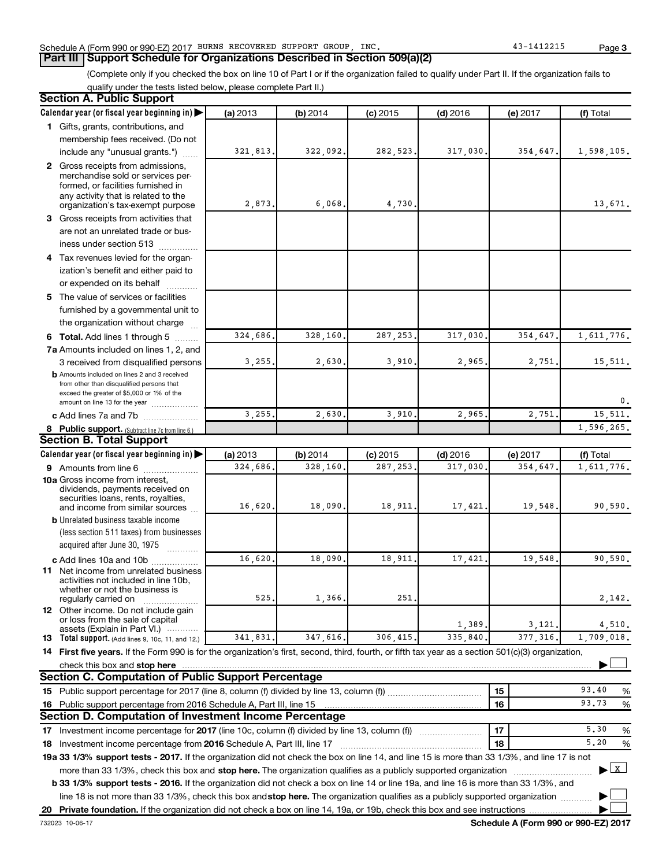### Schedule A (Form 990 or 990-EZ) 2017 BURNS RECOVERED SUPPORT GROUP, INC. 43-1412215 Page

# **Part III Support Schedule for Organizations Described in Section 509(a)(2)**

(Complete only if you checked the box on line 10 of Part I or if the organization failed to qualify under Part II. If the organization fails to qualify under the tests listed below, please complete Part II.)

| <b>Section A. Public Support</b>                                                                                                                    |          |          |            |            |          |                   |
|-----------------------------------------------------------------------------------------------------------------------------------------------------|----------|----------|------------|------------|----------|-------------------|
| Calendar year (or fiscal year beginning in)                                                                                                         | (a) 2013 | (b) 2014 | $(c)$ 2015 | $(d)$ 2016 | (e) 2017 | (f) Total         |
| 1 Gifts, grants, contributions, and                                                                                                                 |          |          |            |            |          |                   |
| membership fees received. (Do not                                                                                                                   |          |          |            |            |          |                   |
| include any "unusual grants.")                                                                                                                      | 321,813  | 322,092  | 282,523    | 317,030    | 354,647. | 1,598,105.        |
| 2 Gross receipts from admissions,                                                                                                                   |          |          |            |            |          |                   |
| merchandise sold or services per-                                                                                                                   |          |          |            |            |          |                   |
| formed, or facilities furnished in<br>any activity that is related to the                                                                           |          |          |            |            |          |                   |
| organization's tax-exempt purpose                                                                                                                   | 2,873.   | 6,068    | 4,730      |            |          | 13,671.           |
| 3 Gross receipts from activities that                                                                                                               |          |          |            |            |          |                   |
| are not an unrelated trade or bus-                                                                                                                  |          |          |            |            |          |                   |
| iness under section 513                                                                                                                             |          |          |            |            |          |                   |
| 4 Tax revenues levied for the organ-                                                                                                                |          |          |            |            |          |                   |
| ization's benefit and either paid to                                                                                                                |          |          |            |            |          |                   |
| or expended on its behalf<br>.                                                                                                                      |          |          |            |            |          |                   |
| 5 The value of services or facilities                                                                                                               |          |          |            |            |          |                   |
| furnished by a governmental unit to                                                                                                                 |          |          |            |            |          |                   |
| the organization without charge                                                                                                                     |          |          |            |            |          |                   |
| <b>6 Total.</b> Add lines 1 through 5                                                                                                               | 324,686  | 328,160  | 287, 253   | 317,030    | 354,647  | 1,611,776.        |
| 7a Amounts included on lines 1, 2, and                                                                                                              |          |          |            |            |          |                   |
| 3 received from disqualified persons                                                                                                                | 3,255    | 2,630    | 3,910      | 2,965      | 2,751.   | 15,511.           |
| <b>b</b> Amounts included on lines 2 and 3 received                                                                                                 |          |          |            |            |          |                   |
| from other than disqualified persons that<br>exceed the greater of \$5,000 or 1% of the                                                             |          |          |            |            |          |                   |
| amount on line 13 for the year                                                                                                                      |          |          |            |            |          | 0.                |
| c Add lines 7a and 7b                                                                                                                               | 3,255    | 2,630    | 3,910      | 2,965      | 2,751    | 15, 511.          |
| 8 Public support. (Subtract line 7c from line 6.)                                                                                                   |          |          |            |            |          | 1,596,265.        |
| <b>Section B. Total Support</b>                                                                                                                     |          |          |            |            |          |                   |
| Calendar year (or fiscal year beginning in)                                                                                                         | (a) 2013 | (b) 2014 | $(c)$ 2015 | $(d)$ 2016 | (e) 2017 | (f) Total         |
| <b>9</b> Amounts from line 6                                                                                                                        | 324,686  | 328,160  | 287,253    | 317,030    | 354,647  | 1,611,776.        |
| <b>10a</b> Gross income from interest,                                                                                                              |          |          |            |            |          |                   |
| dividends, payments received on<br>securities loans, rents, royalties,                                                                              |          |          |            |            |          |                   |
| and income from similar sources                                                                                                                     | 16,620.  | 18,090   | 18,911     | 17,421     | 19,548   | 90,590.           |
| <b>b</b> Unrelated business taxable income                                                                                                          |          |          |            |            |          |                   |
| (less section 511 taxes) from businesses                                                                                                            |          |          |            |            |          |                   |
| acquired after June 30, 1975                                                                                                                        |          |          |            |            |          |                   |
| c Add lines 10a and 10b                                                                                                                             | 16,620   | 18,090   | 18,911     | 17,421     | 19,548   | 90,590.           |
| 11 Net income from unrelated business<br>activities not included in line 10b.                                                                       |          |          |            |            |          |                   |
| whether or not the business is                                                                                                                      |          |          |            |            |          |                   |
| regularly carried on                                                                                                                                | 525      | 1,366    | 251        |            |          | 2,142.            |
| 12 Other income. Do not include gain<br>or loss from the sale of capital                                                                            |          |          |            |            |          |                   |
| assets (Explain in Part VI.)                                                                                                                        |          |          |            | 1,389.     | 3,121,   | 4,510.            |
| <b>13</b> Total support. (Add lines 9, 10c, 11, and 12.)                                                                                            | 341,831. | 347,616  | 306,415    | 335,840    | 377,316  | 1,709,018.        |
| 14 First five years. If the Form 990 is for the organization's first, second, third, fourth, or fifth tax year as a section 501(c)(3) organization, |          |          |            |            |          |                   |
| check this box and stop here                                                                                                                        |          |          |            |            |          |                   |
| <b>Section C. Computation of Public Support Percentage</b>                                                                                          |          |          |            |            |          |                   |
|                                                                                                                                                     |          |          |            |            | 15       | 93.40<br>%        |
| 16 Public support percentage from 2016 Schedule A, Part III, line 15                                                                                |          |          |            |            | 16       | 93.73<br>%        |
| Section D. Computation of Investment Income Percentage                                                                                              |          |          |            |            |          |                   |
| 17 Investment income percentage for 2017 (line 10c, column (f) divided by line 13, column (f))                                                      |          |          |            |            | 17       | 5,30<br>%         |
| 18 Investment income percentage from 2016 Schedule A, Part III, line 17                                                                             |          |          |            |            | 18       | 5,20<br>%         |
| 19a 33 1/3% support tests - 2017. If the organization did not check the box on line 14, and line 15 is more than 33 1/3%, and line 17 is not        |          |          |            |            |          |                   |
| more than 33 1/3%, check this box and stop here. The organization qualifies as a publicly supported organization                                    |          |          |            |            |          | $\mathbf{x}$<br>▶ |
| <b>b 33 1/3% support tests - 2016.</b> If the organization did not check a box on line 14 or line 19a, and line 16 is more than 33 1/3%, and        |          |          |            |            |          |                   |
| line 18 is not more than 33 1/3%, check this box andstop here. The organization qualifies as a publicly supported organization                      |          |          |            |            |          |                   |
|                                                                                                                                                     |          |          |            |            |          |                   |

732023 10-06-17

**Schedule A (Form 990 or 990-EZ) 2017**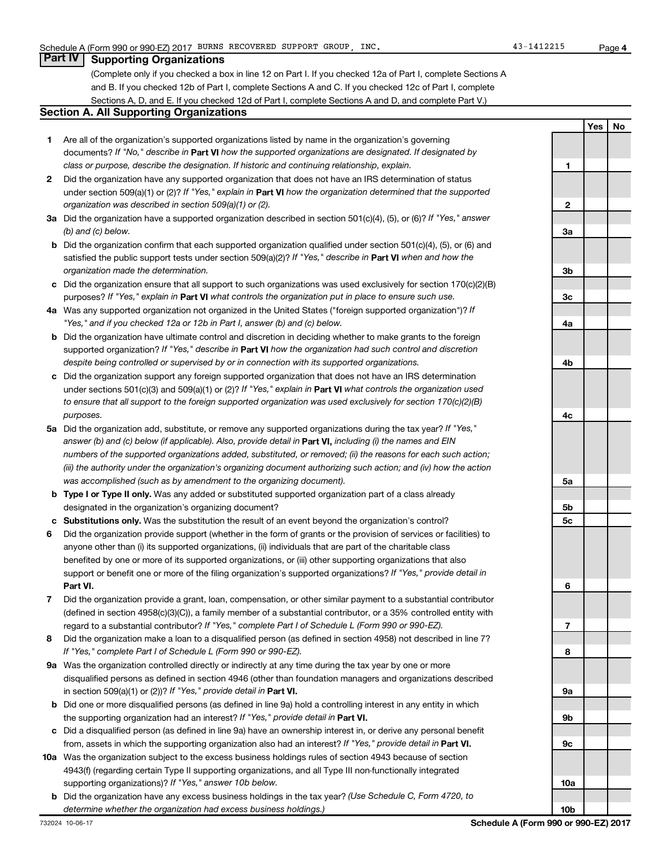**4**

# **Part IV Supporting Organizations**

(Complete only if you checked a box in line 12 on Part I. If you checked 12a of Part I, complete Sections A and B. If you checked 12b of Part I, complete Sections A and C. If you checked 12c of Part I, complete Sections A, D, and E. If you checked 12d of Part I, complete Sections A and D, and complete Part V.)

#### **Section A. All Supporting Organizations**

- **1** Are all of the organization's supported organizations listed by name in the organization's governing documents? If "No," describe in Part VI how the supported organizations are designated. If designated by *class or purpose, describe the designation. If historic and continuing relationship, explain.*
- **2** Did the organization have any supported organization that does not have an IRS determination of status under section 509(a)(1) or (2)? If "Yes," explain in Part **VI** how the organization determined that the supported *organization was described in section 509(a)(1) or (2).*
- **3a** Did the organization have a supported organization described in section 501(c)(4), (5), or (6)? If "Yes," answer *(b) and (c) below.*
- **b** Did the organization confirm that each supported organization qualified under section 501(c)(4), (5), or (6) and satisfied the public support tests under section 509(a)(2)? If "Yes," describe in Part VI when and how the *organization made the determination.*
- **c** Did the organization ensure that all support to such organizations was used exclusively for section 170(c)(2)(B) purposes? If "Yes," explain in Part VI what controls the organization put in place to ensure such use.
- **4 a** *If* Was any supported organization not organized in the United States ("foreign supported organization")? *"Yes," and if you checked 12a or 12b in Part I, answer (b) and (c) below.*
- **b** Did the organization have ultimate control and discretion in deciding whether to make grants to the foreign supported organization? If "Yes," describe in Part VI how the organization had such control and discretion *despite being controlled or supervised by or in connection with its supported organizations.*
- **c** Did the organization support any foreign supported organization that does not have an IRS determination under sections 501(c)(3) and 509(a)(1) or (2)? If "Yes," explain in Part VI what controls the organization used *to ensure that all support to the foreign supported organization was used exclusively for section 170(c)(2)(B) purposes.*
- **5a** Did the organization add, substitute, or remove any supported organizations during the tax year? If "Yes," answer (b) and (c) below (if applicable). Also, provide detail in **Part VI,** including (i) the names and EIN *numbers of the supported organizations added, substituted, or removed; (ii) the reasons for each such action; (iii) the authority under the organization's organizing document authorizing such action; and (iv) how the action was accomplished (such as by amendment to the organizing document).*
- **b** Type I or Type II only. Was any added or substituted supported organization part of a class already designated in the organization's organizing document?
- **c Substitutions only.**  Was the substitution the result of an event beyond the organization's control?
- **6** Did the organization provide support (whether in the form of grants or the provision of services or facilities) to **Part VI.** support or benefit one or more of the filing organization's supported organizations? If "Yes," provide detail in anyone other than (i) its supported organizations, (ii) individuals that are part of the charitable class benefited by one or more of its supported organizations, or (iii) other supporting organizations that also
- **7** Did the organization provide a grant, loan, compensation, or other similar payment to a substantial contributor regard to a substantial contributor? If "Yes," complete Part I of Schedule L (Form 990 or 990-EZ). (defined in section 4958(c)(3)(C)), a family member of a substantial contributor, or a 35% controlled entity with
- **8** Did the organization make a loan to a disqualified person (as defined in section 4958) not described in line 7? *If "Yes," complete Part I of Schedule L (Form 990 or 990-EZ).*
- **9 a** Was the organization controlled directly or indirectly at any time during the tax year by one or more in section 509(a)(1) or (2))? If "Yes," provide detail in **Part VI.** disqualified persons as defined in section 4946 (other than foundation managers and organizations described
- **b** Did one or more disqualified persons (as defined in line 9a) hold a controlling interest in any entity in which the supporting organization had an interest? If "Yes," provide detail in Part VI.
- **c** Did a disqualified person (as defined in line 9a) have an ownership interest in, or derive any personal benefit from, assets in which the supporting organization also had an interest? If "Yes," provide detail in Part VI.
- **10 a** Was the organization subject to the excess business holdings rules of section 4943 because of section supporting organizations)? If "Yes," answer 10b below. 4943(f) (regarding certain Type II supporting organizations, and all Type III non-functionally integrated
- **b** Did the organization have any excess business holdings in the tax year? (Use Schedule C, Form 4720, to *determine whether the organization had excess business holdings.)*

**Yes No 1 2 3a 3b 3c 4a 4b 4c 5a 5b 5c 6 7 8 9a 9b 9c 10a**

**10b**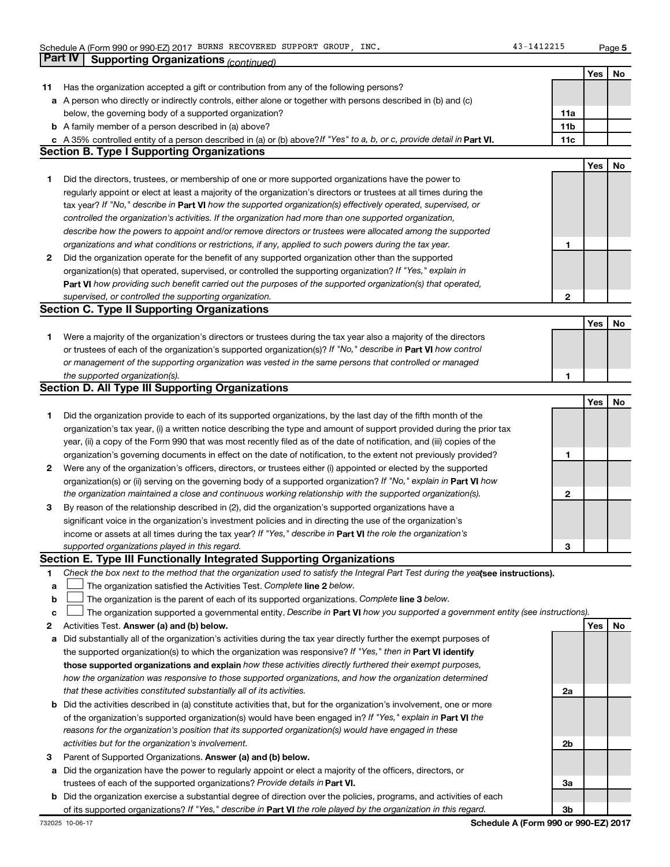**5**

|    | Part IV<br><b>Supporting Organizations (continued)</b>                                                                          |                 |     |    |
|----|---------------------------------------------------------------------------------------------------------------------------------|-----------------|-----|----|
|    |                                                                                                                                 |                 | Yes | No |
| 11 | Has the organization accepted a gift or contribution from any of the following persons?                                         |                 |     |    |
|    | a A person who directly or indirectly controls, either alone or together with persons described in (b) and (c)                  |                 |     |    |
|    | below, the governing body of a supported organization?                                                                          | 11a             |     |    |
|    | <b>b</b> A family member of a person described in (a) above?                                                                    | 11 <sub>b</sub> |     |    |
|    | c A 35% controlled entity of a person described in (a) or (b) above? If "Yes" to a, b, or c, provide detail in Part VI.         | 11c             |     |    |
|    | <b>Section B. Type I Supporting Organizations</b>                                                                               |                 |     |    |
|    |                                                                                                                                 |                 | Yes | No |
| 1. | Did the directors, trustees, or membership of one or more supported organizations have the power to                             |                 |     |    |
|    | regularly appoint or elect at least a majority of the organization's directors or trustees at all times during the              |                 |     |    |
|    | tax year? If "No," describe in Part VI how the supported organization(s) effectively operated, supervised, or                   |                 |     |    |
|    |                                                                                                                                 |                 |     |    |
|    | controlled the organization's activities. If the organization had more than one supported organization,                         |                 |     |    |
|    | describe how the powers to appoint and/or remove directors or trustees were allocated among the supported                       |                 |     |    |
|    | organizations and what conditions or restrictions, if any, applied to such powers during the tax year.                          | 1               |     |    |
| 2  | Did the organization operate for the benefit of any supported organization other than the supported                             |                 |     |    |
|    | organization(s) that operated, supervised, or controlled the supporting organization? If "Yes," explain in                      |                 |     |    |
|    | Part VI how providing such benefit carried out the purposes of the supported organization(s) that operated,                     |                 |     |    |
|    | supervised, or controlled the supporting organization.                                                                          | 2               |     |    |
|    | <b>Section C. Type II Supporting Organizations</b>                                                                              |                 |     |    |
|    |                                                                                                                                 |                 | Yes | No |
| 1. | Were a majority of the organization's directors or trustees during the tax year also a majority of the directors                |                 |     |    |
|    | or trustees of each of the organization's supported organization(s)? If "No," describe in Part VI how control                   |                 |     |    |
|    | or management of the supporting organization was vested in the same persons that controlled or managed                          |                 |     |    |
|    | the supported organization(s).                                                                                                  | 1               |     |    |
|    | <b>Section D. All Type III Supporting Organizations</b>                                                                         |                 |     |    |
|    |                                                                                                                                 |                 | Yes | No |
| 1  | Did the organization provide to each of its supported organizations, by the last day of the fifth month of the                  |                 |     |    |
|    | organization's tax year, (i) a written notice describing the type and amount of support provided during the prior tax           |                 |     |    |
|    | year, (ii) a copy of the Form 990 that was most recently filed as of the date of notification, and (iii) copies of the          |                 |     |    |
|    | organization's governing documents in effect on the date of notification, to the extent not previously provided?                | 1               |     |    |
| 2  | Were any of the organization's officers, directors, or trustees either (i) appointed or elected by the supported                |                 |     |    |
|    | organization(s) or (ii) serving on the governing body of a supported organization? If "No," explain in Part VI how              |                 |     |    |
|    | the organization maintained a close and continuous working relationship with the supported organization(s).                     | 2               |     |    |
| 3  | By reason of the relationship described in (2), did the organization's supported organizations have a                           |                 |     |    |
|    | significant voice in the organization's investment policies and in directing the use of the organization's                      |                 |     |    |
|    | income or assets at all times during the tax year? If "Yes," describe in Part VI the role the organization's                    |                 |     |    |
|    | supported organizations played in this regard.                                                                                  | з               |     |    |
|    | Section E. Type III Functionally Integrated Supporting Organizations                                                            |                 |     |    |
| 1  | Check the box next to the method that the organization used to satisfy the Integral Part Test during the yealsee instructions). |                 |     |    |
| a  | The organization satisfied the Activities Test. Complete line 2 below.                                                          |                 |     |    |
| b  | The organization is the parent of each of its supported organizations. Complete line 3 below.                                   |                 |     |    |
| с  | The organization supported a governmental entity. Describe in Part VI how you supported a government entity (see instructions). |                 |     |    |
| 2  | Activities Test. Answer (a) and (b) below.                                                                                      |                 | Yes | No |
| а  | Did substantially all of the organization's activities during the tax year directly further the exempt purposes of              |                 |     |    |
|    | the supported organization(s) to which the organization was responsive? If "Yes," then in Part VI identify                      |                 |     |    |
|    | those supported organizations and explain how these activities directly furthered their exempt purposes,                        |                 |     |    |
|    | how the organization was responsive to those supported organizations, and how the organization determined                       |                 |     |    |
|    | that these activities constituted substantially all of its activities.                                                          | 2a              |     |    |
|    | <b>b</b> Did the activities described in (a) constitute activities that, but for the organization's involvement, one or more    |                 |     |    |
|    |                                                                                                                                 |                 |     |    |
|    | of the organization's supported organization(s) would have been engaged in? If "Yes," explain in Part VI the                    |                 |     |    |
|    | reasons for the organization's position that its supported organization(s) would have engaged in these                          |                 |     |    |
|    | activities but for the organization's involvement.                                                                              | 2b              |     |    |
| з  | Parent of Supported Organizations. Answer (a) and (b) below.                                                                    |                 |     |    |
| а  | Did the organization have the power to regularly appoint or elect a majority of the officers, directors, or                     |                 |     |    |
|    | trustees of each of the supported organizations? Provide details in Part VI.                                                    | За              |     |    |
|    | <b>b</b> Did the organization exercise a substantial degree of direction over the policies, programs, and activities of each    |                 |     |    |
|    | of its supported organizations? If "Yes," describe in Part VI the role played by the organization in this regard.               | 3b              |     |    |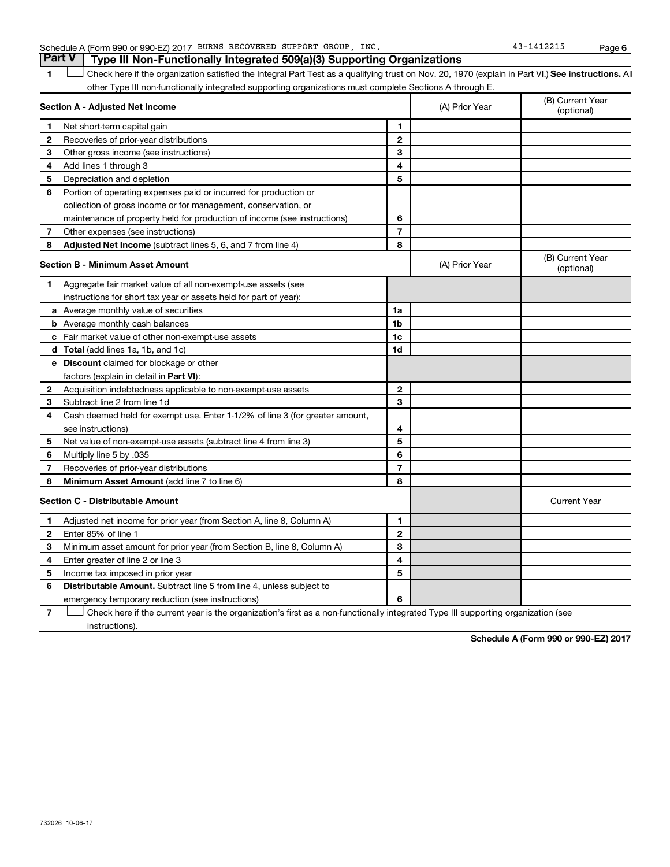| Schedule A (Form 990 or 990-EZ) 2017 | BURNS RECOVERED SUPPORT | GROUP | INC | Page |
|--------------------------------------|-------------------------|-------|-----|------|
|                                      |                         |       |     |      |

**1 Letter or if the organization satisfied the Integral Part Test as a qualifying trust on Nov. 20, 1970 (explain in Part VI.) See instructions. All** other Type III non-functionally integrated supporting organizations must complete Sections A through E.  $\Box$ 

|              | Section A - Adjusted Net Income                                              |                | (A) Prior Year | (B) Current Year<br>(optional) |
|--------------|------------------------------------------------------------------------------|----------------|----------------|--------------------------------|
| 1            | Net short-term capital gain                                                  | 1              |                |                                |
| $\mathbf{2}$ | Recoveries of prior-year distributions                                       | $\mathbf{2}$   |                |                                |
| 3            | Other gross income (see instructions)                                        | 3              |                |                                |
| 4            | Add lines 1 through 3                                                        | 4              |                |                                |
| 5            | Depreciation and depletion                                                   | 5              |                |                                |
| 6            | Portion of operating expenses paid or incurred for production or             |                |                |                                |
|              | collection of gross income or for management, conservation, or               |                |                |                                |
|              | maintenance of property held for production of income (see instructions)     | 6              |                |                                |
| 7            | Other expenses (see instructions)                                            | $\overline{7}$ |                |                                |
| 8            | Adjusted Net Income (subtract lines 5, 6, and 7 from line 4)                 | 8              |                |                                |
|              | <b>Section B - Minimum Asset Amount</b>                                      |                | (A) Prior Year | (B) Current Year<br>(optional) |
| 1            | Aggregate fair market value of all non-exempt-use assets (see                |                |                |                                |
|              | instructions for short tax year or assets held for part of year):            |                |                |                                |
|              | a Average monthly value of securities                                        | 1a             |                |                                |
|              | <b>b</b> Average monthly cash balances                                       | 1 <sub>b</sub> |                |                                |
|              | c Fair market value of other non-exempt-use assets                           | 1c             |                |                                |
|              | <b>d</b> Total (add lines 1a, 1b, and 1c)                                    | 1 <sub>d</sub> |                |                                |
|              | e Discount claimed for blockage or other                                     |                |                |                                |
|              | factors (explain in detail in Part VI):                                      |                |                |                                |
| 2            | Acquisition indebtedness applicable to non-exempt-use assets                 | $\mathbf{2}$   |                |                                |
| 3            | Subtract line 2 from line 1d                                                 | 3              |                |                                |
| 4            | Cash deemed held for exempt use. Enter 1-1/2% of line 3 (for greater amount, |                |                |                                |
|              | see instructions)                                                            | 4              |                |                                |
| 5            | Net value of non-exempt-use assets (subtract line 4 from line 3)             | 5              |                |                                |
| 6            | Multiply line 5 by .035                                                      | 6              |                |                                |
| 7            | Recoveries of prior-year distributions                                       | $\overline{7}$ |                |                                |
| 8            | Minimum Asset Amount (add line 7 to line 6)                                  | 8              |                |                                |
|              | <b>Section C - Distributable Amount</b>                                      |                |                | <b>Current Year</b>            |
| 1            | Adjusted net income for prior year (from Section A, line 8, Column A)        | 1              |                |                                |
| $\mathbf{2}$ | Enter 85% of line 1                                                          | $\mathbf{2}$   |                |                                |
| 3            | Minimum asset amount for prior year (from Section B, line 8, Column A)       | 3              |                |                                |
| 4            | Enter greater of line 2 or line 3                                            | 4              |                |                                |
| 5            | Income tax imposed in prior year                                             | 5              |                |                                |
| 6            | <b>Distributable Amount.</b> Subtract line 5 from line 4, unless subject to  |                |                |                                |
|              | emergency temporary reduction (see instructions)                             | 6              |                |                                |

**7** Check here if the current year is the organization's first as a non-functionally integrated Type III supporting organization (see † instructions).

**Schedule A (Form 990 or 990-EZ) 2017**

# **Part V Type III Non-Functionally Integrated 509(a)(3) Supporting Organizations**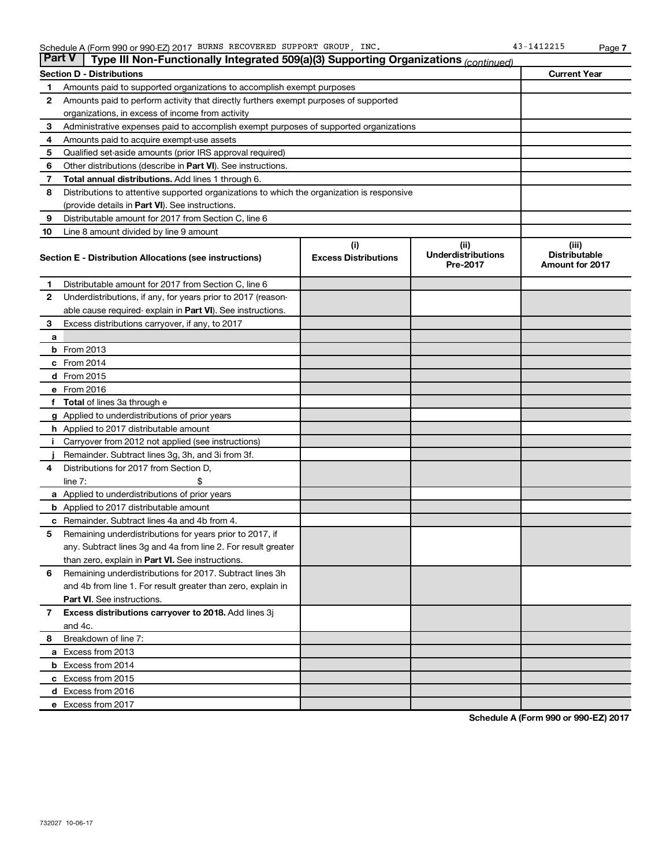| <b>Part V</b>                                                              | Type III Non-Functionally Integrated 509(a)(3) Supporting Organizations (continued)        |                             |                                       |                                                |
|----------------------------------------------------------------------------|--------------------------------------------------------------------------------------------|-----------------------------|---------------------------------------|------------------------------------------------|
|                                                                            | <b>Section D - Distributions</b>                                                           | <b>Current Year</b>         |                                       |                                                |
| Amounts paid to supported organizations to accomplish exempt purposes<br>1 |                                                                                            |                             |                                       |                                                |
| 2                                                                          | Amounts paid to perform activity that directly furthers exempt purposes of supported       |                             |                                       |                                                |
|                                                                            | organizations, in excess of income from activity                                           |                             |                                       |                                                |
| 3                                                                          | Administrative expenses paid to accomplish exempt purposes of supported organizations      |                             |                                       |                                                |
| 4                                                                          | Amounts paid to acquire exempt-use assets                                                  |                             |                                       |                                                |
| 5                                                                          | Qualified set-aside amounts (prior IRS approval required)                                  |                             |                                       |                                                |
| 6                                                                          | Other distributions (describe in <b>Part VI</b> ). See instructions.                       |                             |                                       |                                                |
| 7                                                                          | Total annual distributions. Add lines 1 through 6.                                         |                             |                                       |                                                |
| 8                                                                          | Distributions to attentive supported organizations to which the organization is responsive |                             |                                       |                                                |
|                                                                            | (provide details in Part VI). See instructions.                                            |                             |                                       |                                                |
| 9                                                                          | Distributable amount for 2017 from Section C, line 6                                       |                             |                                       |                                                |
| 10                                                                         | Line 8 amount divided by line 9 amount                                                     |                             |                                       |                                                |
|                                                                            |                                                                                            | (i)                         | (ii)                                  | (iii)                                          |
|                                                                            | Section E - Distribution Allocations (see instructions)                                    | <b>Excess Distributions</b> | <b>Underdistributions</b><br>Pre-2017 | <b>Distributable</b><br><b>Amount for 2017</b> |
| 1                                                                          | Distributable amount for 2017 from Section C, line 6                                       |                             |                                       |                                                |
| $\mathbf{2}$                                                               | Underdistributions, if any, for years prior to 2017 (reason-                               |                             |                                       |                                                |
|                                                                            | able cause required- explain in Part VI). See instructions.                                |                             |                                       |                                                |
| 3                                                                          | Excess distributions carryover, if any, to 2017                                            |                             |                                       |                                                |
| a                                                                          |                                                                                            |                             |                                       |                                                |
|                                                                            | <b>b</b> From 2013                                                                         |                             |                                       |                                                |
|                                                                            | c From 2014                                                                                |                             |                                       |                                                |
|                                                                            | d From 2015                                                                                |                             |                                       |                                                |
|                                                                            | e From 2016                                                                                |                             |                                       |                                                |
|                                                                            | <b>Total</b> of lines 3a through e                                                         |                             |                                       |                                                |
|                                                                            | <b>g</b> Applied to underdistributions of prior years                                      |                             |                                       |                                                |
|                                                                            | <b>h</b> Applied to 2017 distributable amount                                              |                             |                                       |                                                |
|                                                                            | Carryover from 2012 not applied (see instructions)                                         |                             |                                       |                                                |
|                                                                            | Remainder. Subtract lines 3g, 3h, and 3i from 3f.                                          |                             |                                       |                                                |
| 4                                                                          | Distributions for 2017 from Section D,                                                     |                             |                                       |                                                |
|                                                                            | $line 7$ :                                                                                 |                             |                                       |                                                |
|                                                                            | <b>a</b> Applied to underdistributions of prior years                                      |                             |                                       |                                                |
|                                                                            | <b>b</b> Applied to 2017 distributable amount                                              |                             |                                       |                                                |
| с                                                                          | Remainder. Subtract lines 4a and 4b from 4.                                                |                             |                                       |                                                |
| 5                                                                          | Remaining underdistributions for years prior to 2017, if                                   |                             |                                       |                                                |
|                                                                            | any. Subtract lines 3g and 4a from line 2. For result greater                              |                             |                                       |                                                |
|                                                                            | than zero, explain in Part VI. See instructions.                                           |                             |                                       |                                                |
| 6                                                                          | Remaining underdistributions for 2017. Subtract lines 3h                                   |                             |                                       |                                                |
|                                                                            | and 4b from line 1. For result greater than zero, explain in                               |                             |                                       |                                                |
|                                                                            | <b>Part VI.</b> See instructions.                                                          |                             |                                       |                                                |
| $\mathbf{7}$                                                               | Excess distributions carryover to 2018. Add lines 3j                                       |                             |                                       |                                                |
|                                                                            | and 4c.                                                                                    |                             |                                       |                                                |
| 8                                                                          | Breakdown of line 7:                                                                       |                             |                                       |                                                |
|                                                                            | a Excess from 2013                                                                         |                             |                                       |                                                |
|                                                                            | <b>b</b> Excess from 2014                                                                  |                             |                                       |                                                |
|                                                                            | c Excess from 2015                                                                         |                             |                                       |                                                |
|                                                                            | d Excess from 2016                                                                         |                             |                                       |                                                |
|                                                                            | e Excess from 2017                                                                         |                             |                                       |                                                |

**Schedule A (Form 990 or 990-EZ) 2017**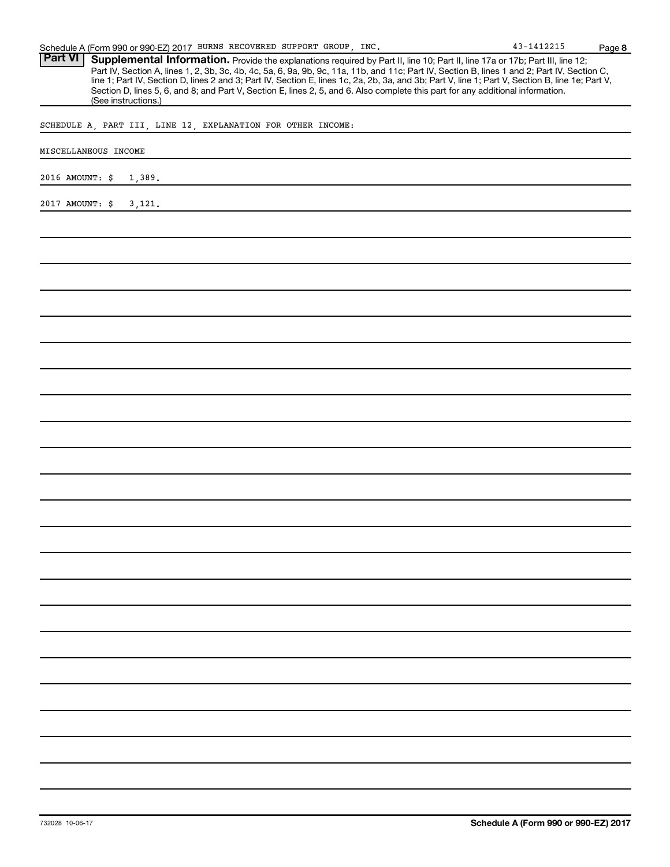| Schedule A (Form 990 or 990-EZ) 2017 BURNS RECOVERED SUPPORT GROUP, INC.                                                                                                                                                                                                                                                                                                                                                                            | 43-1412215 | Page 8 |
|-----------------------------------------------------------------------------------------------------------------------------------------------------------------------------------------------------------------------------------------------------------------------------------------------------------------------------------------------------------------------------------------------------------------------------------------------------|------------|--------|
| <b>Part VI</b><br>Supplemental Information. Provide the explanations required by Part II, line 10; Part II, line 17a or 17b; Part III, line 12;<br>Part IV, Section A, lines 1, 2, 3b, 3c, 4b, 4c, 5a, 6, 9a, 9b, 9c, 11a, 11b, and 11c; Part IV, Section B, lines 1 and 2; Part IV, Section C,<br>line 1; Part IV, Section D, lines 2 and 3; Part IV, Section E, lines 1c, 2a, 2b, 3a, and 3b; Part V, line 1; Part V, Section B, line 1e; Part V, |            |        |
| Section D, lines 5, 6, and 8; and Part V, Section E, lines 2, 5, and 6. Also complete this part for any additional information.<br>(See instructions.)                                                                                                                                                                                                                                                                                              |            |        |
| SCHEDULE A, PART III, LINE 12, EXPLANATION FOR OTHER INCOME:                                                                                                                                                                                                                                                                                                                                                                                        |            |        |
| MISCELLANEOUS INCOME                                                                                                                                                                                                                                                                                                                                                                                                                                |            |        |
| 2016 AMOUNT: \$<br>1,389.                                                                                                                                                                                                                                                                                                                                                                                                                           |            |        |
| 2017 AMOUNT: \$<br>3,121.                                                                                                                                                                                                                                                                                                                                                                                                                           |            |        |
|                                                                                                                                                                                                                                                                                                                                                                                                                                                     |            |        |
|                                                                                                                                                                                                                                                                                                                                                                                                                                                     |            |        |
|                                                                                                                                                                                                                                                                                                                                                                                                                                                     |            |        |
|                                                                                                                                                                                                                                                                                                                                                                                                                                                     |            |        |
|                                                                                                                                                                                                                                                                                                                                                                                                                                                     |            |        |
|                                                                                                                                                                                                                                                                                                                                                                                                                                                     |            |        |
|                                                                                                                                                                                                                                                                                                                                                                                                                                                     |            |        |
|                                                                                                                                                                                                                                                                                                                                                                                                                                                     |            |        |
|                                                                                                                                                                                                                                                                                                                                                                                                                                                     |            |        |
|                                                                                                                                                                                                                                                                                                                                                                                                                                                     |            |        |
|                                                                                                                                                                                                                                                                                                                                                                                                                                                     |            |        |
|                                                                                                                                                                                                                                                                                                                                                                                                                                                     |            |        |
|                                                                                                                                                                                                                                                                                                                                                                                                                                                     |            |        |
|                                                                                                                                                                                                                                                                                                                                                                                                                                                     |            |        |
|                                                                                                                                                                                                                                                                                                                                                                                                                                                     |            |        |
|                                                                                                                                                                                                                                                                                                                                                                                                                                                     |            |        |
|                                                                                                                                                                                                                                                                                                                                                                                                                                                     |            |        |
|                                                                                                                                                                                                                                                                                                                                                                                                                                                     |            |        |
|                                                                                                                                                                                                                                                                                                                                                                                                                                                     |            |        |
|                                                                                                                                                                                                                                                                                                                                                                                                                                                     |            |        |
|                                                                                                                                                                                                                                                                                                                                                                                                                                                     |            |        |
|                                                                                                                                                                                                                                                                                                                                                                                                                                                     |            |        |
|                                                                                                                                                                                                                                                                                                                                                                                                                                                     |            |        |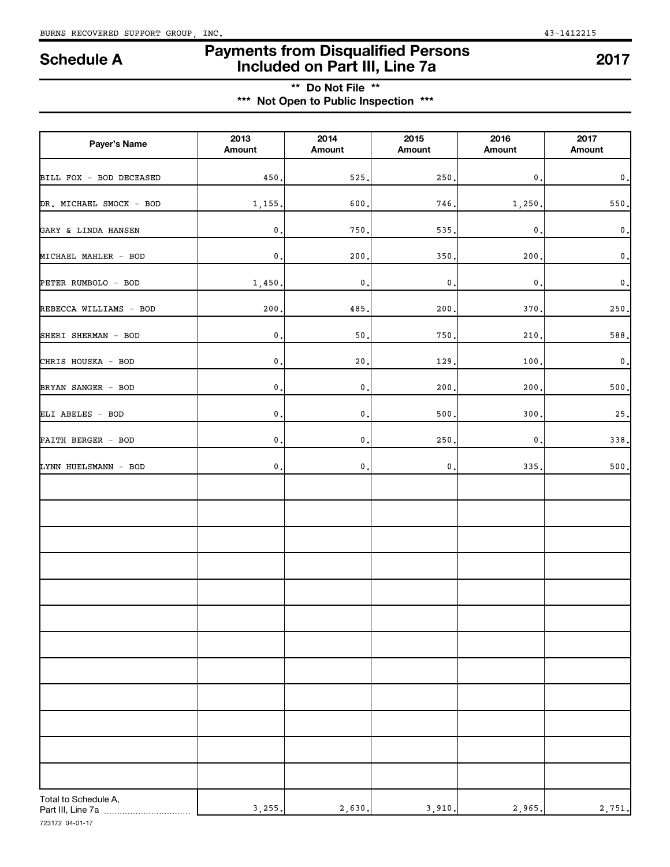# **Payments from Disqualified Persons Included on Part III, Line 7a Schedule A <sup>2017</sup>**

# **\*\* Do Not File \*\* \*\*\* Not Open to Public Inspection \*\*\***

| Payer's Name                              | 2013<br>Amount | 2014<br>Amount  | 2015<br>Amount | 2016<br>Amount | 2017<br>Amount  |
|-------------------------------------------|----------------|-----------------|----------------|----------------|-----------------|
| BILL FOX - BOD DECEASED                   | 450            | 525,            | 250            | 0              | $\mathfrak o$ . |
| DR. MICHAEL SMOCK - BOD                   | 1,155          | 600             | 746.           | 1,250          | 550,            |
| GARY & LINDA HANSEN                       | $\mathbf 0$ .  | 750             | 535.           | 0              | $\mathfrak o$ , |
| MICHAEL MAHLER - BOD                      | $\mathsf{0}$ . | 200             | 350            | 200            | $\mathfrak o$ . |
| PETER RUMBOLO - BOD                       | 1,450.         | $\mathsf{0}$ .  | $\mathbf 0$ .  | 0              | $\mathfrak o$ . |
| REBECCA WILLIAMS - BOD                    | 200            | 485             | 200            | 370            | 250.            |
| SHERI SHERMAN - BOD                       | $\mathbf 0$ ,  | 50,             | 750            | 210            | 588             |
| CHRIS HOUSKA - BOD                        | $\mathsf{0}$ . | 20.             | 129            | 100            | $\,0$ .         |
| BRYAN SANGER - BOD                        | $\mathsf{0}$ . | $\mathfrak o$ . | 200            | 200            | 500.            |
| ELI ABELES - BOD                          | $\mathbf 0$ ,  | $\mathfrak o$ . | 500            | 300            | $25$ ,          |
| FAITH BERGER - BOD                        | $\mathbf 0$ ,  | $\mathfrak o$ . | 250            | $\pmb{0}$      | 338.            |
| LYNN HUELSMANN - BOD                      | $\mathsf{0}$ . | $\mathfrak o$ . | $\mathsf{0}$ . | 335            | 500,            |
|                                           |                |                 |                |                |                 |
|                                           |                |                 |                |                |                 |
|                                           |                |                 |                |                |                 |
|                                           |                |                 |                |                |                 |
|                                           |                |                 |                |                |                 |
|                                           |                |                 |                |                |                 |
|                                           |                |                 |                |                |                 |
|                                           |                |                 |                |                |                 |
|                                           |                |                 |                |                |                 |
|                                           |                |                 |                |                |                 |
|                                           |                |                 |                |                |                 |
|                                           |                |                 |                |                |                 |
| Total to Schedule A,<br>Part III, Line 7a | 3,255.         | 2,630.          | 3,910.         | 2,965.         | 2,751.          |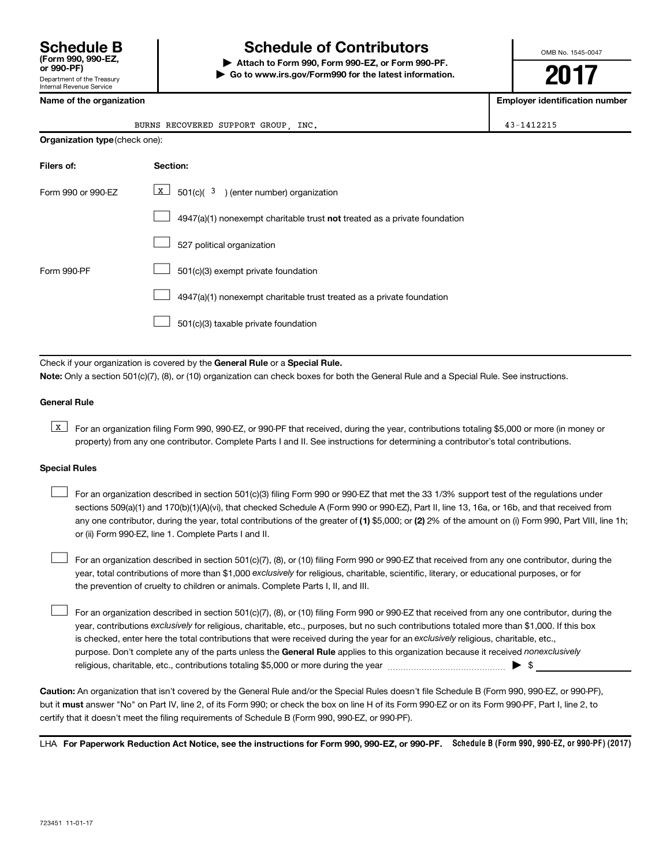# **Schedule B Schedule of Contributors**

**or 990-PF) | Attach to Form 990, Form 990-EZ, or Form 990-PF. | Go to www.irs.gov/Form990 for the latest information.** OMB No. 1545-0047

**2017**

**Name of the organization Employer identification number**

|                    | BURNS RECOVERED SUPPORT GROUP, INC.                                       |  |  |  |  |  |
|--------------------|---------------------------------------------------------------------------|--|--|--|--|--|
|                    | <b>Organization type (check one):</b>                                     |  |  |  |  |  |
| Filers of:         | Section:                                                                  |  |  |  |  |  |
| Form 990 or 990-EZ | $\boxed{\text{X}}$ 501(c)( 3) (enter number) organization                 |  |  |  |  |  |
|                    | 4947(a)(1) nonexempt charitable trust not treated as a private foundation |  |  |  |  |  |
|                    | 527 political organization                                                |  |  |  |  |  |
| Form 990-PF        | 501(c)(3) exempt private foundation                                       |  |  |  |  |  |
|                    | 4947(a)(1) nonexempt charitable trust treated as a private foundation     |  |  |  |  |  |
|                    | 501(c)(3) taxable private foundation                                      |  |  |  |  |  |
|                    |                                                                           |  |  |  |  |  |

Check if your organization is covered by the General Rule or a Special Rule. **Note:**  Only a section 501(c)(7), (8), or (10) organization can check boxes for both the General Rule and a Special Rule. See instructions.

#### **General Rule**

**K** For an organization filing Form 990, 990-EZ, or 990-PF that received, during the year, contributions totaling \$5,000 or more (in money or property) from any one contributor. Complete Parts I and II. See instructions for determining a contributor's total contributions.

#### **Special Rules**

 $\Box$ 

any one contributor, during the year, total contributions of the greater of (1) \$5,000; or (2) 2% of the amount on (i) Form 990, Part VIII, line 1h; For an organization described in section 501(c)(3) filing Form 990 or 990-EZ that met the 33 1/3% support test of the regulations under sections 509(a)(1) and 170(b)(1)(A)(vi), that checked Schedule A (Form 990 or 990-EZ), Part II, line 13, 16a, or 16b, and that received from or (ii) Form 990-EZ, line 1. Complete Parts I and II.  $\Box$ 

year, total contributions of more than \$1,000 *exclusively* for religious, charitable, scientific, literary, or educational purposes, or for For an organization described in section 501(c)(7), (8), or (10) filing Form 990 or 990-EZ that received from any one contributor, during the the prevention of cruelty to children or animals. Complete Parts I, II, and III.  $\Box$ 

purpose. Don't complete any of the parts unless the General Rule applies to this organization because it received nonexclusively year, contributions exclusively for religious, charitable, etc., purposes, but no such contributions totaled more than \$1,000. If this box is checked, enter here the total contributions that were received during the year for an exclusively religious, charitable, etc., For an organization described in section 501(c)(7), (8), or (10) filing Form 990 or 990-EZ that received from any one contributor, during the religious, charitable, etc., contributions totaling \$5,000 or more during the year  $\ldots$  $\ldots$  $\ldots$  $\ldots$  $\ldots$  $\ldots$ 

**Caution:**  An organization that isn't covered by the General Rule and/or the Special Rules doesn't file Schedule B (Form 990, 990-EZ, or 990-PF),  **must** but it answer "No" on Part IV, line 2, of its Form 990; or check the box on line H of its Form 990-EZ or on its Form 990-PF, Part I, line 2, to certify that it doesn't meet the filing requirements of Schedule B (Form 990, 990-EZ, or 990-PF).

LHA For Paperwork Reduction Act Notice, see the instructions for Form 990, 990-EZ, or 990-PF. Schedule B (Form 990, 990-EZ, or 990-PF) (2017)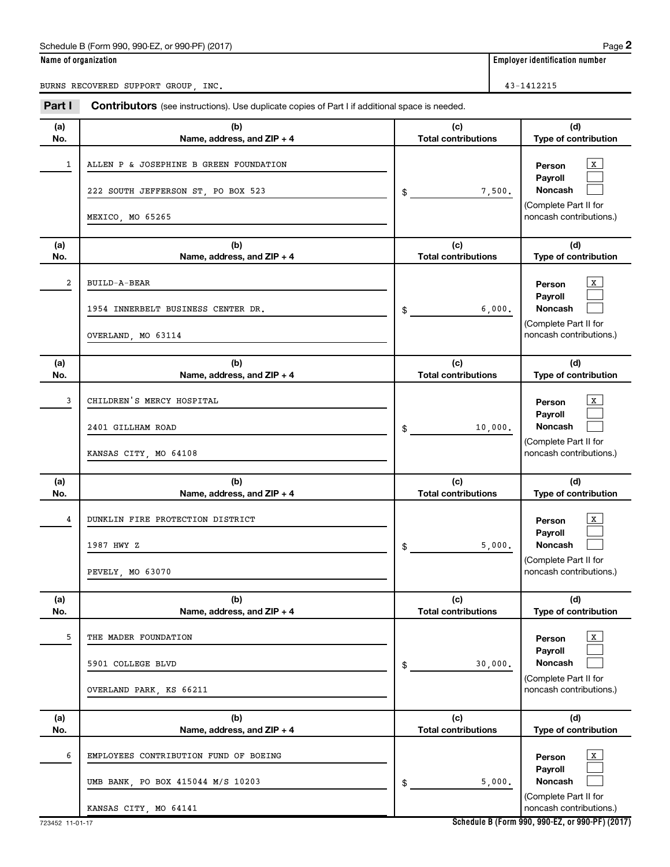# Schedule B (Form 990, 990-EZ, or 990-PF) (2017)

|--|--|

**Name of organization** 

BURNS RECOVERED SUPPORT GROUP, INC. 43-1412215

| Part I         | Contributors (see instructions). Use duplicate copies of Part I if additional space is needed.      |                                   |                                                                                                         |
|----------------|-----------------------------------------------------------------------------------------------------|-----------------------------------|---------------------------------------------------------------------------------------------------------|
| (a)<br>No.     | (b)<br>Name, address, and ZIP + 4                                                                   | (c)<br><b>Total contributions</b> | (d)<br>Type of contribution                                                                             |
| 1              | ALLEN P & JOSEPHINE B GREEN FOUNDATION<br>222 SOUTH JEFFERSON ST, PO BOX 523<br>MEXICO, MO 65265    | 7,500.<br>\$                      | $\mathbf{X}$<br>Person<br>Payroll<br><b>Noncash</b><br>(Complete Part II for<br>noncash contributions.) |
| (a)<br>No.     | (b)<br>Name, address, and ZIP + 4                                                                   | (c)<br><b>Total contributions</b> | (d)<br>Type of contribution                                                                             |
| $\overline{a}$ | BUILD-A-BEAR<br>1954 INNERBELT BUSINESS CENTER DR.<br>OVERLAND, MO 63114                            | 6,000.<br>\$                      | $\mathbf{X}$<br>Person<br>Payroll<br><b>Noncash</b><br>(Complete Part II for<br>noncash contributions.) |
| (a)<br>No.     | (b)<br>Name, address, and ZIP + 4                                                                   | (c)<br><b>Total contributions</b> | (d)<br>Type of contribution                                                                             |
| 3              | CHILDREN'S MERCY HOSPITAL<br>2401 GILLHAM ROAD<br>KANSAS CITY, MO 64108                             | 10,000.<br>\$                     | X<br>Person<br>Payroll<br><b>Noncash</b><br>(Complete Part II for<br>noncash contributions.)            |
| (a)<br>No.     | (b)<br>Name, address, and ZIP + 4                                                                   | (c)<br><b>Total contributions</b> | (d)<br>Type of contribution                                                                             |
| 4              | DUNKLIN FIRE PROTECTION DISTRICT<br>1987 HWY Z<br>PEVELY, MO 63070                                  | 5,000.<br>\$                      | $\mathbf{X}$<br>Person<br>Payroll<br><b>Noncash</b><br>(Complete Part II for<br>noncash contributions.) |
| (a)<br>No.     | (b)<br>Name, address, and ZIP + 4                                                                   | (c)<br><b>Total contributions</b> | (d)<br>Type of contribution                                                                             |
| 5              | THE MADER FOUNDATION<br>5901 COLLEGE BLVD<br>OVERLAND PARK, KS 66211                                | 30,000.<br>\$                     | X<br>Person<br>Payroll<br><b>Noncash</b><br>(Complete Part II for<br>noncash contributions.)            |
| (a)<br>No.     | (b)<br>Name, address, and ZIP + 4                                                                   | (c)<br><b>Total contributions</b> | (d)<br>Type of contribution                                                                             |
| 6              | EMPLOYEES CONTRIBUTION FUND OF BOEING<br>UMB BANK, PO BOX 415044 M/S 10203<br>KANSAS CITY, MO 64141 | 5,000.<br>\$                      | x<br>Person<br>Payroll<br><b>Noncash</b><br>(Complete Part II for<br>noncash contributions.)            |

**Schedule B (Form 990, 990-EZ, or 990-PF) (2017)**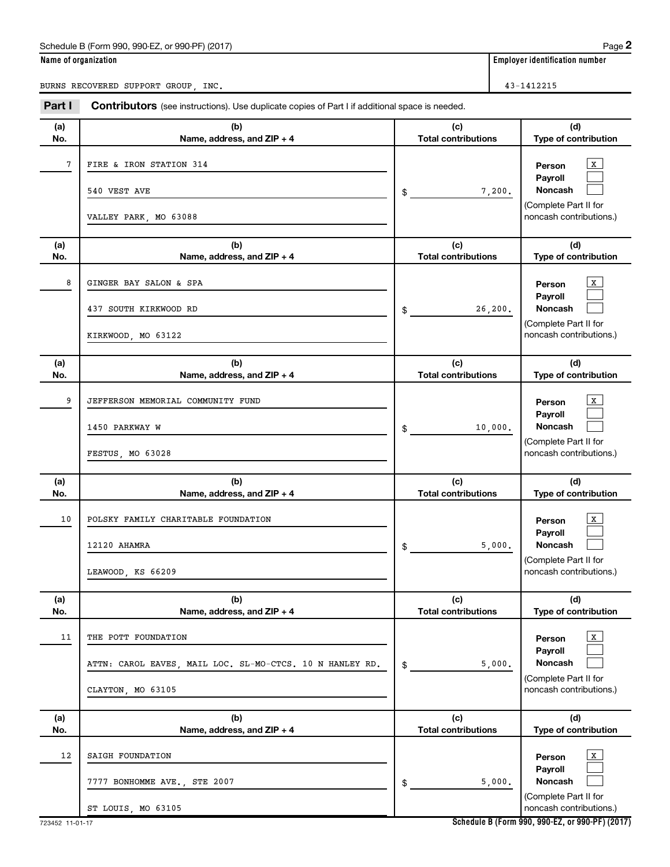# Schedule B (Form 990, 990-EZ, or 990-PF) (2017)

|  |  |  | Name of organization |
|--|--|--|----------------------|
|  |  |  |                      |

**Employer identification number** 

BURNS RECOVERED SUPPORT GROUP, INC. 43-1412215

| Part I     | Contributors (see instructions). Use duplicate copies of Part I if additional space is needed.       |                                   |                                                                                                  |
|------------|------------------------------------------------------------------------------------------------------|-----------------------------------|--------------------------------------------------------------------------------------------------|
| (a)<br>No. | (b)<br>Name, address, and ZIP + 4                                                                    | (c)<br><b>Total contributions</b> | (d)<br>Type of contribution                                                                      |
| 7          | FIRE & IRON STATION 314<br>540 VEST AVE<br>VALLEY PARK, MO 63088                                     | 7,200.<br>$\mathsf{\$}$           | X<br>Person<br>Payroll<br>Noncash<br>(Complete Part II for<br>noncash contributions.)            |
| (a)<br>No. | (b)<br>Name, address, and ZIP + 4                                                                    | (c)<br><b>Total contributions</b> | (d)<br>Type of contribution                                                                      |
| 8          | GINGER BAY SALON & SPA<br>437 SOUTH KIRKWOOD RD<br>KIRKWOOD, MO 63122                                | 26, 200.<br>$\frac{1}{2}$         | X<br>Person<br>Payroll<br>Noncash<br>(Complete Part II for<br>noncash contributions.)            |
| (a)<br>No. | (b)<br>Name, address, and ZIP + 4                                                                    | (c)<br><b>Total contributions</b> | (d)<br>Type of contribution                                                                      |
| 9          | JEFFERSON MEMORIAL COMMUNITY FUND<br>1450 PARKWAY W<br>FESTUS, MO 63028                              | 10,000.<br>\$                     | $\,$ X $\,$<br>Person<br>Payroll<br>Noncash<br>(Complete Part II for<br>noncash contributions.)  |
| (a)<br>No. | (b)<br>Name, address, and ZIP + 4                                                                    | (c)<br><b>Total contributions</b> | (d)<br>Type of contribution                                                                      |
| 10         | POLSKY FAMILY CHARITABLE FOUNDATION<br>12120 AHAMRA<br>LEAWOOD, KS 66209                             | 5,000.<br>$$\tilde{\phantom{a}}$$ | $\mathbf{x}$<br>Person<br>Payroll<br>Noncash<br>(Complete Part II for<br>noncash contributions.) |
| (a)<br>No. | (b)<br>Name, address, and ZIP + 4                                                                    | (c)<br><b>Total contributions</b> | (d)<br>Type of contribution                                                                      |
| 11         | THE POTT FOUNDATION<br>ATTN: CAROL EAVES, MAIL LOC. SL-MO-CTCS. 10 N HANLEY RD.<br>CLAYTON, MO 63105 | 5,000.<br>\$                      | X<br>Person<br>Payroll<br>Noncash<br>(Complete Part II for<br>noncash contributions.)            |
| (a)<br>No. | (b)<br>Name, address, and ZIP + 4                                                                    | (c)<br><b>Total contributions</b> | (d)<br>Type of contribution                                                                      |
| 12         | SAIGH FOUNDATION<br>7777 BONHOMME AVE., STE 2007<br>ST LOUIS, MO 63105                               | 5,000.<br>\$                      | X<br>Person<br>Payroll<br>Noncash<br>(Complete Part II for<br>noncash contributions.)            |

**Schedule B (Form 990, 990-EZ, or 990-PF) (2017)**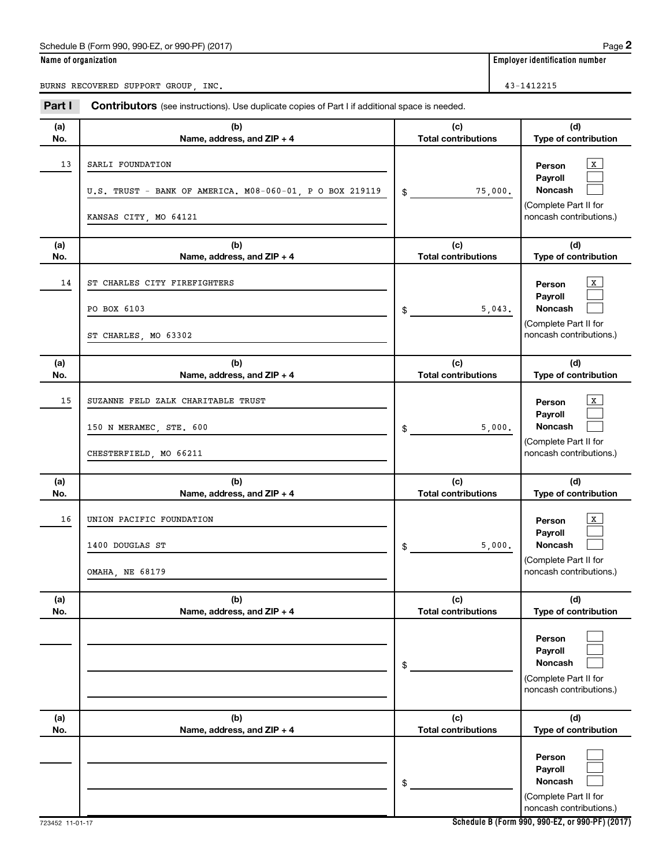#### Schedule B (Form 990, 990-EZ, or 990-PF) (2017)

| Name of organization |  |  |
|----------------------|--|--|
|                      |  |  |

BURNS RECOVERED SUPPORT GROUP, INC.

**Employer identification number** 

| Part I     | <b>Contributors</b> (see instructions). Use duplicate copies of Part I if additional space is needed. |                                                                                                                                     |
|------------|-------------------------------------------------------------------------------------------------------|-------------------------------------------------------------------------------------------------------------------------------------|
| (a)<br>No. | (b)<br>Name, address, and ZIP + 4                                                                     | (c)<br>(d)<br><b>Total contributions</b><br>Type of contribution                                                                    |
| 13         | SARLI FOUNDATION<br>U.S. TRUST - BANK OF AMERICA. M08-060-01, P O BOX 219119<br>KANSAS CITY, MO 64121 | $\mathbf{x}$<br>Person<br>Payroll<br><b>Noncash</b><br>75,000.<br>$\frac{1}{2}$<br>(Complete Part II for<br>noncash contributions.) |
| (a)<br>No. | (b)<br>Name, address, and ZIP + 4                                                                     | (c)<br>(d)<br><b>Total contributions</b><br>Type of contribution                                                                    |
| 14         | ST CHARLES CITY FIREFIGHTERS<br>PO BOX 6103<br>ST CHARLES, MO 63302                                   | X<br>Person<br>Payroll<br><b>Noncash</b><br>5,043.<br>\$<br>(Complete Part II for<br>noncash contributions.)                        |
| (a)<br>No. | (b)<br>Name, address, and ZIP + 4                                                                     | (c)<br>(d)<br><b>Total contributions</b><br>Type of contribution                                                                    |
| 15         | SUZANNE FELD ZALK CHARITABLE TRUST<br>150 N MERAMEC, STE. 600<br>CHESTERFIELD, MO 66211               | $\,$ X $\,$<br>Person<br>Payroll<br><b>Noncash</b><br>5,000.<br>\$<br>(Complete Part II for<br>noncash contributions.)              |
| (a)<br>No. | (b)<br>Name, address, and ZIP + 4                                                                     | (c)<br>(d)<br><b>Total contributions</b><br>Type of contribution                                                                    |
| 16         | UNION PACIFIC FOUNDATION<br>1400 DOUGLAS ST<br>OMAHA, NE 68179                                        | X<br>Person<br>Payroll<br><b>Noncash</b><br>5,000.<br>\$<br>(Complete Part II for<br>noncash contributions.)                        |
| (a)        | (b)                                                                                                   | (d)<br>(c)<br><b>Total contributions</b>                                                                                            |
| No.        | Name, address, and ZIP + 4                                                                            | Type of contribution<br>Person<br>Payroll<br><b>Noncash</b><br>\$<br>(Complete Part II for<br>noncash contributions.)               |
| (a)<br>No. | (b)<br>Name, address, and ZIP + 4                                                                     | (d)<br>(c)<br><b>Total contributions</b><br>Type of contribution                                                                    |
|            |                                                                                                       | Person<br>Payroll<br>Noncash<br>\$<br>(Complete Part II for<br>noncash contributions.)                                              |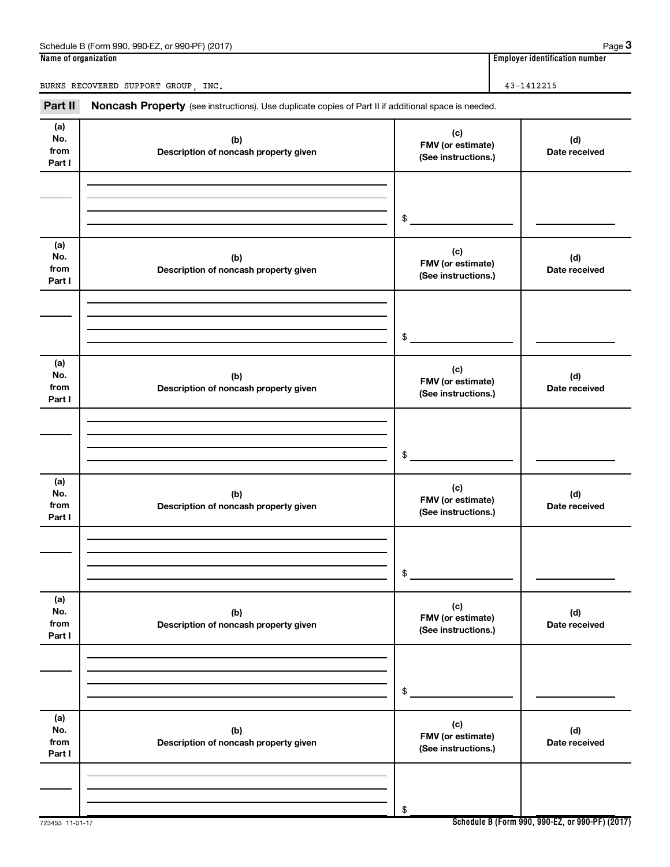| QQ <sub>0</sub> E7<br>(2017<br>990.PF<br>990<br>$\overline{\phantom{0}}$<br>(Form<br>Schedule<br>$\sim$<br>۰л<br>-1.-11<br>.<br>. . | Page                                 |
|-------------------------------------------------------------------------------------------------------------------------------------|--------------------------------------|
| Name<br>of organization :                                                                                                           | <br>identification number<br>Emplove |

BURNS RECOVERED SUPPORT GROUP, INC. 43-1412215

Part II Noncash Property (see instructions). Use duplicate copies of Part II if additional space is needed.

| ган н                        | <b>NUTICASH FTUPERY</b> (See instructions). Ose duplicate copies of Farent additional space is needed. |                                                 |                      |
|------------------------------|--------------------------------------------------------------------------------------------------------|-------------------------------------------------|----------------------|
| (a)<br>No.<br>from<br>Part I | (b)<br>Description of noncash property given                                                           | (c)<br>FMV (or estimate)<br>(See instructions.) | (d)<br>Date received |
|                              |                                                                                                        | $\frac{1}{2}$                                   |                      |
| (a)<br>No.<br>from<br>Part I | (b)<br>Description of noncash property given                                                           | (c)<br>FMV (or estimate)<br>(See instructions.) | (d)<br>Date received |
|                              |                                                                                                        | \$                                              |                      |
| (a)<br>No.<br>from<br>Part I | (b)<br>Description of noncash property given                                                           | (c)<br>FMV (or estimate)<br>(See instructions.) | (d)<br>Date received |
|                              |                                                                                                        | \$                                              |                      |
| (a)<br>No.<br>from<br>Part I | (b)<br>Description of noncash property given                                                           | (c)<br>FMV (or estimate)<br>(See instructions.) | (d)<br>Date received |
|                              |                                                                                                        | \$                                              |                      |
| (a)<br>No.<br>from<br>Part I | (b)<br>Description of noncash property given                                                           | (c)<br>FMV (or estimate)<br>(See instructions.) | (d)<br>Date received |
|                              |                                                                                                        | \$                                              |                      |
| (a)<br>No.<br>from<br>Part I | (b)<br>Description of noncash property given                                                           | (c)<br>FMV (or estimate)<br>(See instructions.) | (d)<br>Date received |
|                              |                                                                                                        | \$                                              |                      |

**Schedule B (Form 990, 990-EZ, or 990-PF) (2017)**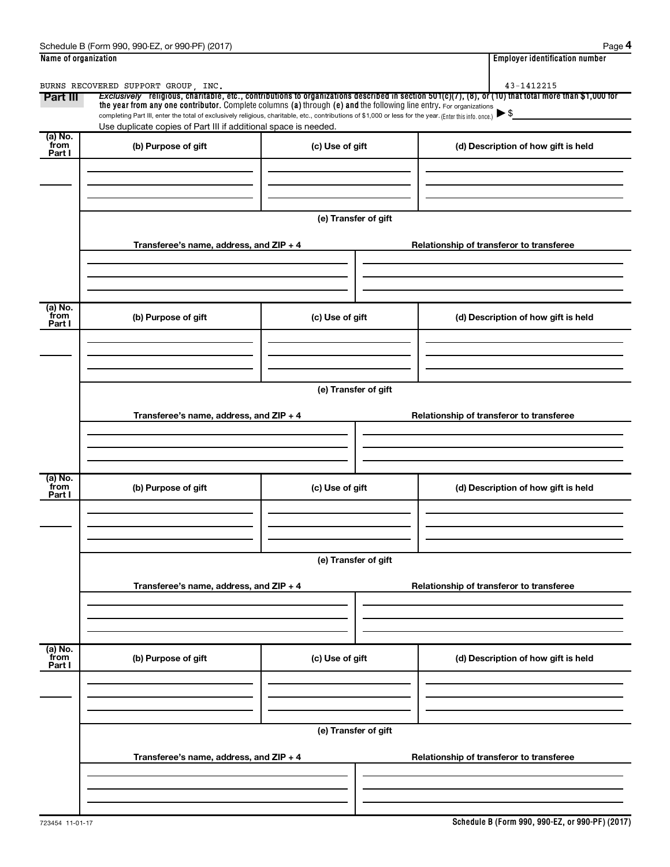| Name of organization      |                                                                                                                                                                                                                                                                                                                        |                      | <b>Employer identification number</b>                                                                                                                                                           |
|---------------------------|------------------------------------------------------------------------------------------------------------------------------------------------------------------------------------------------------------------------------------------------------------------------------------------------------------------------|----------------------|-------------------------------------------------------------------------------------------------------------------------------------------------------------------------------------------------|
| Part III                  | BURNS RECOVERED SUPPORT GROUP, INC.<br>the year from any one contributor. Complete columns (a) through (e) and the following line entry. For organizations<br>completing Part III, enter the total of exclusively religious, charitable, etc., contributions of \$1,000 or less for the year. (Enter this info. once.) |                      | 43-1412215<br>Exclusively religious, charitable, etc., contributions to organizations described in section 501(c)(7), (8), or (10) that total more than \$1,000 for<br>$\blacktriangleright$ \$ |
|                           | Use duplicate copies of Part III if additional space is needed.                                                                                                                                                                                                                                                        |                      |                                                                                                                                                                                                 |
| (a) No.<br>from<br>Part I | (b) Purpose of gift                                                                                                                                                                                                                                                                                                    | (c) Use of gift      | (d) Description of how gift is held                                                                                                                                                             |
|                           | Transferee's name, address, and ZIP + 4                                                                                                                                                                                                                                                                                | (e) Transfer of gift | Relationship of transferor to transferee                                                                                                                                                        |
| (a) No.<br>from<br>Part I | (b) Purpose of gift                                                                                                                                                                                                                                                                                                    | (c) Use of gift      | (d) Description of how gift is held                                                                                                                                                             |
|                           |                                                                                                                                                                                                                                                                                                                        | (e) Transfer of gift |                                                                                                                                                                                                 |
|                           | Transferee's name, address, and ZIP + 4                                                                                                                                                                                                                                                                                |                      | Relationship of transferor to transferee                                                                                                                                                        |
| (a) No.<br>from<br>Part I | (b) Purpose of gift                                                                                                                                                                                                                                                                                                    | (c) Use of gift      | (d) Description of how gift is held                                                                                                                                                             |
|                           |                                                                                                                                                                                                                                                                                                                        |                      |                                                                                                                                                                                                 |
|                           |                                                                                                                                                                                                                                                                                                                        | (e) Transfer of gift |                                                                                                                                                                                                 |
|                           | Transferee's name, address, and ZIP + 4                                                                                                                                                                                                                                                                                |                      | Relationship of transferor to transferee                                                                                                                                                        |
| (a) No.<br>from<br>Part I | (b) Purpose of gift                                                                                                                                                                                                                                                                                                    | (c) Use of gift      | (d) Description of how gift is held                                                                                                                                                             |
|                           |                                                                                                                                                                                                                                                                                                                        |                      |                                                                                                                                                                                                 |
|                           |                                                                                                                                                                                                                                                                                                                        | (e) Transfer of gift |                                                                                                                                                                                                 |
|                           | Transferee's name, address, and ZIP + 4                                                                                                                                                                                                                                                                                |                      | Relationship of transferor to transferee                                                                                                                                                        |
|                           |                                                                                                                                                                                                                                                                                                                        |                      |                                                                                                                                                                                                 |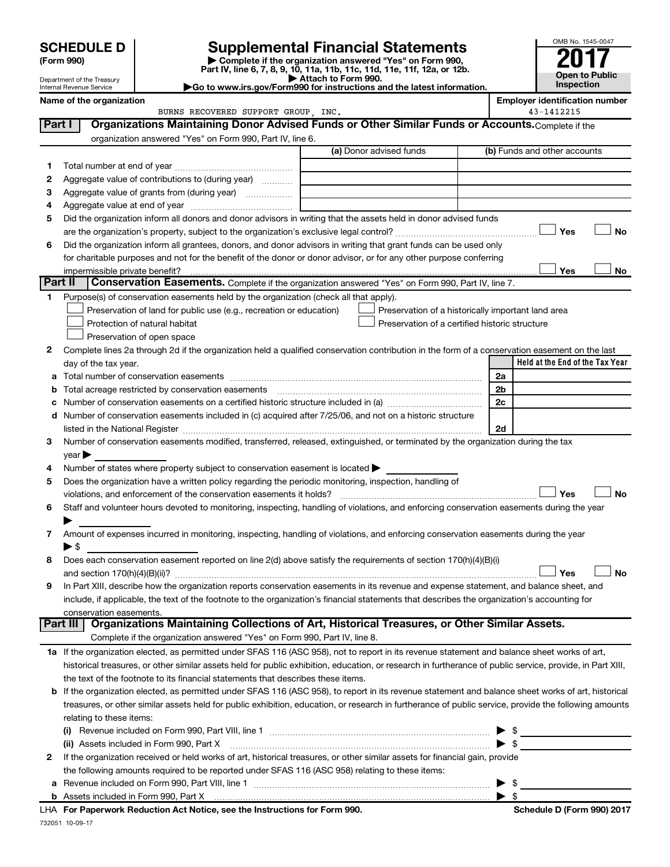Department of the Treasury Internal Revenue Service

| (Form 990) |
|------------|
|------------|

# **SCHEDULE D Supplemental Financial Statements**<br> **Form 990 2017**<br> **Part IV** line 6.7.8.9.10, 11a, 11b, 11d, 11d, 11d, 11d, 11d, 12a, 0r, 12b

**(Form 990) | Complete if the organization answered "Yes" on Form 990, Part IV, line 6, 7, 8, 9, 10, 11a, 11b, 11c, 11d, 11e, 11f, 12a, or 12b.**

**| Attach to Form 990. |Go to www.irs.gov/Form990 for instructions and the latest information.**



|              | Name of the organization                                                                                                                                                                                                                           |                                                    | <b>Employer identification number</b> |
|--------------|----------------------------------------------------------------------------------------------------------------------------------------------------------------------------------------------------------------------------------------------------|----------------------------------------------------|---------------------------------------|
|              | BURNS RECOVERED SUPPORT GROUP, INC.                                                                                                                                                                                                                |                                                    | 43-1412215                            |
| Part I       | Organizations Maintaining Donor Advised Funds or Other Similar Funds or Accounts. Complete if the                                                                                                                                                  |                                                    |                                       |
|              | organization answered "Yes" on Form 990, Part IV, line 6.                                                                                                                                                                                          |                                                    |                                       |
|              |                                                                                                                                                                                                                                                    | (a) Donor advised funds                            | (b) Funds and other accounts          |
| 1.           |                                                                                                                                                                                                                                                    |                                                    |                                       |
| 2            | Aggregate value of contributions to (during year)                                                                                                                                                                                                  |                                                    |                                       |
| з            | Aggregate value of grants from (during year)                                                                                                                                                                                                       |                                                    |                                       |
| 4            |                                                                                                                                                                                                                                                    |                                                    |                                       |
| 5            | Did the organization inform all donors and donor advisors in writing that the assets held in donor advised funds                                                                                                                                   |                                                    |                                       |
|              |                                                                                                                                                                                                                                                    |                                                    | Yes<br>No                             |
| 6            | Did the organization inform all grantees, donors, and donor advisors in writing that grant funds can be used only                                                                                                                                  |                                                    |                                       |
|              | for charitable purposes and not for the benefit of the donor or donor advisor, or for any other purpose conferring                                                                                                                                 |                                                    |                                       |
| Part II      |                                                                                                                                                                                                                                                    |                                                    | Yes<br>No                             |
|              | <b>Conservation Easements.</b> Complete if the organization answered "Yes" on Form 990, Part IV, line 7.                                                                                                                                           |                                                    |                                       |
| 1            | Purpose(s) of conservation easements held by the organization (check all that apply).                                                                                                                                                              |                                                    |                                       |
|              | Preservation of land for public use (e.g., recreation or education)                                                                                                                                                                                | Preservation of a historically important land area |                                       |
|              | Protection of natural habitat                                                                                                                                                                                                                      | Preservation of a certified historic structure     |                                       |
|              | Preservation of open space                                                                                                                                                                                                                         |                                                    |                                       |
| 2            | Complete lines 2a through 2d if the organization held a qualified conservation contribution in the form of a conservation easement on the last                                                                                                     |                                                    | Held at the End of the Tax Year       |
|              | day of the tax year.                                                                                                                                                                                                                               |                                                    |                                       |
| а            |                                                                                                                                                                                                                                                    |                                                    | 2a                                    |
| b            |                                                                                                                                                                                                                                                    |                                                    | 2b<br>2c                              |
| с            | Number of conservation easements included in (c) acquired after 7/25/06, and not on a historic structure                                                                                                                                           |                                                    |                                       |
| d            |                                                                                                                                                                                                                                                    |                                                    | 2d                                    |
| 3            | listed in the National Register [111] [12] The National Register [11] Manuscritt, Manuscritt, Manuscritt, Manu<br>Number of conservation easements modified, transferred, released, extinguished, or terminated by the organization during the tax |                                                    |                                       |
|              | year                                                                                                                                                                                                                                               |                                                    |                                       |
| 4            | Number of states where property subject to conservation easement is located >                                                                                                                                                                      |                                                    |                                       |
| 5            | Does the organization have a written policy regarding the periodic monitoring, inspection, handling of                                                                                                                                             |                                                    |                                       |
|              | violations, and enforcement of the conservation easements it holds?                                                                                                                                                                                |                                                    | Yes<br><b>No</b>                      |
| 6            | Staff and volunteer hours devoted to monitoring, inspecting, handling of violations, and enforcing conservation easements during the year                                                                                                          |                                                    |                                       |
|              |                                                                                                                                                                                                                                                    |                                                    |                                       |
| 7            | Amount of expenses incurred in monitoring, inspecting, handling of violations, and enforcing conservation easements during the year                                                                                                                |                                                    |                                       |
|              | ► \$                                                                                                                                                                                                                                               |                                                    |                                       |
| 8            | Does each conservation easement reported on line 2(d) above satisfy the requirements of section 170(h)(4)(B)(i)                                                                                                                                    |                                                    |                                       |
|              |                                                                                                                                                                                                                                                    |                                                    | Yes<br>No                             |
|              | In Part XIII, describe how the organization reports conservation easements in its revenue and expense statement, and balance sheet, and                                                                                                            |                                                    |                                       |
|              | include, if applicable, the text of the footnote to the organization's financial statements that describes the organization's accounting for                                                                                                       |                                                    |                                       |
|              | conservation easements.                                                                                                                                                                                                                            |                                                    |                                       |
|              | Organizations Maintaining Collections of Art, Historical Treasures, or Other Similar Assets.<br>Part III                                                                                                                                           |                                                    |                                       |
|              | Complete if the organization answered "Yes" on Form 990, Part IV, line 8.                                                                                                                                                                          |                                                    |                                       |
|              | 1a If the organization elected, as permitted under SFAS 116 (ASC 958), not to report in its revenue statement and balance sheet works of art,                                                                                                      |                                                    |                                       |
|              | historical treasures, or other similar assets held for public exhibition, education, or research in furtherance of public service, provide, in Part XIII,                                                                                          |                                                    |                                       |
|              | the text of the footnote to its financial statements that describes these items.                                                                                                                                                                   |                                                    |                                       |
|              | <b>b</b> If the organization elected, as permitted under SFAS 116 (ASC 958), to report in its revenue statement and balance sheet works of art, historical                                                                                         |                                                    |                                       |
|              | treasures, or other similar assets held for public exhibition, education, or research in furtherance of public service, provide the following amounts                                                                                              |                                                    |                                       |
|              | relating to these items:                                                                                                                                                                                                                           |                                                    |                                       |
|              |                                                                                                                                                                                                                                                    |                                                    | \$<br>▶                               |
|              | (ii) Assets included in Form 990, Part X                                                                                                                                                                                                           |                                                    | $\blacktriangleright$ \$              |
| $\mathbf{2}$ | If the organization received or held works of art, historical treasures, or other similar assets for financial gain, provide                                                                                                                       |                                                    |                                       |
|              | the following amounts required to be reported under SFAS 116 (ASC 958) relating to these items:                                                                                                                                                    |                                                    |                                       |
|              | a Revenue included on Form 990, Part VIII, line 1                                                                                                                                                                                                  |                                                    | $\blacktriangleright$ \$              |

| \$

**b** Assets included in Form 990, Part X

732051 10-09-17 **For Paperwork Reduction Act Notice, see the Instructions for Form 990. Schedule D (Form 990) 2017** LHA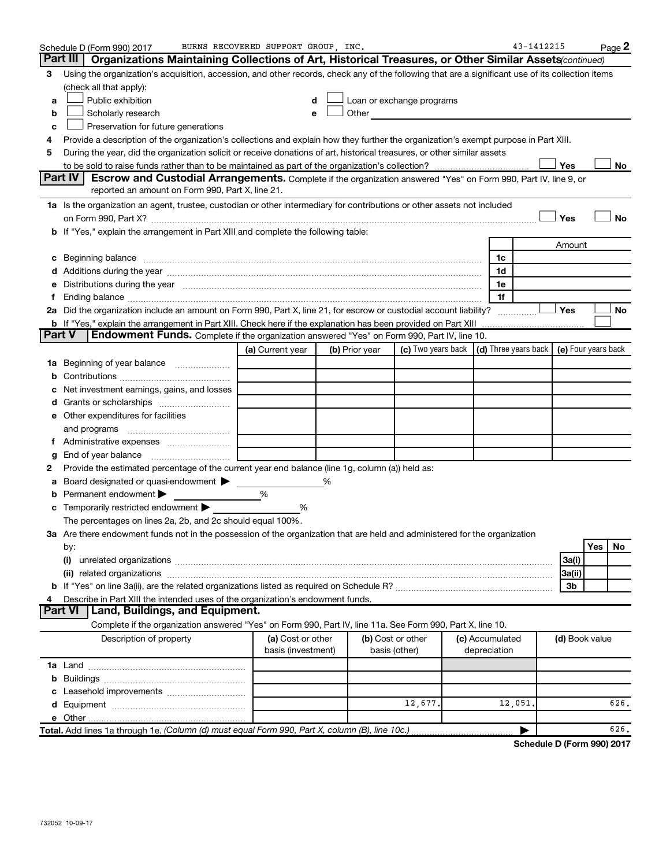|        | Schedule D (Form 990) 2017                                                                                                                                                                                                     | BURNS RECOVERED SUPPORT GROUP, INC.     |                |                                                                                                                                                                                                                               |                                 | 43-1412215                                   |                | Page 2    |
|--------|--------------------------------------------------------------------------------------------------------------------------------------------------------------------------------------------------------------------------------|-----------------------------------------|----------------|-------------------------------------------------------------------------------------------------------------------------------------------------------------------------------------------------------------------------------|---------------------------------|----------------------------------------------|----------------|-----------|
|        | Part III<br><b>Organizations Maintaining Collections of Art, Historical Treasures, or Other Similar Assets</b> <i>continued</i> )                                                                                              |                                         |                |                                                                                                                                                                                                                               |                                 |                                              |                |           |
| з      | Using the organization's acquisition, accession, and other records, check any of the following that are a significant use of its collection items                                                                              |                                         |                |                                                                                                                                                                                                                               |                                 |                                              |                |           |
|        | (check all that apply):                                                                                                                                                                                                        |                                         |                |                                                                                                                                                                                                                               |                                 |                                              |                |           |
| a      | Public exhibition                                                                                                                                                                                                              | d                                       |                | Loan or exchange programs                                                                                                                                                                                                     |                                 |                                              |                |           |
| b      | Scholarly research                                                                                                                                                                                                             | е                                       |                | Other and the contract of the contract of the contract of the contract of the contract of the contract of the contract of the contract of the contract of the contract of the contract of the contract of the contract of the |                                 |                                              |                |           |
| c      | Preservation for future generations                                                                                                                                                                                            |                                         |                |                                                                                                                                                                                                                               |                                 |                                              |                |           |
| 4      | Provide a description of the organization's collections and explain how they further the organization's exempt purpose in Part XIII.                                                                                           |                                         |                |                                                                                                                                                                                                                               |                                 |                                              |                |           |
| 5      | During the year, did the organization solicit or receive donations of art, historical treasures, or other similar assets                                                                                                       |                                         |                |                                                                                                                                                                                                                               |                                 |                                              |                |           |
|        |                                                                                                                                                                                                                                |                                         |                |                                                                                                                                                                                                                               |                                 | Yes                                          |                | No        |
|        | <b>Part IV</b><br>Escrow and Custodial Arrangements. Complete if the organization answered "Yes" on Form 990, Part IV, line 9, or                                                                                              |                                         |                |                                                                                                                                                                                                                               |                                 |                                              |                |           |
|        | reported an amount on Form 990, Part X, line 21.                                                                                                                                                                               |                                         |                |                                                                                                                                                                                                                               |                                 |                                              |                |           |
|        | 1a Is the organization an agent, trustee, custodian or other intermediary for contributions or other assets not included                                                                                                       |                                         |                |                                                                                                                                                                                                                               |                                 |                                              |                |           |
|        |                                                                                                                                                                                                                                |                                         |                |                                                                                                                                                                                                                               |                                 | Yes                                          |                | <b>No</b> |
|        | <b>b</b> If "Yes," explain the arrangement in Part XIII and complete the following table:                                                                                                                                      |                                         |                |                                                                                                                                                                                                                               |                                 |                                              |                |           |
|        |                                                                                                                                                                                                                                |                                         |                |                                                                                                                                                                                                                               |                                 | Amount                                       |                |           |
| С      |                                                                                                                                                                                                                                |                                         |                |                                                                                                                                                                                                                               | 1c                              |                                              |                |           |
|        | Additions during the year manufactured and an account of the state of the state of the state of the state of the state of the state of the state of the state of the state of the state of the state of the state of the state |                                         |                |                                                                                                                                                                                                                               | 1d                              |                                              |                |           |
|        | Distributions during the year manufactured and an account of the year manufactured and the year manufactured and the year manufactured and the year manufactured and the year manufactured and the year manufactured and the y |                                         |                |                                                                                                                                                                                                                               | 1e                              |                                              |                |           |
|        |                                                                                                                                                                                                                                |                                         |                |                                                                                                                                                                                                                               | 1f                              |                                              |                |           |
|        | 2a Did the organization include an amount on Form 990, Part X, line 21, for escrow or custodial account liability?                                                                                                             |                                         |                |                                                                                                                                                                                                                               |                                 | Yes                                          |                | No        |
|        | <b>b</b> If "Yes," explain the arrangement in Part XIII. Check here if the explanation has been provided on Part XIII                                                                                                          |                                         |                |                                                                                                                                                                                                                               |                                 |                                              |                |           |
| Part V | Endowment Funds. Complete if the organization answered "Yes" on Form 990, Part IV, line 10.                                                                                                                                    |                                         |                |                                                                                                                                                                                                                               |                                 |                                              |                |           |
|        |                                                                                                                                                                                                                                | (a) Current year                        | (b) Prior year | (c) Two years back                                                                                                                                                                                                            |                                 | $(d)$ Three years back $(e)$ Four years back |                |           |
| ٦а     | Beginning of year balance                                                                                                                                                                                                      |                                         |                |                                                                                                                                                                                                                               |                                 |                                              |                |           |
|        |                                                                                                                                                                                                                                |                                         |                |                                                                                                                                                                                                                               |                                 |                                              |                |           |
|        | Net investment earnings, gains, and losses                                                                                                                                                                                     |                                         |                |                                                                                                                                                                                                                               |                                 |                                              |                |           |
|        |                                                                                                                                                                                                                                |                                         |                |                                                                                                                                                                                                                               |                                 |                                              |                |           |
|        | e Other expenditures for facilities                                                                                                                                                                                            |                                         |                |                                                                                                                                                                                                                               |                                 |                                              |                |           |
|        | and programs                                                                                                                                                                                                                   |                                         |                |                                                                                                                                                                                                                               |                                 |                                              |                |           |
|        |                                                                                                                                                                                                                                |                                         |                |                                                                                                                                                                                                                               |                                 |                                              |                |           |
| g      | End of year balance                                                                                                                                                                                                            |                                         |                |                                                                                                                                                                                                                               |                                 |                                              |                |           |
| 2      | Provide the estimated percentage of the current year end balance (line 1g, column (a)) held as:                                                                                                                                |                                         |                |                                                                                                                                                                                                                               |                                 |                                              |                |           |
|        | Board designated or quasi-endowment >                                                                                                                                                                                          |                                         | ℅              |                                                                                                                                                                                                                               |                                 |                                              |                |           |
| b      | Permanent endowment                                                                                                                                                                                                            | %                                       |                |                                                                                                                                                                                                                               |                                 |                                              |                |           |
| c      | Temporarily restricted endowment                                                                                                                                                                                               | ℅                                       |                |                                                                                                                                                                                                                               |                                 |                                              |                |           |
|        | The percentages on lines 2a, 2b, and 2c should equal 100%.                                                                                                                                                                     |                                         |                |                                                                                                                                                                                                                               |                                 |                                              |                |           |
|        | ${\bf 3a}$ Are there endowment funds not in the possession of the organization that are held and administered for the organization                                                                                             |                                         |                |                                                                                                                                                                                                                               |                                 |                                              |                |           |
|        | by:                                                                                                                                                                                                                            |                                         |                |                                                                                                                                                                                                                               |                                 |                                              | Yes            | No        |
|        | (i)                                                                                                                                                                                                                            |                                         |                |                                                                                                                                                                                                                               |                                 | 3a(i)                                        |                |           |
|        |                                                                                                                                                                                                                                |                                         |                |                                                                                                                                                                                                                               |                                 | 3a(ii)                                       |                |           |
|        | Describe in Part XIII the intended uses of the organization's endowment funds.                                                                                                                                                 |                                         |                |                                                                                                                                                                                                                               |                                 | 3b                                           |                |           |
|        | Land, Buildings, and Equipment.<br><b>Part VI</b>                                                                                                                                                                              |                                         |                |                                                                                                                                                                                                                               |                                 |                                              |                |           |
|        |                                                                                                                                                                                                                                |                                         |                |                                                                                                                                                                                                                               |                                 |                                              |                |           |
|        | Complete if the organization answered "Yes" on Form 990, Part IV, line 11a. See Form 990, Part X, line 10.                                                                                                                     |                                         |                |                                                                                                                                                                                                                               |                                 |                                              |                |           |
|        | Description of property                                                                                                                                                                                                        | (a) Cost or other<br>basis (investment) |                | (b) Cost or other<br>basis (other)                                                                                                                                                                                            | (c) Accumulated<br>depreciation |                                              | (d) Book value |           |
|        |                                                                                                                                                                                                                                |                                         |                |                                                                                                                                                                                                                               |                                 |                                              |                |           |
|        |                                                                                                                                                                                                                                |                                         |                |                                                                                                                                                                                                                               |                                 |                                              |                |           |
|        |                                                                                                                                                                                                                                |                                         |                |                                                                                                                                                                                                                               |                                 |                                              |                |           |
|        |                                                                                                                                                                                                                                |                                         |                | 12,677.                                                                                                                                                                                                                       | 12,051                          |                                              |                | 626.      |
|        |                                                                                                                                                                                                                                |                                         |                |                                                                                                                                                                                                                               |                                 |                                              |                |           |
|        | Total. Add lines 1a through 1e. (Column (d) must equal Form 990, Part X, column (B), line 10c.)                                                                                                                                |                                         |                |                                                                                                                                                                                                                               |                                 |                                              |                | 626.      |
|        |                                                                                                                                                                                                                                |                                         |                |                                                                                                                                                                                                                               |                                 |                                              |                |           |

**Schedule D (Form 990) 2017**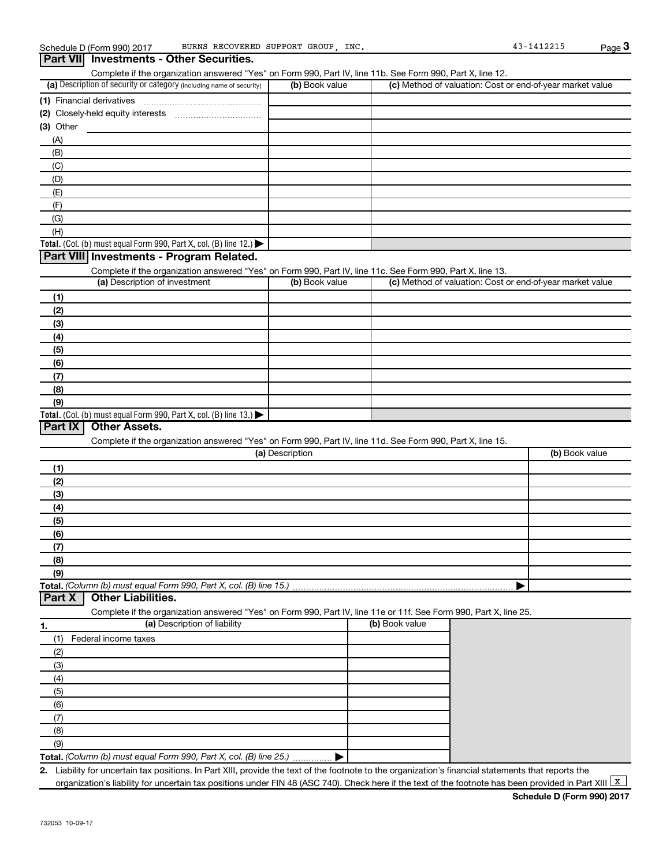### (a) Description of security or category (including name of security)  $\vert$  (b) Book value  $\vert$  (c) **Total.** (Col. (b) must equal Form 990, Part X, col. (B) line 12.)  $\blacktriangleright$ **Total.** (Col. (b) must equal Form 990, Part X, col. (B) line  $13$ .) **(1)** Financial derivatives ~~~~~~~~~~~~~~~ **(2)** Closely-held equity interests ~~~~~~~~~~~ **(3)** Other (a) Description of investment **b (b)** Book value **(1) (2) (3) (4) (5) (6) (7) (8) (9)** (a) Description **(1) (2) (3) (4) (5) (6) (7) (8) (9) Total.**  *(Column (b) must equal Form 990, Part X, col. (B) line 15.)* Schedule D (Form 990) 2017 BURNS RECOVERED SUPPORT GROUP, INC. 43-1412215 Page Complete if the organization answered "Yes" on Form 990, Part IV, line 11b. See Form 990, Part X, line 12.  $(b)$  Book value  $\vert$  (c) Method of valuation: Cost or end-of-year market value (A) (B) (C) (D) (E) (F) (G) (H) Complete if the organization answered "Yes" on Form 990, Part IV, line 11c. See Form 990, Part X, line 13. (c) Method of valuation: Cost or end-of-year market value Complete if the organization answered "Yes" on Form 990, Part IV, line 11d. See Form 990, Part X, line 15. (b) Book value | **3 Part VII Investments - Other Securities. Part VIII Investments - Program Related. Part IX Other Assets.**

# **Part X Other Liabilities.**

Complete if the organization answered "Yes" on Form 990, Part IV, line 11e or 11f. See Form 990, Part X, line 25.

|     | (a) Description of liability                                       | (b) Book value |
|-----|--------------------------------------------------------------------|----------------|
|     | Federal income taxes                                               |                |
| (2) |                                                                    |                |
| (3) |                                                                    |                |
| (4) |                                                                    |                |
| (5) |                                                                    |                |
| (6) |                                                                    |                |
|     |                                                                    |                |
| (8) |                                                                    |                |
| (9) |                                                                    |                |
|     | Total. (Column (b) must equal Form 990, Part X, col. (B) line 25.) |                |

**2.** Liability for uncertain tax positions. In Part XIII, provide the text of the footnote to the organization's financial statements that reports the organization's liability for uncertain tax positions under FIN 48 (ASC 740). Check here if the text of the footnote has been provided in Part XIII  $\boxed{\mathrm{x}}$ 

**Schedule D (Form 990) 2017**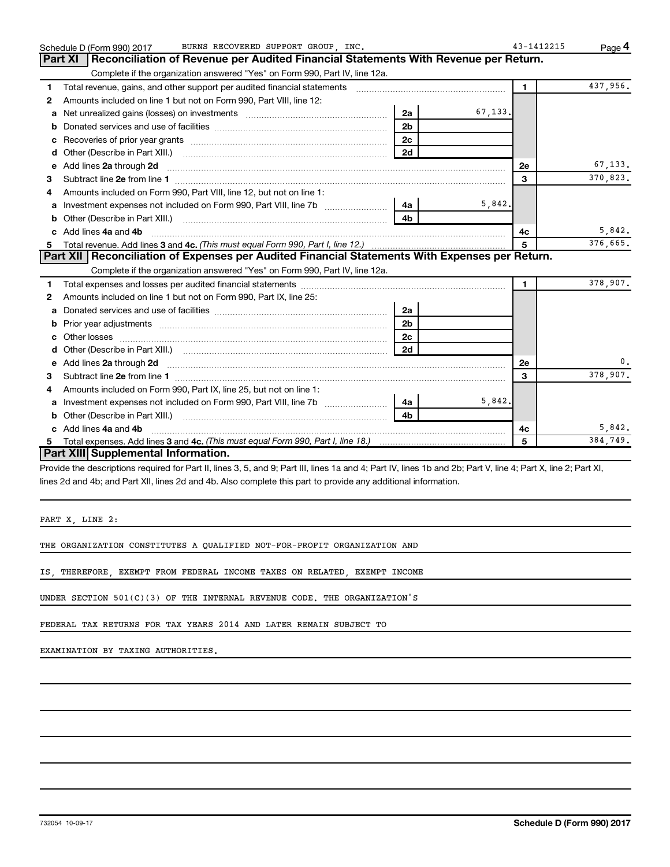|   | BURNS RECOVERED SUPPORT GROUP, INC.<br>Schedule D (Form 990) 2017                                                                                                                                                              |                |          | 43-1412215   | Page 4   |
|---|--------------------------------------------------------------------------------------------------------------------------------------------------------------------------------------------------------------------------------|----------------|----------|--------------|----------|
|   | Part XI   Reconciliation of Revenue per Audited Financial Statements With Revenue per Return.                                                                                                                                  |                |          |              |          |
|   | Complete if the organization answered "Yes" on Form 990, Part IV, line 12a.                                                                                                                                                    |                |          |              |          |
| 1 | Total revenue, gains, and other support per audited financial statements [11] [11] Total revenue, gains, and other support per audited financial statements                                                                    |                |          | $\mathbf{1}$ | 437,956. |
| 2 | Amounts included on line 1 but not on Form 990, Part VIII, line 12:                                                                                                                                                            |                |          |              |          |
| a | Net unrealized gains (losses) on investments [111] [12] matter and all products and all products and all products and all products and all products and all products and all products and all products and all products and al | 2a             | 67,133.  |              |          |
|   |                                                                                                                                                                                                                                | 2 <sub>b</sub> |          |              |          |
| c |                                                                                                                                                                                                                                | 2c             |          |              |          |
| d |                                                                                                                                                                                                                                | 2d             |          |              |          |
| e | Add lines 2a through 2d                                                                                                                                                                                                        |                |          | 2е           | 67,133.  |
| 3 |                                                                                                                                                                                                                                |                |          | 3            | 370,823. |
| 4 | Amounts included on Form 990, Part VIII, line 12, but not on line 1:                                                                                                                                                           |                |          |              |          |
|   |                                                                                                                                                                                                                                | 4a l           | 5,842.   |              |          |
| b |                                                                                                                                                                                                                                | 4 <sub>h</sub> |          |              |          |
|   | Add lines 4a and 4b                                                                                                                                                                                                            |                |          | 4c           | 5,842.   |
| 5 |                                                                                                                                                                                                                                | 5              | 376,665. |              |          |
|   | Part XII   Reconciliation of Expenses per Audited Financial Statements With Expenses per Return.                                                                                                                               |                |          |              |          |
|   | Complete if the organization answered "Yes" on Form 990, Part IV, line 12a.                                                                                                                                                    |                |          |              |          |
| 1 |                                                                                                                                                                                                                                |                |          | $\mathbf{1}$ | 378,907. |
| 2 | Amounts included on line 1 but not on Form 990, Part IX, line 25:                                                                                                                                                              |                |          |              |          |
| a |                                                                                                                                                                                                                                | 2a             |          |              |          |
|   |                                                                                                                                                                                                                                | 2 <sub>b</sub> |          |              |          |
|   |                                                                                                                                                                                                                                | 2 <sub>c</sub> |          |              |          |
| d |                                                                                                                                                                                                                                | 2d             |          |              |          |
|   |                                                                                                                                                                                                                                |                |          | 2e           | 0.       |
| з |                                                                                                                                                                                                                                |                |          | 3            | 378,907. |
| 4 | Amounts included on Form 990, Part IX, line 25, but not on line 1:                                                                                                                                                             |                |          |              |          |
| a |                                                                                                                                                                                                                                | 4a l           | 5,842.   |              |          |
| b | Other (Describe in Part XIII.) <b>Construction Contract Construction</b> Chemistry Chemistry Chemistry Chemistry Chemistry                                                                                                     | 4b             |          |              |          |
|   | c Add lines 4a and 4b                                                                                                                                                                                                          |                |          | 4c           | 5,842.   |
|   |                                                                                                                                                                                                                                |                |          | 5            | 384,749. |
|   | Part XIII Supplemental Information.                                                                                                                                                                                            |                |          |              |          |

Provide the descriptions required for Part II, lines 3, 5, and 9; Part III, lines 1a and 4; Part IV, lines 1b and 2b; Part V, line 4; Part X, line 2; Part XI, lines 2d and 4b; and Part XII, lines 2d and 4b. Also complete this part to provide any additional information.

PART X, LINE 2:

THE ORGANIZATION CONSTITUTES A QUALIFIED NOT-FOR-PROFIT ORGANIZATION AND

IS, THEREFORE, EXEMPT FROM FEDERAL INCOME TAXES ON RELATED, EXEMPT INCOME

UNDER SECTION 501(C)(3) OF THE INTERNAL REVENUE CODE. THE ORGANIZATION'S

FEDERAL TAX RETURNS FOR TAX YEARS 2014 AND LATER REMAIN SUBJECT TO

EXAMINATION BY TAXING AUTHORITIES.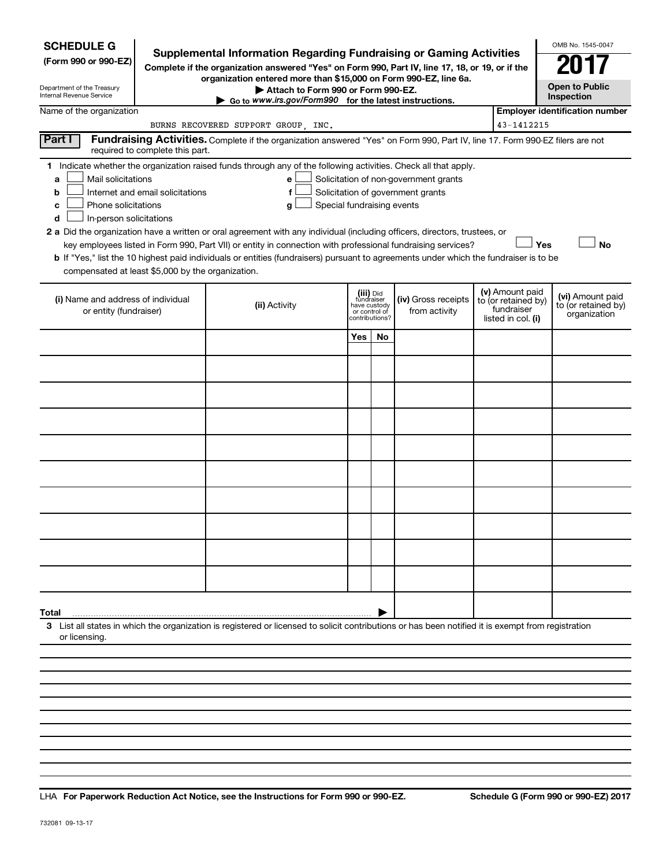| <b>SCHEDULE G</b><br>(Form 990 or 990-EZ)<br>Department of the Treasury<br>Internal Revenue Service                                                                                                                                                                                                                                                                                                                                                                                                                                                                                                                                                                                                                                                                                                                          |  | <b>Supplemental Information Regarding Fundraising or Gaming Activities</b><br>Complete if the organization answered "Yes" on Form 990, Part IV, line 17, 18, or 19, or if the<br>organization entered more than \$15,000 on Form 990-EZ, line 6a.<br>Attach to Form 990 or Form 990-EZ.<br>$\triangleright$ Go to www.irs.gov/Form990 for the latest instructions. |     |                                                                            |                                      |  |                                                                            | OMB No. 1545-0047<br><b>Open to Public</b><br>Inspection |
|------------------------------------------------------------------------------------------------------------------------------------------------------------------------------------------------------------------------------------------------------------------------------------------------------------------------------------------------------------------------------------------------------------------------------------------------------------------------------------------------------------------------------------------------------------------------------------------------------------------------------------------------------------------------------------------------------------------------------------------------------------------------------------------------------------------------------|--|--------------------------------------------------------------------------------------------------------------------------------------------------------------------------------------------------------------------------------------------------------------------------------------------------------------------------------------------------------------------|-----|----------------------------------------------------------------------------|--------------------------------------|--|----------------------------------------------------------------------------|----------------------------------------------------------|
| Name of the organization                                                                                                                                                                                                                                                                                                                                                                                                                                                                                                                                                                                                                                                                                                                                                                                                     |  |                                                                                                                                                                                                                                                                                                                                                                    |     |                                                                            |                                      |  |                                                                            | <b>Employer identification number</b>                    |
|                                                                                                                                                                                                                                                                                                                                                                                                                                                                                                                                                                                                                                                                                                                                                                                                                              |  | BURNS RECOVERED SUPPORT GROUP, INC.                                                                                                                                                                                                                                                                                                                                |     |                                                                            |                                      |  | 43-1412215                                                                 |                                                          |
| Part I<br>required to complete this part.                                                                                                                                                                                                                                                                                                                                                                                                                                                                                                                                                                                                                                                                                                                                                                                    |  | Fundraising Activities. Complete if the organization answered "Yes" on Form 990, Part IV, line 17. Form 990-EZ filers are not                                                                                                                                                                                                                                      |     |                                                                            |                                      |  |                                                                            |                                                          |
| 1 Indicate whether the organization raised funds through any of the following activities. Check all that apply.<br>Mail solicitations<br>Solicitation of non-government grants<br>e<br>a<br>Solicitation of government grants<br>Internet and email solicitations<br>f<br>b<br>Phone solicitations<br>Special fundraising events<br>g<br>с<br>In-person solicitations<br>d<br>2 a Did the organization have a written or oral agreement with any individual (including officers, directors, trustees, or<br>Yes<br>key employees listed in Form 990, Part VII) or entity in connection with professional fundraising services?<br>b If "Yes," list the 10 highest paid individuals or entities (fundraisers) pursuant to agreements under which the fundraiser is to be<br>compensated at least \$5,000 by the organization. |  |                                                                                                                                                                                                                                                                                                                                                                    |     |                                                                            |                                      |  |                                                                            |                                                          |
| (i) Name and address of individual<br>or entity (fundraiser)                                                                                                                                                                                                                                                                                                                                                                                                                                                                                                                                                                                                                                                                                                                                                                 |  | (ii) Activity                                                                                                                                                                                                                                                                                                                                                      |     | (iii) Did<br>fundraiser<br>have custody<br>or control of<br>contributions? | (iv) Gross receipts<br>from activity |  | (v) Amount paid<br>to (or retained by)<br>fundraiser<br>listed in col. (i) | (vi) Amount paid<br>to (or retained by)<br>organization  |
|                                                                                                                                                                                                                                                                                                                                                                                                                                                                                                                                                                                                                                                                                                                                                                                                                              |  |                                                                                                                                                                                                                                                                                                                                                                    | Yes | No                                                                         |                                      |  |                                                                            |                                                          |
|                                                                                                                                                                                                                                                                                                                                                                                                                                                                                                                                                                                                                                                                                                                                                                                                                              |  |                                                                                                                                                                                                                                                                                                                                                                    |     |                                                                            |                                      |  |                                                                            |                                                          |
|                                                                                                                                                                                                                                                                                                                                                                                                                                                                                                                                                                                                                                                                                                                                                                                                                              |  |                                                                                                                                                                                                                                                                                                                                                                    |     |                                                                            |                                      |  |                                                                            |                                                          |
|                                                                                                                                                                                                                                                                                                                                                                                                                                                                                                                                                                                                                                                                                                                                                                                                                              |  |                                                                                                                                                                                                                                                                                                                                                                    |     |                                                                            |                                      |  |                                                                            |                                                          |
|                                                                                                                                                                                                                                                                                                                                                                                                                                                                                                                                                                                                                                                                                                                                                                                                                              |  |                                                                                                                                                                                                                                                                                                                                                                    |     |                                                                            |                                      |  |                                                                            |                                                          |
|                                                                                                                                                                                                                                                                                                                                                                                                                                                                                                                                                                                                                                                                                                                                                                                                                              |  |                                                                                                                                                                                                                                                                                                                                                                    |     |                                                                            |                                      |  |                                                                            |                                                          |
|                                                                                                                                                                                                                                                                                                                                                                                                                                                                                                                                                                                                                                                                                                                                                                                                                              |  |                                                                                                                                                                                                                                                                                                                                                                    |     |                                                                            |                                      |  |                                                                            |                                                          |
|                                                                                                                                                                                                                                                                                                                                                                                                                                                                                                                                                                                                                                                                                                                                                                                                                              |  |                                                                                                                                                                                                                                                                                                                                                                    |     |                                                                            |                                      |  |                                                                            |                                                          |
|                                                                                                                                                                                                                                                                                                                                                                                                                                                                                                                                                                                                                                                                                                                                                                                                                              |  |                                                                                                                                                                                                                                                                                                                                                                    |     |                                                                            |                                      |  |                                                                            |                                                          |
|                                                                                                                                                                                                                                                                                                                                                                                                                                                                                                                                                                                                                                                                                                                                                                                                                              |  |                                                                                                                                                                                                                                                                                                                                                                    |     |                                                                            |                                      |  |                                                                            |                                                          |
| Total                                                                                                                                                                                                                                                                                                                                                                                                                                                                                                                                                                                                                                                                                                                                                                                                                        |  |                                                                                                                                                                                                                                                                                                                                                                    |     |                                                                            |                                      |  |                                                                            |                                                          |
| or licensing                                                                                                                                                                                                                                                                                                                                                                                                                                                                                                                                                                                                                                                                                                                                                                                                                 |  | 3 List all states in which the organization is registered or licensed to solicit contributions or has been notified it is exempt from registration                                                                                                                                                                                                                 |     |                                                                            |                                      |  |                                                                            |                                                          |
|                                                                                                                                                                                                                                                                                                                                                                                                                                                                                                                                                                                                                                                                                                                                                                                                                              |  |                                                                                                                                                                                                                                                                                                                                                                    |     |                                                                            |                                      |  |                                                                            |                                                          |
|                                                                                                                                                                                                                                                                                                                                                                                                                                                                                                                                                                                                                                                                                                                                                                                                                              |  |                                                                                                                                                                                                                                                                                                                                                                    |     |                                                                            |                                      |  |                                                                            |                                                          |
|                                                                                                                                                                                                                                                                                                                                                                                                                                                                                                                                                                                                                                                                                                                                                                                                                              |  |                                                                                                                                                                                                                                                                                                                                                                    |     |                                                                            |                                      |  |                                                                            |                                                          |
|                                                                                                                                                                                                                                                                                                                                                                                                                                                                                                                                                                                                                                                                                                                                                                                                                              |  |                                                                                                                                                                                                                                                                                                                                                                    |     |                                                                            |                                      |  |                                                                            |                                                          |

**For Paperwork Reduction Act Notice, see the Instructions for Form 990 or 990-EZ. Schedule G (Form 990 or 990-EZ) 2017** LHA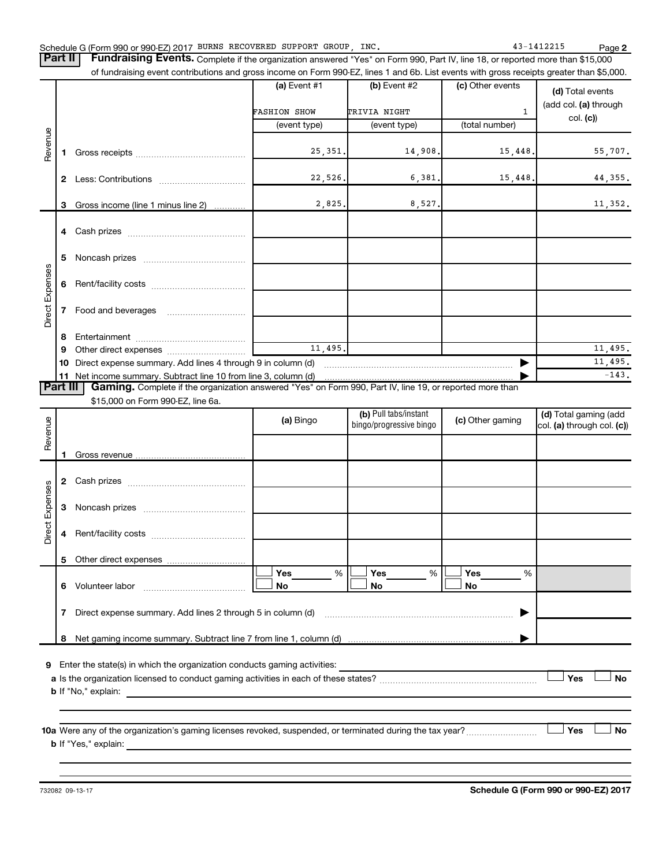| Schedule G (Form 990 or 990-EZ) 2017 BURNS RECOVERED SUPPORT GROUP, |  |  |  |  | INC | 141221.<br>-141 | Page |
|---------------------------------------------------------------------|--|--|--|--|-----|-----------------|------|
|---------------------------------------------------------------------|--|--|--|--|-----|-----------------|------|

**2** BURNS RECOVERED SUPPORT GROUP, INC. 43-1412215

Part II | Fundraising Events. Complete if the organization answered "Yes" on Form 990, Part IV, line 18, or reported more than \$15,000 of fundraising event contributions and gross income on Form 990-EZ, lines 1 and 6b. List events with gross receipts greater than \$5,000.

|                                                                                                                      |    |                                                                                                                                                                                                                                | (a) Event #1        | (b) Event #2            | (c) Other events | (d) Total events           |  |  |
|----------------------------------------------------------------------------------------------------------------------|----|--------------------------------------------------------------------------------------------------------------------------------------------------------------------------------------------------------------------------------|---------------------|-------------------------|------------------|----------------------------|--|--|
|                                                                                                                      |    |                                                                                                                                                                                                                                |                     |                         |                  | (add col. (a) through      |  |  |
|                                                                                                                      |    |                                                                                                                                                                                                                                | <b>FASHION SHOW</b> | TRIVIA NIGHT            | $\mathbf{1}$     | col. (c)                   |  |  |
|                                                                                                                      |    |                                                                                                                                                                                                                                | (event type)        | (event type)            | (total number)   |                            |  |  |
|                                                                                                                      |    |                                                                                                                                                                                                                                |                     |                         |                  |                            |  |  |
| Revenue                                                                                                              |    |                                                                                                                                                                                                                                | 25,351.             | 14,908.                 | 15,448.          | 55,707.                    |  |  |
|                                                                                                                      |    |                                                                                                                                                                                                                                | 22,526.             | 6,381.                  | 15,448,          |                            |  |  |
|                                                                                                                      | 2  |                                                                                                                                                                                                                                |                     |                         |                  | 44,355.                    |  |  |
|                                                                                                                      | 3  | Gross income (line 1 minus line 2)                                                                                                                                                                                             | 2,825.              | 8,527.                  |                  | 11,352.                    |  |  |
|                                                                                                                      |    |                                                                                                                                                                                                                                |                     |                         |                  |                            |  |  |
|                                                                                                                      | 4  |                                                                                                                                                                                                                                |                     |                         |                  |                            |  |  |
|                                                                                                                      |    |                                                                                                                                                                                                                                |                     |                         |                  |                            |  |  |
|                                                                                                                      | 5  |                                                                                                                                                                                                                                |                     |                         |                  |                            |  |  |
| <b>Direct Expenses</b>                                                                                               | 6  |                                                                                                                                                                                                                                |                     |                         |                  |                            |  |  |
|                                                                                                                      |    |                                                                                                                                                                                                                                |                     |                         |                  |                            |  |  |
|                                                                                                                      | 7  | Food and beverages                                                                                                                                                                                                             |                     |                         |                  |                            |  |  |
|                                                                                                                      |    |                                                                                                                                                                                                                                |                     |                         |                  |                            |  |  |
|                                                                                                                      | 8  |                                                                                                                                                                                                                                |                     |                         |                  |                            |  |  |
|                                                                                                                      | 9  | Other direct expenses and the state of the state of the state of the state of the state of the state of the state of the state of the state of the state of the state of the state of the state of the state of the state of t | 11, 495.            |                         |                  | 11,495.                    |  |  |
|                                                                                                                      | 10 | Direct expense summary. Add lines 4 through 9 in column (d)                                                                                                                                                                    |                     |                         |                  | 11,495.                    |  |  |
|                                                                                                                      | 11 |                                                                                                                                                                                                                                |                     |                         |                  | $-143.$                    |  |  |
| Part III<br>Gaming. Complete if the organization answered "Yes" on Form 990, Part IV, line 19, or reported more than |    |                                                                                                                                                                                                                                |                     |                         |                  |                            |  |  |
|                                                                                                                      |    | \$15,000 on Form 990-EZ, line 6a.                                                                                                                                                                                              |                     |                         |                  |                            |  |  |
|                                                                                                                      |    |                                                                                                                                                                                                                                | (a) Bingo           | (b) Pull tabs/instant   | (c) Other gaming | (d) Total gaming (add      |  |  |
| Revenue                                                                                                              |    |                                                                                                                                                                                                                                |                     | bingo/progressive bingo |                  | col. (a) through col. (c)) |  |  |
|                                                                                                                      |    |                                                                                                                                                                                                                                |                     |                         |                  |                            |  |  |
|                                                                                                                      |    |                                                                                                                                                                                                                                |                     |                         |                  |                            |  |  |

|                 | 2                                                                        | Cash prizes [111] Cash prizes [11] Cash prizes [11] Cash prizes [11] Casar District Cash District Cash District Cash District Cash District Cash District Cash District Cash District Cash District Cash District Cash Distric |                |  |                       |  |                  |   |  |  |
|-----------------|--------------------------------------------------------------------------|--------------------------------------------------------------------------------------------------------------------------------------------------------------------------------------------------------------------------------|----------------|--|-----------------------|--|------------------|---|--|--|
|                 | 3                                                                        |                                                                                                                                                                                                                                |                |  |                       |  |                  |   |  |  |
| Direct Expenses | 4                                                                        |                                                                                                                                                                                                                                |                |  |                       |  |                  |   |  |  |
|                 | 5                                                                        |                                                                                                                                                                                                                                |                |  |                       |  |                  |   |  |  |
|                 | 6                                                                        | Volunteer labor [19] Volunteer labor                                                                                                                                                                                           | Yes<br>%<br>No |  | <b>Yes</b><br>%<br>No |  | <b>Yes</b><br>No | % |  |  |
|                 | 7                                                                        |                                                                                                                                                                                                                                |                |  |                       |  |                  |   |  |  |
|                 | 8                                                                        |                                                                                                                                                                                                                                |                |  |                       |  |                  |   |  |  |
| 9               | Enter the state(s) in which the organization conducts gaming activities: |                                                                                                                                                                                                                                |                |  |                       |  |                  |   |  |  |
|                 | Yes<br><b>No</b><br><b>b</b> If "No," explain:                           |                                                                                                                                                                                                                                |                |  |                       |  |                  |   |  |  |
|                 |                                                                          |                                                                                                                                                                                                                                |                |  |                       |  |                  |   |  |  |

**10 a** Were any of the organization's gaming licenses revoked, suspended, or terminated during the tax year? ~~~~~~~~~ † † **b** If "Yes," explain:

 $\Box$  **No**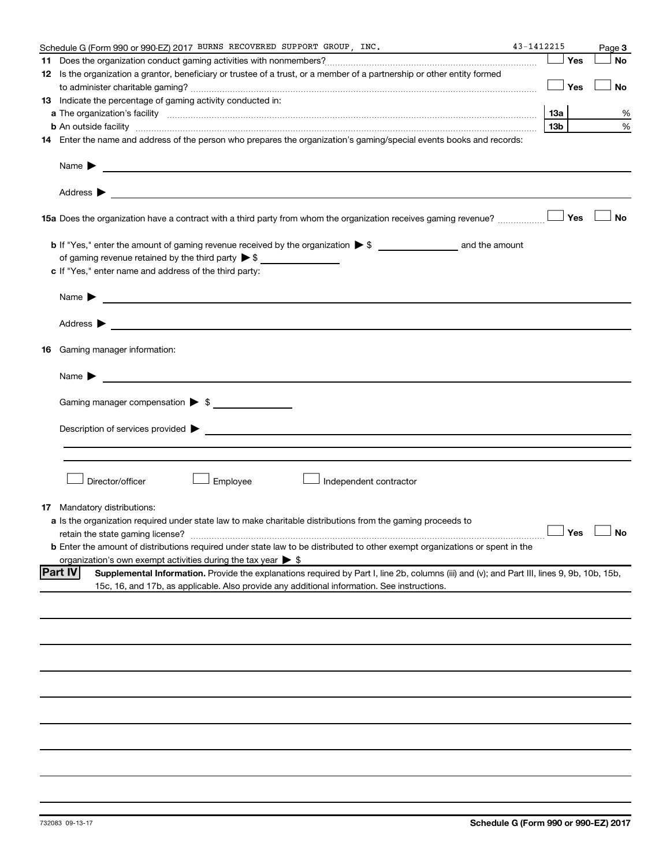|    | Schedule G (Form 990 or 990-EZ) 2017 BURNS RECOVERED SUPPORT GROUP, INC.                                                                                      | 43-1412215 |     |                     | Page 3    |
|----|---------------------------------------------------------------------------------------------------------------------------------------------------------------|------------|-----|---------------------|-----------|
|    |                                                                                                                                                               |            |     | Yes                 | <b>No</b> |
|    | 12 Is the organization a grantor, beneficiary or trustee of a trust, or a member of a partnership or other entity formed                                      |            |     |                     |           |
|    |                                                                                                                                                               |            |     | Yes                 | <b>No</b> |
|    | 13 Indicate the percentage of gaming activity conducted in:                                                                                                   |            |     |                     |           |
|    |                                                                                                                                                               |            | 1За |                     | %         |
|    | <b>b</b> An outside facility <i>www.communicality www.communicality.communicality www.communicality www.communicality.communicality www.communicality.com</i> |            | 13b |                     | %         |
|    | 14 Enter the name and address of the person who prepares the organization's gaming/special events books and records:                                          |            |     |                     |           |
|    | Name $\blacktriangleright$<br><u>and the control of the control of the control of the control of the control of the control of the control of</u>             |            |     |                     |           |
|    |                                                                                                                                                               |            |     |                     |           |
|    | <b>15a</b> Does the organization have a contract with a third party from whom the organization receives gaming revenue? $\ldots$                              |            |     |                     | <b>No</b> |
|    |                                                                                                                                                               |            |     |                     |           |
|    |                                                                                                                                                               |            |     |                     |           |
|    | c If "Yes," enter name and address of the third party:                                                                                                        |            |     |                     |           |
|    |                                                                                                                                                               |            |     |                     |           |
|    | Name $\blacktriangleright$<br><u>and the contract of the contract of the contract of the contract of the contract of the contract of the contract of</u>      |            |     |                     |           |
|    | Address $\blacktriangleright$<br><u>and the contract of the contract of the contract of the contract of the contract of the contract of the contract of</u>   |            |     |                     |           |
| 16 | Gaming manager information:                                                                                                                                   |            |     |                     |           |
|    | <u> 1989 - Johann Barbara, martin amerikan basal dan berasal dan berasal dalam basal dalam basal dalam basal dala</u><br>Name $\blacktriangleright$           |            |     |                     |           |
|    | Gaming manager compensation > \$                                                                                                                              |            |     |                     |           |
|    |                                                                                                                                                               |            |     |                     |           |
|    |                                                                                                                                                               |            |     |                     |           |
|    |                                                                                                                                                               |            |     |                     |           |
|    |                                                                                                                                                               |            |     |                     |           |
|    |                                                                                                                                                               |            |     |                     |           |
|    | Director/officer<br>Employee<br>Independent contractor                                                                                                        |            |     |                     |           |
|    |                                                                                                                                                               |            |     |                     |           |
| 17 | Mandatory distributions:                                                                                                                                      |            |     |                     |           |
|    | a Is the organization required under state law to make charitable distributions from the gaming proceeds to                                                   |            |     | $\Box$ Yes $\ \bot$ |           |
|    | retain the state gaming license?                                                                                                                              |            |     |                     |           |
|    | <b>b</b> Enter the amount of distributions required under state law to be distributed to other exempt organizations or spent in the                           |            |     |                     |           |
|    | organization's own exempt activities during the tax year $\triangleright$ \$                                                                                  |            |     |                     |           |
|    | <b>Part IV</b><br>Supplemental Information. Provide the explanations required by Part I, line 2b, columns (iii) and (v); and Part III, lines 9, 9b, 10b, 15b, |            |     |                     |           |
|    | 15c, 16, and 17b, as applicable. Also provide any additional information. See instructions.                                                                   |            |     |                     |           |
|    |                                                                                                                                                               |            |     |                     |           |
|    |                                                                                                                                                               |            |     |                     |           |
|    |                                                                                                                                                               |            |     |                     |           |
|    |                                                                                                                                                               |            |     |                     |           |
|    |                                                                                                                                                               |            |     |                     |           |
|    |                                                                                                                                                               |            |     |                     |           |
|    |                                                                                                                                                               |            |     |                     |           |
|    |                                                                                                                                                               |            |     |                     |           |
|    |                                                                                                                                                               |            |     |                     |           |
|    |                                                                                                                                                               |            |     |                     |           |
|    |                                                                                                                                                               |            |     |                     |           |
|    |                                                                                                                                                               |            |     |                     |           |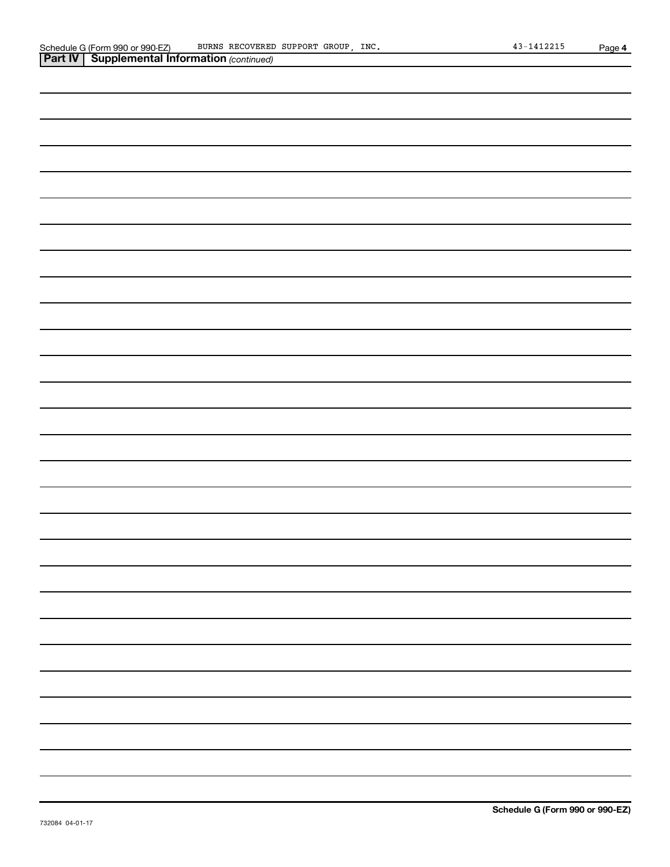| <b>Part IV   Supplemental Information (continued)</b> |
|-------------------------------------------------------|
|                                                       |
|                                                       |
|                                                       |
|                                                       |
|                                                       |
|                                                       |
|                                                       |
|                                                       |
|                                                       |
|                                                       |
|                                                       |
|                                                       |
|                                                       |
|                                                       |
|                                                       |
|                                                       |
|                                                       |
|                                                       |
|                                                       |
|                                                       |
|                                                       |
|                                                       |
|                                                       |
|                                                       |
|                                                       |
|                                                       |
|                                                       |
|                                                       |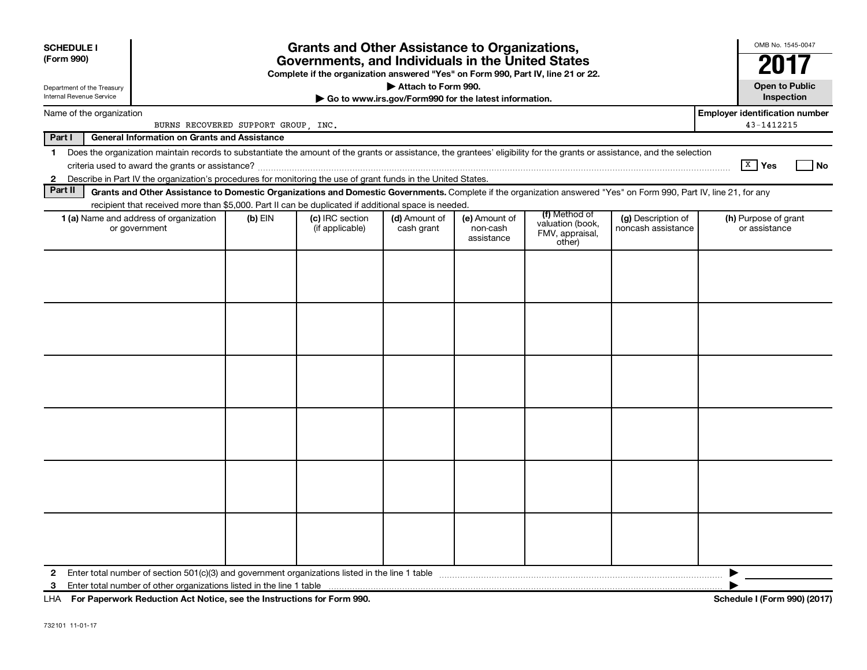| <b>SCHEDULE I</b><br>(Form 990) |                                                                                                                                                                          |                                                                              | <b>Grants and Other Assistance to Organizations,</b><br>Governments, and Individuals in the United States<br>Complete if the organization answered "Yes" on Form 990, Part IV, line 21 or 22. |                             |                                         |                                               |                                          | OMB No. 1545-0047                     |  |
|---------------------------------|--------------------------------------------------------------------------------------------------------------------------------------------------------------------------|------------------------------------------------------------------------------|-----------------------------------------------------------------------------------------------------------------------------------------------------------------------------------------------|-----------------------------|-----------------------------------------|-----------------------------------------------|------------------------------------------|---------------------------------------|--|
| Internal Revenue Service        | Department of the Treasury                                                                                                                                               | Attach to Form 990.<br>Go to www.irs.gov/Form990 for the latest information. |                                                                                                                                                                                               |                             |                                         |                                               |                                          |                                       |  |
|                                 | Name of the organization                                                                                                                                                 |                                                                              | <b>Employer identification number</b><br>BURNS RECOVERED SUPPORT GROUP, INC.                                                                                                                  |                             |                                         |                                               |                                          |                                       |  |
| Part I                          | <b>General Information on Grants and Assistance</b>                                                                                                                      |                                                                              |                                                                                                                                                                                               |                             |                                         |                                               |                                          |                                       |  |
| $\mathbf 1$                     | Does the organization maintain records to substantiate the amount of the grants or assistance, the grantees' eligibility for the grants or assistance, and the selection |                                                                              |                                                                                                                                                                                               |                             |                                         |                                               |                                          | $X$ Yes<br><b>No</b>                  |  |
|                                 | 2 Describe in Part IV the organization's procedures for monitoring the use of grant funds in the United States.                                                          |                                                                              |                                                                                                                                                                                               |                             |                                         |                                               |                                          |                                       |  |
| Part II                         | Grants and Other Assistance to Domestic Organizations and Domestic Governments. Complete if the organization answered "Yes" on Form 990, Part IV, line 21, for any       |                                                                              |                                                                                                                                                                                               |                             |                                         |                                               |                                          |                                       |  |
|                                 | recipient that received more than \$5,000. Part II can be duplicated if additional space is needed.                                                                      |                                                                              |                                                                                                                                                                                               |                             |                                         | (f) Method of                                 |                                          |                                       |  |
|                                 | 1 (a) Name and address of organization<br>or government                                                                                                                  | $(b)$ EIN                                                                    | (c) IRC section<br>(if applicable)                                                                                                                                                            | (d) Amount of<br>cash grant | (e) Amount of<br>non-cash<br>assistance | valuation (book,<br>FMV, appraisal,<br>other) | (g) Description of<br>noncash assistance | (h) Purpose of grant<br>or assistance |  |
|                                 |                                                                                                                                                                          |                                                                              |                                                                                                                                                                                               |                             |                                         |                                               |                                          |                                       |  |
| $\mathbf{2}$                    |                                                                                                                                                                          |                                                                              |                                                                                                                                                                                               |                             |                                         |                                               |                                          |                                       |  |

**For Paperwork Reduction Act Notice, see the Instructions for Form 990. Schedule I (Form 990) (2017)** LHA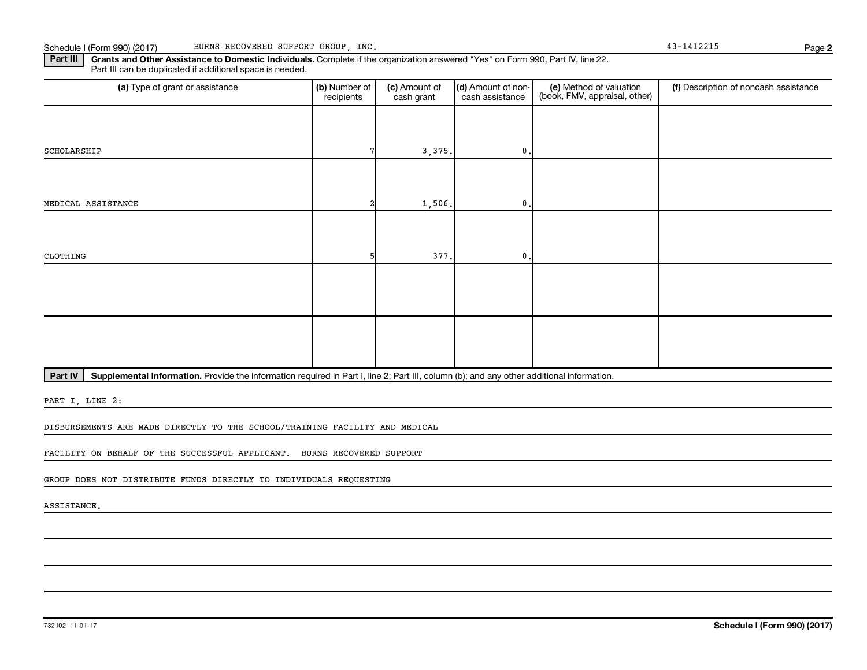Part III | Grants and Other Assistance to Domestic Individuals. Complete if the organization answered "Yes" on Form 990, Part IV, line 22. Part III can be duplicated if additional space is needed.

| (a) Type of grant or assistance | (b) Number of<br>recipients | (c) Amount of<br>cash grant | (d) Amount of non-<br>cash assistance | (e) Method of valuation<br>(book, FMV, appraisal, other) | (f) Description of noncash assistance |
|---------------------------------|-----------------------------|-----------------------------|---------------------------------------|----------------------------------------------------------|---------------------------------------|
|                                 |                             |                             |                                       |                                                          |                                       |
| SCHOLARSHIP                     |                             | 3,375.                      | $\mathbf{0}$ .                        |                                                          |                                       |
|                                 |                             |                             |                                       |                                                          |                                       |
| MEDICAL ASSISTANCE              |                             | 1,506.                      | $\mathbf{0}$ .                        |                                                          |                                       |
|                                 |                             |                             |                                       |                                                          |                                       |
| CLOTHING                        |                             | 377.                        | $\mathbf{0}$ .                        |                                                          |                                       |
|                                 |                             |                             |                                       |                                                          |                                       |
|                                 |                             |                             |                                       |                                                          |                                       |
|                                 |                             |                             |                                       |                                                          |                                       |
|                                 |                             |                             |                                       |                                                          |                                       |

Part IV | Supplemental Information. Provide the information required in Part I, line 2; Part III, column (b); and any other additional information.

PART I, LINE 2:

DISBURSEMENTS ARE MADE DIRECTLY TO THE SCHOOL/TRAINING FACILITY AND MEDICAL

FACILITY ON BEHALF OF THE SUCCESSFUL APPLICANT. BURNS RECOVERED SUPPORT

GROUP DOES NOT DISTRIBUTE FUNDS DIRECTLY TO INDIVIDUALS REQUESTING

ASSISTANCE.

**2**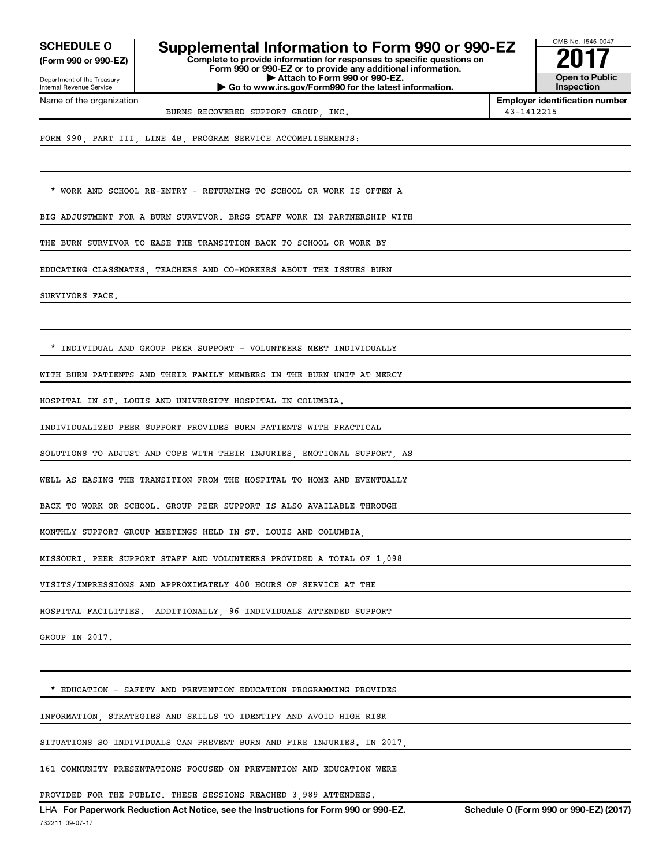**(Form 990 or 990-EZ)**

Department of the Treasury Internal Revenue Service Name of the organization

**Complete to provide information for responses to specific questions on Form 990 or 990-EZ or to provide any additional information. SCHEDULE O Supplemental Information to Form 990 or 990-EZ 2017**

**| Attach to Form 990 or 990-EZ.**

**| Go to www.irs.gov/Form990 for the latest information.**

OMB No. 1545-0047 **Open to Public Inspection**

**Employer identification number** BURNS RECOVERED SUPPORT GROUP, INC. 43-1412215

FORM 990, PART III, LINE 4B, PROGRAM SERVICE ACCOMPLISHMENTS:

\* WORK AND SCHOOL RE-ENTRY - RETURNING TO SCHOOL OR WORK IS OFTEN A

BIG ADJUSTMENT FOR A BURN SURVIVOR. BRSG STAFF WORK IN PARTNERSHIP WITH

THE BURN SURVIVOR TO EASE THE TRANSITION BACK TO SCHOOL OR WORK BY

EDUCATING CLASSMATES, TEACHERS AND CO-WORKERS ABOUT THE ISSUES BURN

SURVIVORS FACE.

\* INDIVIDUAL AND GROUP PEER SUPPORT - VOLUNTEERS MEET INDIVIDUALLY

WITH BURN PATIENTS AND THEIR FAMILY MEMBERS IN THE BURN UNIT AT MERCY

HOSPITAL IN ST. LOUIS AND UNIVERSITY HOSPITAL IN COLUMBIA.

INDIVIDUALIZED PEER SUPPORT PROVIDES BURN PATIENTS WITH PRACTICAL

SOLUTIONS TO ADJUST AND COPE WITH THEIR INJURIES, EMOTIONAL SUPPORT, AS

WELL AS EASING THE TRANSITION FROM THE HOSPITAL TO HOME AND EVENTUALLY

BACK TO WORK OR SCHOOL. GROUP PEER SUPPORT IS ALSO AVAILABLE THROUGH

MONTHLY SUPPORT GROUP MEETINGS HELD IN ST. LOUIS AND COLUMBIA,

MISSOURI. PEER SUPPORT STAFF AND VOLUNTEERS PROVIDED A TOTAL OF 1,098

VISITS/IMPRESSIONS AND APPROXIMATELY 400 HOURS OF SERVICE AT THE

HOSPITAL FACILITIES. ADDITIONALLY, 96 INDIVIDUALS ATTENDED SUPPORT

GROUP IN 2017.

\* EDUCATION - SAFETY AND PREVENTION EDUCATION PROGRAMMING PROVIDES

INFORMATION, STRATEGIES AND SKILLS TO IDENTIFY AND AVOID HIGH RISK

SITUATIONS SO INDIVIDUALS CAN PREVENT BURN AND FIRE INJURIES. IN 2017,

161 COMMUNITY PRESENTATIONS FOCUSED ON PREVENTION AND EDUCATION WERE

PROVIDED FOR THE PUBLIC. THESE SESSIONS REACHED 3,989 ATTENDEES.

732211 09-07-17 LHA For Paperwork Reduction Act Notice, see the Instructions for Form 990 or 990-EZ. Schedule O (Form 990 or 990-EZ) (2017)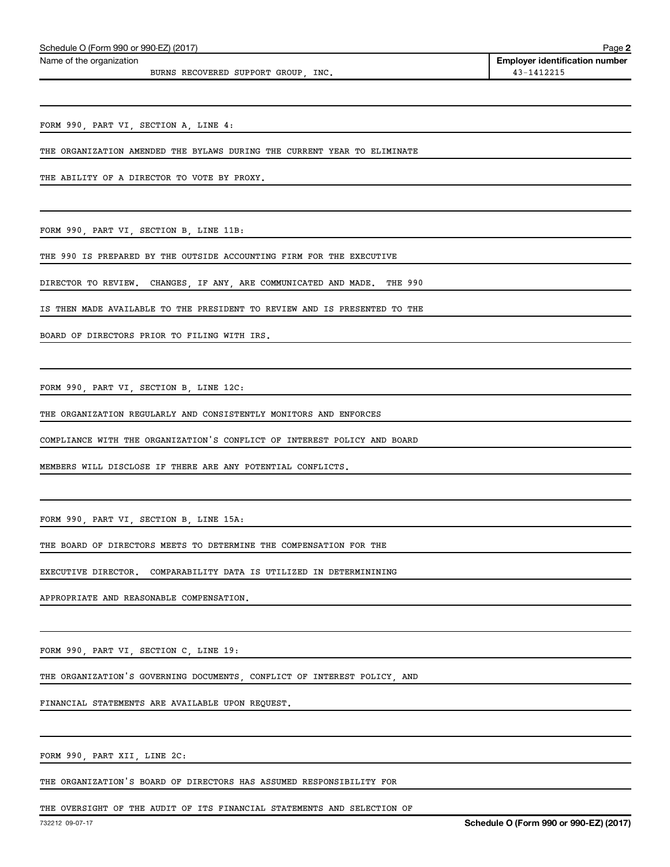Name of the organization

BURNS RECOVERED SUPPORT GROUP, INC.  $43-1412215$ 

**2 Employer identification number**

FORM 990, PART VI, SECTION A, LINE 4:

THE ORGANIZATION AMENDED THE BYLAWS DURING THE CURRENT YEAR TO ELIMINATE

THE ABILITY OF A DIRECTOR TO VOTE BY PROXY.

FORM 990, PART VI, SECTION B, LINE 11B:

THE 990 IS PREPARED BY THE OUTSIDE ACCOUNTING FIRM FOR THE EXECUTIVE

DIRECTOR TO REVIEW. CHANGES, IF ANY, ARE COMMUNICATED AND MADE. THE 990

IS THEN MADE AVAILABLE TO THE PRESIDENT TO REVIEW AND IS PRESENTED TO THE

BOARD OF DIRECTORS PRIOR TO FILING WITH IRS.

FORM 990, PART VI, SECTION B, LINE 12C:

THE ORGANIZATION REGULARLY AND CONSISTENTLY MONITORS AND ENFORCES

COMPLIANCE WITH THE ORGANIZATION'S CONFLICT OF INTEREST POLICY AND BOARD

MEMBERS WILL DISCLOSE IF THERE ARE ANY POTENTIAL CONFLICTS.

FORM 990, PART VI, SECTION B, LINE 15A:

THE BOARD OF DIRECTORS MEETS TO DETERMINE THE COMPENSATION FOR THE

EXECUTIVE DIRECTOR. COMPARABILITY DATA IS UTILIZED IN DETERMININING

APPROPRIATE AND REASONABLE COMPENSATION.

FORM 990, PART VI, SECTION C, LINE 19:

THE ORGANIZATION'S GOVERNING DOCUMENTS, CONFLICT OF INTEREST POLICY, AND

FINANCIAL STATEMENTS ARE AVAILABLE UPON REQUEST.

FORM 990, PART XII, LINE 2C:

THE ORGANIZATION'S BOARD OF DIRECTORS HAS ASSUMED RESPONSIBILITY FOR

THE OVERSIGHT OF THE AUDIT OF ITS FINANCIAL STATEMENTS AND SELECTION OF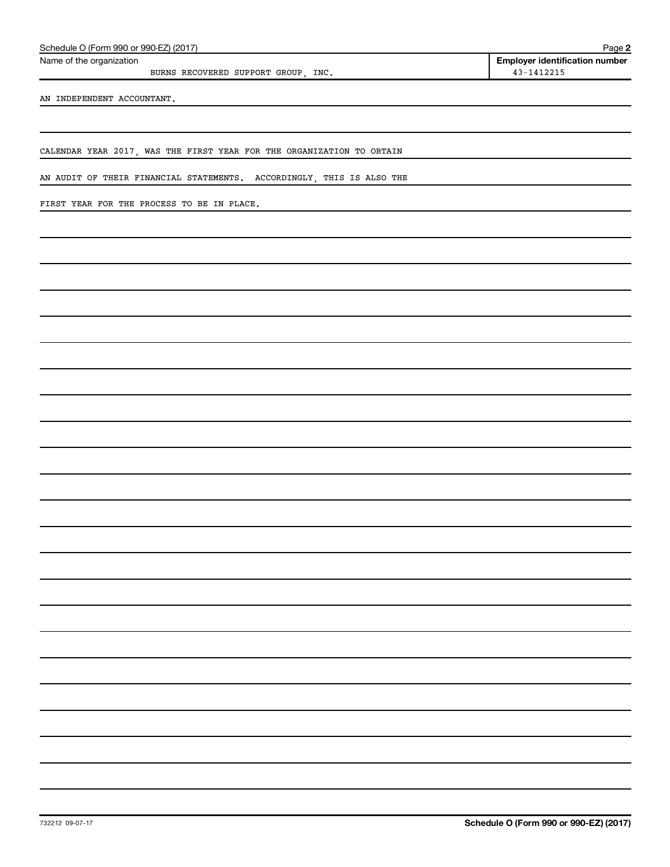| Schedule O (Form 990 or 990-EZ) (2017) | Page |  |
|----------------------------------------|------|--|
|                                        |      |  |

Name of the organization

BURNS RECOVERED SUPPORT GROUP, INC. 43-1412215

AN INDEPENDENT ACCOUNTANT.

CALENDAR YEAR 2017, WAS THE FIRST YEAR FOR THE ORGANIZATION TO OBTAIN

AN AUDIT OF THEIR FINANCIAL STATEMENTS. ACCORDINGLY, THIS IS ALSO THE

FIRST YEAR FOR THE PROCESS TO BE IN PLACE.